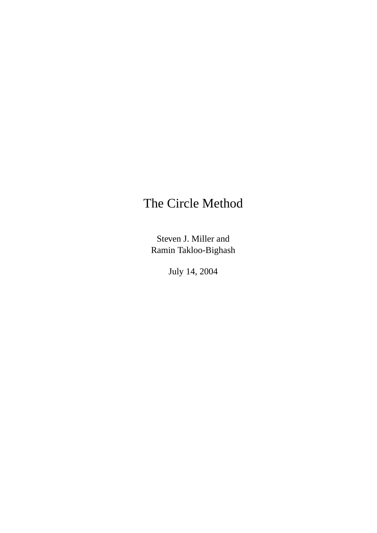## The Circle Method

Steven J. Miller and Ramin Takloo-Bighash

July 14, 2004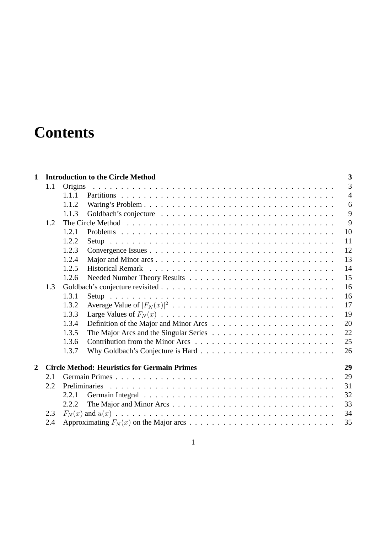# **Contents**

| 1              | <b>Introduction to the Circle Method</b> |                                                     |                |  |  |
|----------------|------------------------------------------|-----------------------------------------------------|----------------|--|--|
|                | 1.1                                      | Origins                                             | 3              |  |  |
|                |                                          | 1.1.1                                               | $\overline{4}$ |  |  |
|                |                                          | 1.1.2                                               | 6              |  |  |
|                |                                          | 1.1.3                                               | 9              |  |  |
|                | 1.2                                      |                                                     | 9              |  |  |
|                |                                          | 1.2.1                                               | 10             |  |  |
|                |                                          | 1.2.2                                               | 11             |  |  |
|                |                                          | 1.2.3                                               | 12             |  |  |
|                |                                          | 1.2.4                                               | 13             |  |  |
|                |                                          | 1.2.5                                               | 14             |  |  |
|                |                                          | 1.2.6                                               | 15             |  |  |
|                | 1.3                                      |                                                     | 16             |  |  |
|                |                                          | 1.3.1                                               | 16             |  |  |
|                |                                          | 1.3.2                                               | 17             |  |  |
|                |                                          | 1.3.3                                               | 19             |  |  |
|                |                                          | 1.3.4                                               | 20             |  |  |
|                |                                          | 1.3.5                                               | 22             |  |  |
|                |                                          | 1.3.6                                               | 25             |  |  |
|                |                                          | 1.3.7                                               | 26             |  |  |
| $\overline{2}$ |                                          | <b>Circle Method: Heuristics for Germain Primes</b> | 29             |  |  |
|                | 2.1                                      |                                                     | 29             |  |  |
|                | 2.2                                      |                                                     | 31             |  |  |
|                |                                          | 2.2.1                                               | 32             |  |  |
|                |                                          | 2.2.2                                               | 33             |  |  |
|                | 2.3                                      |                                                     | 34             |  |  |
| 2.4            |                                          |                                                     | 35             |  |  |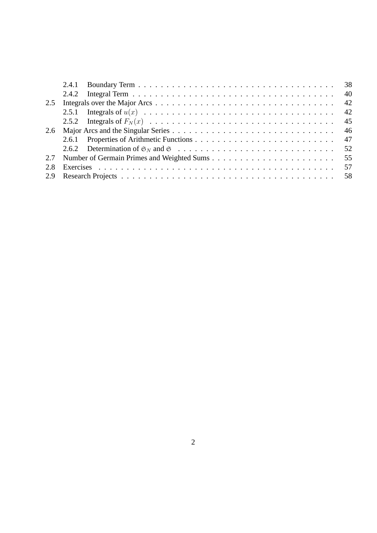|     |  | 40 |  |  |
|-----|--|----|--|--|
| 2.5 |  | 42 |  |  |
|     |  | 42 |  |  |
|     |  | 45 |  |  |
| 2.6 |  | 46 |  |  |
|     |  | 47 |  |  |
|     |  |    |  |  |
| 2.7 |  | 55 |  |  |
| 2.8 |  | 57 |  |  |
| 2.9 |  |    |  |  |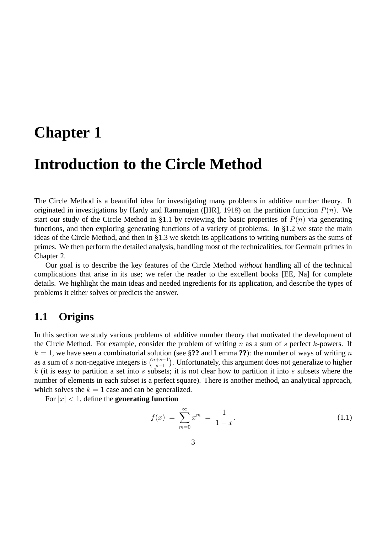## **Chapter 1**

## **Introduction to the Circle Method**

The Circle Method is a beautiful idea for investigating many problems in additive number theory. It originated in investigations by Hardy and Ramanujan ([HR], 1918) on the partition function  $P(n)$ . We start our study of the Circle Method in §1.1 by reviewing the basic properties of  $P(n)$  via generating functions, and then exploring generating functions of a variety of problems. In §1.2 we state the main ideas of the Circle Method, and then in §1.3 we sketch its applications to writing numbers as the sums of primes. We then perform the detailed analysis, handling most of the technicalities, for Germain primes in Chapter 2.

Our goal is to describe the key features of the Circle Method *without* handling all of the technical complications that arise in its use; we refer the reader to the excellent books [EE, Na] for complete details. We highlight the main ideas and needed ingredients for its application, and describe the types of problems it either solves or predicts the answer.

### **1.1 Origins**

In this section we study various problems of additive number theory that motivated the development of the Circle Method. For example, consider the problem of writing  $n$  as a sum of s perfect k-powers. If  $k = 1$ , we have seen a combinatorial solution (see §?? and Lemma ??): the number of ways of writing n as a sum of s non-negative integers is  $\binom{n+s-1}{s-1}$  $s-1 \choose s-1$ . Unfortunately, this argument does not generalize to higher  $k$  (it is easy to partition a set into s subsets; it is not clear how to partition it into s subsets where the number of elements in each subset is a perfect square). There is another method, an analytical approach, which solves the  $k = 1$  case and can be generalized.

For  $|x| < 1$ , define the **generating function** 

$$
f(x) = \sum_{m=0}^{\infty} x^m = \frac{1}{1-x}.
$$
 (1.1)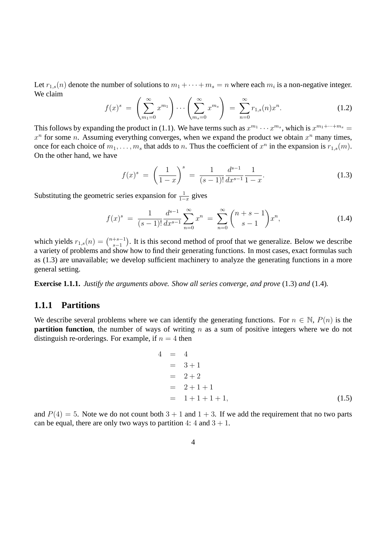Let  $r_{1,s}(n)$  denote the number of solutions to  $m_1 + \cdots + m_s = n$  where each  $m_i$  is a non-negative integer. We claim **.** 

$$
f(x)^s = \left(\sum_{m_1=0}^{\infty} x^{m_1}\right) \cdots \left(\sum_{m_s=0}^{\infty} x^{m_s}\right) = \sum_{n=0}^{\infty} r_{1,s}(n) x^n.
$$
 (1.2)

This follows by expanding the product in (1.1). We have terms such as  $x^{m_1} \cdots x^{m_s}$ , which is  $x^{m_1 + \cdots + m_s}$  $x^n$  for some n. Assuming everything converges, when we expand the product we obtain  $x^n$  many times, once for each choice of  $m_1, \ldots, m_s$  that adds to n. Thus the coefficient of  $x^n$  in the expansion is  $r_{1,s}(m)$ . On the other hand, we have

$$
f(x)^s = \left(\frac{1}{1-x}\right)^s = \frac{1}{(s-1)!} \frac{d^{s-1}}{dx^{s-1}} \frac{1}{1-x}.
$$
 (1.3)

Substituting the geometric series expansion for  $\frac{1}{1-x}$  gives

$$
f(x)^s = \frac{1}{(s-1)!} \frac{d^{s-1}}{dx^{s-1}} \sum_{n=0}^{\infty} x^n = \sum_{n=0}^{\infty} {n+s-1 \choose s-1} x^n,
$$
 (1.4)

which yields  $r_{1,s}(n) = \binom{n+s-1}{s-1}$  $s-1 \choose s-1$ . It is this second method of proof that we generalize. Below we describe a variety of problems and show how to find their generating functions. In most cases, exact formulas such as (1.3) are unavailable; we develop sufficient machinery to analyze the generating functions in a more general setting.

**Exercise 1.1.1.** *Justify the arguments above. Show all series converge, and prove* (1.3) *and* (1.4)*.*

### **1.1.1 Partitions**

We describe several problems where we can identify the generating functions. For  $n \in \mathbb{N}$ ,  $P(n)$  is the **partition function**, the number of ways of writing n as a sum of positive integers where we do not distinguish re-orderings. For example, if  $n = 4$  then

$$
4 = 4
$$
  
= 3 + 1  
= 2 + 2  
= 2 + 1 + 1  
= 1 + 1 + 1 + 1, (1.5)

and  $P(4) = 5$ . Note we do not count both  $3 + 1$  and  $1 + 3$ . If we add the requirement that no two parts can be equal, there are only two ways to partition 4: 4 and  $3 + 1$ .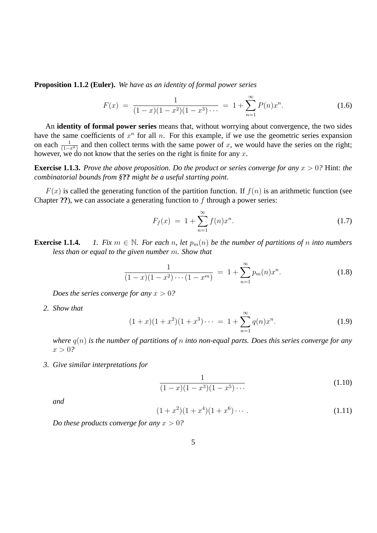**Proposition 1.1.2 (Euler).** *We have as an identity of formal power series*

$$
F(x) = \frac{1}{(1-x)(1-x^2)(1-x^3)\cdots} = 1 + \sum_{n=1}^{\infty} P(n)x^n.
$$
 (1.6)

An **identity of formal power series** means that, without worrying about convergence, the two sides have the same coefficients of  $x^n$  for all n. For this example, if we use the geometric series expansion on each  $\frac{1}{(1-x^k)}$  and then collect terms with the same power of x, we would have the series on the right; however, we do not know that the series on the right is finite for any  $x$ .

**Exercise 1.1.3.** *Prove the above proposition. Do the product or series converge for any*  $x > 0$ ? Hint: *the combinatorial bounds from §***??** *might be a useful starting point.*

 $F(x)$  is called the generating function of the partition function. If  $f(n)$  is an arithmetic function (see Chapter ??), we can associate a generating function to f through a power series:

$$
F_f(x) = 1 + \sum_{n=1}^{\infty} f(n)x^n.
$$
 (1.7)

**Exercise 1.1.4.** *1. Fix*  $m \in \mathbb{N}$ *. For each* n, let  $p_m(n)$  be the number of partitions of n into numbers *less than or equal to the given number* m*. Show that*

$$
\frac{1}{(1-x)(1-x^2)\cdots(1-x^m)} = 1 + \sum_{n=1}^{\infty} p_m(n)x^n.
$$
 (1.8)

*Does the series converge for any*  $x > 0$ ?

*2. Show that*

$$
(1+x)(1+x^2)(1+x^3)\cdots = 1+\sum_{n=1}^{\infty} q(n)x^n.
$$
 (1.9)

*where* q(n) *is the number of partitions of* n *into non-equal parts. Does this series converge for any*  $x > 0?$ 

*3. Give similar interpretations for*

$$
\frac{1}{(1-x)(1-x^3)(1-x^5)\cdots} \tag{1.10}
$$

*and*

$$
(1+x^2)(1+x^4)(1+x^6)\cdots.
$$
 (1.11)

*Do these products converge for any*  $x > 0$ ?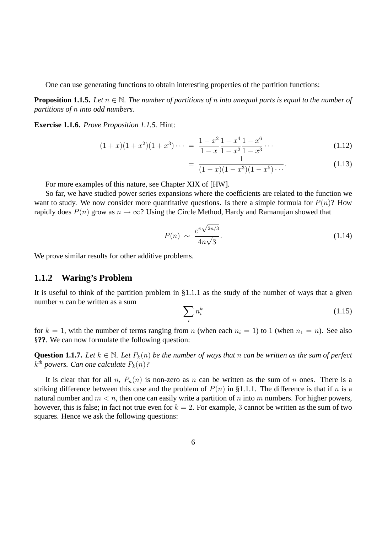One can use generating functions to obtain interesting properties of the partition functions:

**Proposition 1.1.5.** *Let*  $n \in \mathbb{N}$ *. The number of partitions of* n *into unequal parts is equal to the number of partitions of* n *into odd numbers.*

**Exercise 1.1.6.** *Prove Proposition 1.1.5.* Hint:

$$
(1+x)(1+x^2)(1+x^3)\cdots = \frac{1-x^2}{1-x}\frac{1-x^4}{1-x^2}\frac{1-x^6}{1-x^3}\cdots
$$
\n(1.12)

$$
= \frac{1}{(1-x)(1-x^3)(1-x^5)\cdots}.
$$
 (1.13)

For more examples of this nature, see Chapter XIX of [HW].

So far, we have studied power series expansions where the coefficients are related to the function we want to study. We now consider more quantitative questions. Is there a simple formula for  $P(n)$ ? How rapidly does  $P(n)$  grow as  $n \to \infty$ ? Using the Circle Method, Hardy and Ramanujan showed that

$$
P(n) \sim \frac{e^{\pi\sqrt{2n/3}}}{4n\sqrt{3}}.\tag{1.14}
$$

We prove similar results for other additive problems.

#### **1.1.2 Waring's Problem**

It is useful to think of the partition problem in §1.1.1 as the study of the number of ways that a given number  $n$  can be written as a sum

$$
\sum_{i} n_i^k \tag{1.15}
$$

for  $k = 1$ , with the number of terms ranging from n (when each  $n<sub>i</sub> = 1$ ) to 1 (when  $n<sub>1</sub> = n$ ). See also §**??**. We can now formulate the following question:

**Question 1.1.7.** *Let*  $k \in \mathbb{N}$ *. Let*  $P_k(n)$  *be the number of ways that* n *can be written as the sum of perfect* k *th powers. Can one calculate* Pk(n)*?*

It is clear that for all n,  $P_n(n)$  is non-zero as n can be written as the sum of n ones. There is a striking difference between this case and the problem of  $P(n)$  in §1.1.1. The difference is that if n is a natural number and  $m < n$ , then one can easily write a partition of n into m numbers. For higher powers, however, this is false; in fact not true even for  $k = 2$ . For example, 3 cannot be written as the sum of two squares. Hence we ask the following questions: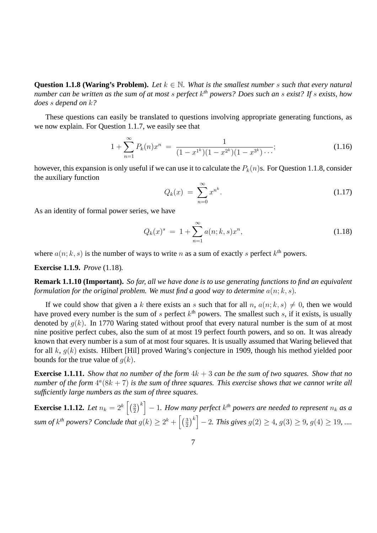**Question 1.1.8 (Waring's Problem).** Let  $k \in \mathbb{N}$ . What is the smallest number s such that every natural *number can be written as the sum of at most* s *perfect* k *th powers? Does such an* s *exist? If* s *exists, how does* s *depend on* k*?*

These questions can easily be translated to questions involving appropriate generating functions, as we now explain. For Question 1.1.7, we easily see that

$$
1 + \sum_{n=1}^{\infty} P_k(n) x^n = \frac{1}{(1 - x^{1^k})(1 - x^{2^k})(1 - x^{3^k}) \cdots};
$$
\n(1.16)

however, this expansion is only useful if we can use it to calculate the  $P_k(n)$ s. For Question 1.1.8, consider the auxiliary function

$$
Q_k(x) = \sum_{n=0}^{\infty} x^{n^k}.
$$
 (1.17)

As an identity of formal power series, we have

$$
Q_k(x)^s = 1 + \sum_{n=1}^{\infty} a(n;k,s)x^n,
$$
\n(1.18)

where  $a(n; k, s)$  is the number of ways to write n as a sum of exactly s perfect  $k^{\text{th}}$  powers.

**Exercise 1.1.9.** *Prove* (1.18)*.*

**Remark 1.1.10 (Important).** *So far, all we have done is to use generating functions to find an equivalent formulation for the original problem. We must find a good way to determine*  $a(n; k, s)$ *.* 

If we could show that given a k there exists an s such that for all n,  $a(n; k, s) \neq 0$ , then we would have proved every number is the sum of s perfect  $k<sup>th</sup>$  powers. The smallest such s, if it exists, is usually denoted by  $g(k)$ . In 1770 Waring stated without proof that every natural number is the sum of at most nine positive perfect cubes, also the sum of at most 19 perfect fourth powers, and so on. It was already known that every number is a sum of at most four squares. It is usually assumed that Waring believed that for all k,  $q(k)$  exists. Hilbert [Hil] proved Waring's conjecture in 1909, though his method yielded poor bounds for the true value of  $q(k)$ .

**Exercise 1.1.11.** *Show that no number of the form* 4k + 3 *can be the sum of two squares. Show that no* number of the form  $4^a(8k + 7)$  is the sum of three squares. This exercise shows that we cannot write all *sufficiently large numbers as the sum of three squares.*

**Exercise 1.1.12.** Let  $n_k = 2^k \left[ \left( \frac{3}{2} \right) \right]$  $\left(\frac{3}{2}\right)^k$   $\left[-1$ . How many perfect  $k^{th}$  powers are needed to represent  $n_k$  as a *sum of*  $k^{th}$  powers? Conclude that  $g(k) \geq 2^k + \left[\frac{3}{2}\right]$  $\left[\frac{3}{2}\right)^k$  – 2*. This gives*  $g(2) \geq 4$ ,  $g(3) \geq 9$ ,  $g(4) \geq 19$ , ....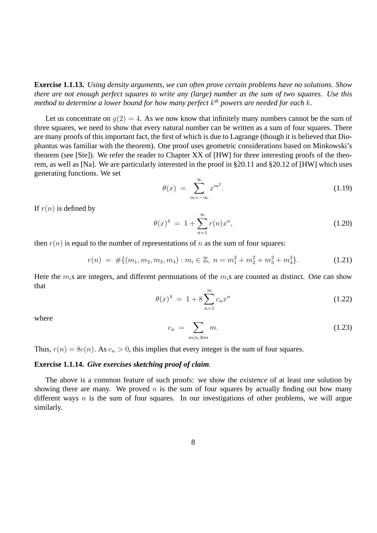**Exercise 1.1.13.** *Using density arguments, we can often prove certain problems have no solutions. Show there are not enough perfect squares to write any (large) number as the sum of two squares. Use this method to determine a lower bound for how many perfect* k *th powers are needed for each* k*.*

Let us concentrate on  $q(2) = 4$ . As we now know that infinitely many numbers cannot be the sum of three squares, we need to show that every natural number can be written as a sum of four squares. There are many proofs of this important fact, the first of which is due to Lagrange (though it is believed that Diophantus was familiar with the theorem). One proof uses geometric considerations based on Minkowski's theorem (see [Ste]). We refer the reader to Chapter XX of [HW] for three interesting proofs of the theorem, as well as [Na]. We are particularly interested in the proof in §20.11 and §20.12 of [HW] which uses generating functions. We set

$$
\theta(x) = \sum_{m = -\infty}^{\infty} x^{m^2}.
$$
\n(1.19)

If  $r(n)$  is defined by

$$
\theta(x)^4 = 1 + \sum_{n=1}^{\infty} r(n)x^n,
$$
\n(1.20)

then  $r(n)$  is equal to the number of representations of n as the sum of four squares:

$$
r(n) = #\{(m_1, m_2, m_3, m_4) : m_i \in \mathbb{Z}, n = m_1^2 + m_2^2 + m_3^2 + m_4^2\}.
$$
 (1.21)

Here the  $m_i$ s are integers, and different permutations of the  $m_i$ s are counted as distinct. One can show that

$$
\theta(x)^4 = 1 + 8 \sum_{n=1}^{\infty} c_n x^n \tag{1.22}
$$

where

$$
c_n = \sum_{m|n,4|m} m. \tag{1.23}
$$

Thus,  $r(n) = 8c(n)$ . As  $c_n > 0$ , this implies that every integer is the sum of four squares.

#### **Exercise 1.1.14.** *Give exercises sketching proof of claim.*

The above is a common feature of such proofs: we show the *existence* of at least one solution by showing there are many. We proved  $n$  is the sum of four squares by actually finding out how many different ways  $n$  is the sum of four squares. In our investigations of other problems, we will argue similarly.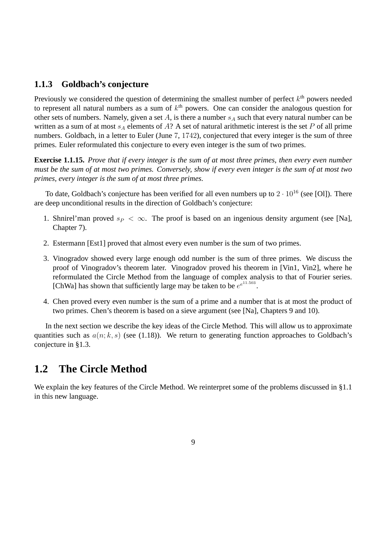### **1.1.3 Goldbach's conjecture**

Previously we considered the question of determining the smallest number of perfect  $k<sup>th</sup>$  powers needed to represent all natural numbers as a sum of  $k<sup>th</sup>$  powers. One can consider the analogous question for other sets of numbers. Namely, given a set A, is there a number  $s_A$  such that every natural number can be written as a sum of at most  $s_A$  elements of A? A set of natural arithmetic interest is the set P of all prime numbers. Goldbach, in a letter to Euler (June 7, 1742), conjectured that every integer is the sum of three primes. Euler reformulated this conjecture to every even integer is the sum of two primes.

**Exercise 1.1.15.** *Prove that if every integer is the sum of at most three primes, then every even number must be the sum of at most two primes. Conversely, show if every even integer is the sum of at most two primes, every integer is the sum of at most three primes.*

To date, Goldbach's conjecture has been verified for all even numbers up to  $2 \cdot 10^{16}$  (see [Ol]). There are deep unconditional results in the direction of Goldbach's conjecture:

- 1. Shnirel'man proved  $s_P < \infty$ . The proof is based on an ingenious density argument (see [Na], Chapter 7).
- 2. Estermann [Est1] proved that almost every even number is the sum of two primes.
- 3. Vinogradov showed every large enough odd number is the sum of three primes. We discuss the proof of Vinogradov's theorem later. Vinogradov proved his theorem in [Vin1, Vin2], where he reformulated the Circle Method from the language of complex analysis to that of Fourier series. [ChWa] has shown that sufficiently large may be taken to be  $e^{e^{11.503}}$ .
- 4. Chen proved every even number is the sum of a prime and a number that is at most the product of two primes. Chen's theorem is based on a sieve argument (see [Na], Chapters 9 and 10).

In the next section we describe the key ideas of the Circle Method. This will allow us to approximate quantities such as  $a(n; k, s)$  (see (1.18)). We return to generating function approaches to Goldbach's conjecture in §1.3.

### **1.2 The Circle Method**

We explain the key features of the Circle Method. We reinterpret some of the problems discussed in §1.1 in this new language.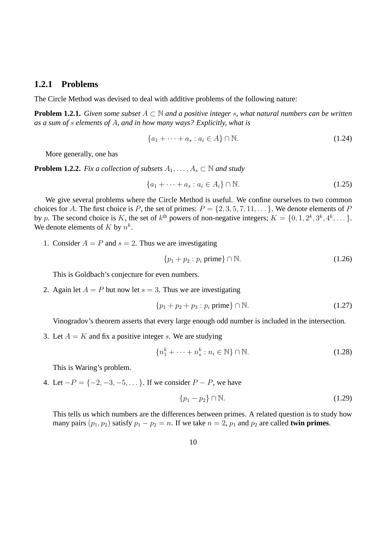#### **1.2.1 Problems**

The Circle Method was devised to deal with additive problems of the following nature:

**Problem 1.2.1.** *Given some subset* A ⊂ N *and a positive integer* s*, what natural numbers can be written as a sum of* s *elements of* A*, and in how many ways? Explicitly, what is*

$$
\{a_1 + \dots + a_s : a_i \in A\} \cap \mathbb{N}.\tag{1.24}
$$

More generally, one has

**Problem 1.2.2.** *Fix a collection of subsets*  $A_1, \ldots, A_s \subset \mathbb{N}$  *and study* 

$$
\{a_1 + \dots + a_s : a_i \in A_i\} \cap \mathbb{N}.\tag{1.25}
$$

We give several problems where the Circle Method is useful. We confine ourselves to two common choices for A. The first choice is P, the set of primes:  $P = \{2, 3, 5, 7, 11, \dots\}$ . We denote elements of P by p. The second choice is K, the set of  $k^{\text{th}}$  powers of non-negative integers;  $K = \{0, 1, 2^k, 3^k, 4^k, \dots\}$ . We denote elements of K by  $n^k$ .

1. Consider  $A = P$  and  $s = 2$ . Thus we are investigating

$$
\{p_1 + p_2 : p_i \text{ prime}\} \cap \mathbb{N}.\tag{1.26}
$$

This is Goldbach's conjecture for even numbers.

2. Again let  $A = P$  but now let  $s = 3$ . Thus we are investigating

$$
\{p_1 + p_2 + p_3 : p_i \text{ prime}\} \cap \mathbb{N}.\tag{1.27}
$$

Vinogradov's theorem asserts that every large enough odd number is included in the intersection.

3. Let  $A = K$  and fix a positive integer s. We are studying

$$
\{n_1^k + \dots + n_s^k : n_i \in \mathbb{N}\} \cap \mathbb{N}.\tag{1.28}
$$

This is Waring's problem.

4. Let  $-P = \{-2, -3, -5, \dots\}$ . If we consider  $P - P$ , we have

$$
\{p_1 - p_2\} \cap \mathbb{N}.\tag{1.29}
$$

This tells us which numbers are the differences between primes. A related question is to study how many pairs  $(p_1, p_2)$  satisfy  $p_1 - p_2 = n$ . If we take  $n = 2$ ,  $p_1$  and  $p_2$  are called **twin primes**.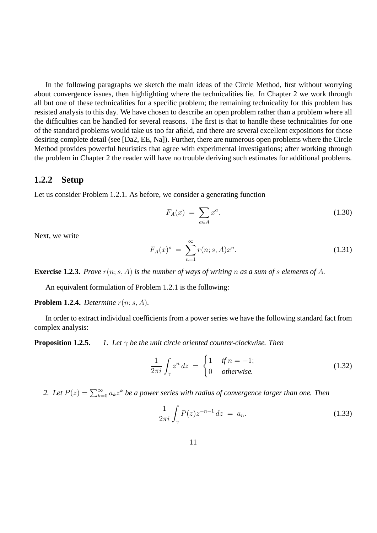In the following paragraphs we sketch the main ideas of the Circle Method, first without worrying about convergence issues, then highlighting where the technicalities lie. In Chapter 2 we work through all but one of these technicalities for a specific problem; the remaining technicality for this problem has resisted analysis to this day. We have chosen to describe an open problem rather than a problem where all the difficulties can be handled for several reasons. The first is that to handle these technicalities for one of the standard problems would take us too far afield, and there are several excellent expositions for those desiring complete detail (see [Da2, EE, Na]). Further, there are numerous open problems where the Circle Method provides powerful heuristics that agree with experimental investigations; after working through the problem in Chapter 2 the reader will have no trouble deriving such estimates for additional problems.

### **1.2.2 Setup**

Let us consider Problem 1.2.1. As before, we consider a generating function

$$
F_A(x) = \sum_{a \in A} x^a. \tag{1.30}
$$

Next, we write

$$
F_A(x)^s = \sum_{n=1}^{\infty} r(n; s, A)x^n.
$$
 (1.31)

**Exercise 1.2.3.** *Prove*  $r(n; s, A)$  *is the number of ways of writing* n *as a sum of* s *elements of* A.

An equivalent formulation of Problem 1.2.1 is the following:

**Problem 1.2.4.** *Determine* r(n; s, A)*.*

In order to extract individual coefficients from a power series we have the following standard fact from complex analysis:

**Proposition 1.2.5.** *1. Let* γ *be the unit circle oriented counter-clockwise. Then*

$$
\frac{1}{2\pi i} \int_{\gamma} z^n dz = \begin{cases} 1 & \text{if } n = -1; \\ 0 & \text{otherwise.} \end{cases} \tag{1.32}
$$

2. Let  $P(z) = \sum_{k=0}^{\infty} a_k z^k$  be a power series with radius of convergence larger than one. Then

$$
\frac{1}{2\pi i} \int_{\gamma} P(z) z^{-n-1} dz = a_n.
$$
 (1.33)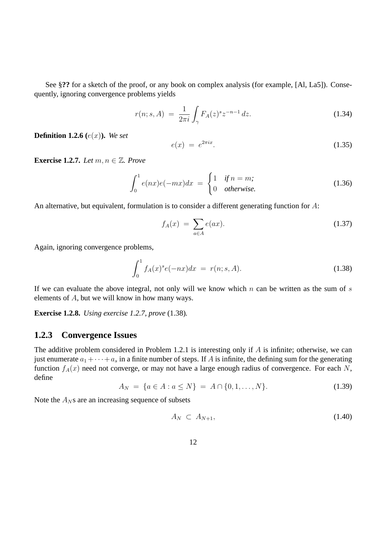See §**??** for a sketch of the proof, or any book on complex analysis (for example, [Al, La5]). Consequently, ignoring convergence problems yields

$$
r(n; s, A) = \frac{1}{2\pi i} \int_{\gamma} F_A(z)^s z^{-n-1} dz.
$$
 (1.34)

**Definition 1.2.6**  $(e(x))$ . We set

$$
e(x) = e^{2\pi ix}.\tag{1.35}
$$

**Exercise 1.2.7.** *Let* m, n ∈ Z*. Prove*

$$
\int_0^1 e(nx)e(-mx)dx = \begin{cases} 1 & \text{if } n = m; \\ 0 & \text{otherwise.} \end{cases}
$$
\n(1.36)

An alternative, but equivalent, formulation is to consider a different generating function for A:

$$
f_A(x) = \sum_{a \in A} e(ax). \tag{1.37}
$$

Again, ignoring convergence problems,

$$
\int_0^1 f_A(x)^s e(-nx) dx = r(n; s, A).
$$
 (1.38)

If we can evaluate the above integral, not only will we know which  $n$  can be written as the sum of  $s$ elements of A, but we will know in how many ways.

**Exercise 1.2.8.** *Using exercise 1.2.7, prove* (1.38)*.*

#### **1.2.3 Convergence Issues**

The additive problem considered in Problem 1.2.1 is interesting only if  $A$  is infinite; otherwise, we can just enumerate  $a_1 + \cdots + a_s$  in a finite number of steps. If A is infinite, the defining sum for the generating function  $f_A(x)$  need not converge, or may not have a large enough radius of convergence. For each N, define

$$
A_N = \{a \in A : a \le N\} = A \cap \{0, 1, \dots, N\}.
$$
\n(1.39)

Note the  $A_N$ s are an increasing sequence of subsets

$$
A_N \, \subset \, A_{N+1}, \tag{1.40}
$$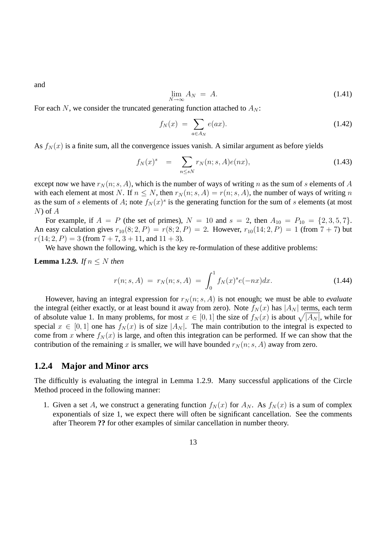and

$$
\lim_{N \to \infty} A_N = A. \tag{1.41}
$$

For each N, we consider the truncated generating function attached to  $A_N$ :

$$
f_N(x) = \sum_{a \in A_N} e(ax). \tag{1.42}
$$

As  $f_N(x)$  is a finite sum, all the convergence issues vanish. A similar argument as before yields

$$
f_N(x)^s = \sum_{n \le sN} r_N(n; s, A)e(nx), \qquad (1.43)
$$

except now we have  $r_N (n; s, A)$ , which is the number of ways of writing n as the sum of s elements of A with each element at most N. If  $n \le N$ , then  $r_N(n; s, A) = r(n; s, A)$ , the number of ways of writing n as the sum of s elements of A; note  $f_N(x)^s$  is the generating function for the sum of s elements (at most N) of A

For example, if  $A = P$  (the set of primes),  $N = 10$  and  $s = 2$ , then  $A_{10} = P_{10} = \{2, 3, 5, 7\}$ . An easy calculation gives  $r_{10}(8; 2, P) = r(8; 2, P) = 2$ . However,  $r_{10}(14; 2, P) = 1$  (from  $7 + 7$ ) but  $r(14; 2, P) = 3$  (from  $7 + 7, 3 + 11$ , and  $11 + 3$ ).

We have shown the following, which is the key re-formulation of these additive problems:

**Lemma 1.2.9.** *If*  $n \leq N$  *then* 

$$
r(n;s,A) = r_N(n;s,A) = \int_0^1 f_N(x)^s e(-nx) dx.
$$
 (1.44)

However, having an integral expression for  $r_N(n; s, A)$  is not enough; we must be able to *evaluate* the integral (either exactly, or at least bound it away from zero). Note  $f_N(x)$  has  $|A_N|$  terms, each term of absolute value 1. In many problems, for most  $x \in [0,1]$  the size of  $f_N(x)$  is about  $\sqrt{|A_N|}$ , while for special  $x \in [0, 1]$  one has  $f_N(x)$  is of size  $|A_N|$ . The main contribution to the integral is expected to come from x where  $f_N(x)$  is large, and often this integration can be performed. If we can show that the contribution of the remaining x is smaller, we will have bounded  $r_N(n; s, A)$  away from zero.

### **1.2.4 Major and Minor arcs**

The difficultly is evaluating the integral in Lemma 1.2.9. Many successful applications of the Circle Method proceed in the following manner:

1. Given a set A, we construct a generating function  $f_N(x)$  for  $A_N$ . As  $f_N(x)$  is a sum of complex exponentials of size 1, we expect there will often be significant cancellation. See the comments after Theorem **??** for other examples of similar cancellation in number theory.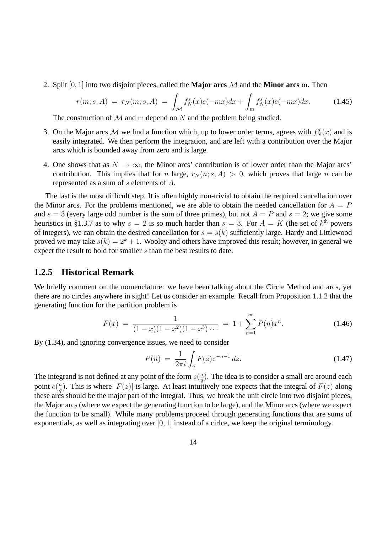2. Split [0, 1] into two disjoint pieces, called the **Major arcs** M and the **Minor arcs** m. Then

$$
r(m;s,A) \ = \ r_N(m;s,A) \ = \ \int_{\mathcal{M}} f_N^s(x)e(-mx)dx + \int_m f_N^s(x)e(-mx)dx. \tag{1.45}
$$

The construction of  $M$  and m depend on N and the problem being studied.

- 3. On the Major arcs M we find a function which, up to lower order terms, agrees with  $f_N^s(x)$  and is easily integrated. We then perform the integration, and are left with a contribution over the Major arcs which is bounded away from zero and is large.
- 4. One shows that as  $N \to \infty$ , the Minor arcs' contribution is of lower order than the Major arcs' contribution. This implies that for n large,  $r_N(n; s, A) > 0$ , which proves that large n can be represented as a sum of s elements of A.

The last is the most difficult step. It is often highly non-trivial to obtain the required cancellation over the Minor arcs. For the problems mentioned, we are able to obtain the needed cancellation for  $A = P$ and  $s = 3$  (every large odd number is the sum of three primes), but not  $A = P$  and  $s = 2$ ; we give some heuristics in §1.3.7 as to why  $s = 2$  is so much harder than  $s = 3$ . For  $A = K$  (the set of  $k<sup>th</sup>$  powers of integers), we can obtain the desired cancellation for  $s = s(k)$  sufficiently large. Hardy and Littlewood proved we may take  $s(k) = 2^k + 1$ . Wooley and others have improved this result; however, in general we expect the result to hold for smaller s than the best results to date.

#### **1.2.5 Historical Remark**

We briefly comment on the nomenclature: we have been talking about the Circle Method and arcs, yet there are no circles anywhere in sight! Let us consider an example. Recall from Proposition 1.1.2 that the generating function for the partition problem is

$$
F(x) = \frac{1}{(1-x)(1-x^2)(1-x^3)\cdots} = 1 + \sum_{n=1}^{\infty} P(n)x^n.
$$
 (1.46)

By (1.34), and ignoring convergence issues, we need to consider

$$
P(n) = \frac{1}{2\pi i} \int_{\gamma} F(z) z^{-n-1} dz.
$$
 (1.47)

The integrand is not defined at any point of the form  $e(\frac{a}{a})$  $\frac{a}{q}$ ). The idea is to consider a small arc around each point  $e(\frac{a}{a})$  $\frac{a}{q}$ ). This is where  $|F(z)|$  is large. At least intuitively one expects that the integral of  $F(z)$  along these arcs should be the major part of the integral. Thus, we break the unit circle into two disjoint pieces, the Major arcs (where we expect the generating function to be large), and the Minor arcs (where we expect the function to be small). While many problems proceed through generating functions that are sums of exponentials, as well as integrating over [0, 1] instead of a cirlce, we keep the original terminology.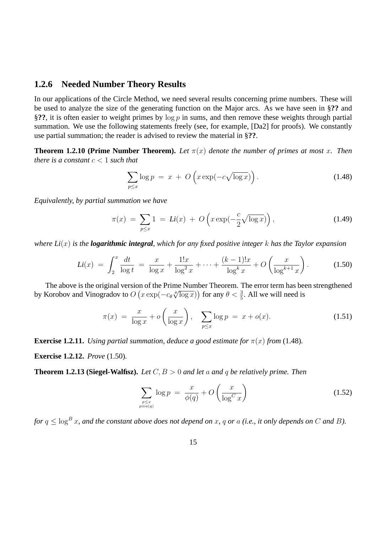### **1.2.6 Needed Number Theory Results**

In our applications of the Circle Method, we need several results concerning prime numbers. These will be used to analyze the size of the generating function on the Major arcs. As we have seen in §**??** and §**??**, it is often easier to weight primes by log p in sums, and then remove these weights through partial summation. We use the following statements freely (see, for example, [Da2] for proofs). We constantly use partial summation; the reader is advised to review the material in §**??**.

**Theorem 1.2.10 (Prime Number Theorem).** Let  $\pi(x)$  denote the number of primes at most x. Then *there is a constant*  $c < 1$  *such that* 

$$
\sum_{p \le x} \log p = x + O\left(x \exp(-c\sqrt{\log x})\right). \tag{1.48}
$$

*Equivalently, by partial summation we have*

$$
\pi(x) = \sum_{p \le x} 1 = Li(x) + O\left(x \exp\left(-\frac{c}{2}\sqrt{\log x}\right)\right),\tag{1.49}
$$

*where Li*(x) *is the logarithmic integral, which for any fixed positive integer* k *has the Taylor expansion*

$$
Li(x) = \int_2^x \frac{dt}{\log t} = \frac{x}{\log x} + \frac{1!x}{\log^2 x} + \dots + \frac{(k-1)!x}{\log^k x} + O\left(\frac{x}{\log^{k+1} x}\right). \tag{1.50}
$$

The above is the original version of the Prime Number Theorem. The error term has been strengthened The above is the original version of the Frithe Number Theorem. The error term has be<br>by Korobov and Vinogradov to  $O(x \exp(-c_\theta \sqrt[q]{\log x}))$  for any  $\theta < \frac{3}{5}$ . All we will need is

$$
\pi(x) = \frac{x}{\log x} + o\left(\frac{x}{\log x}\right), \quad \sum_{p \le x} \log p = x + o(x). \tag{1.51}
$$

**Exercise 1.2.11.** *Using partial summation, deduce a good estimate for*  $\pi(x)$  *from* (1.48)*.* 

**Exercise 1.2.12.** *Prove* (1.50)*.*

**Theorem 1.2.13 (Siegel-Walfisz).** *Let* C, B > 0 *and let* a *and* q *be relatively prime. Then*

$$
\sum_{\substack{p \le x \\ p \equiv a(q)}} \log p = \frac{x}{\phi(q)} + O\left(\frac{x}{\log^C x}\right) \tag{1.52}
$$

for  $q \leq \log^B x$ , and the constant above does not depend on x, q or a (i.e., it only depends on C and B).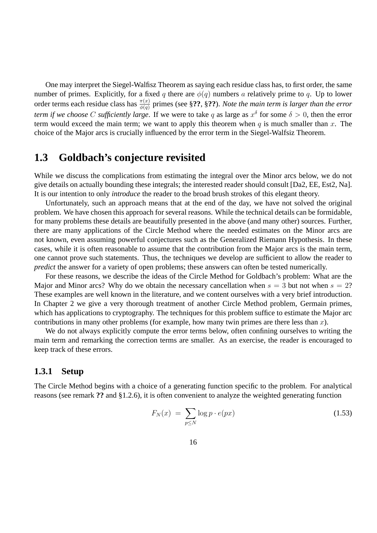One may interpret the Siegel-Walfisz Theorem as saying each residue class has, to first order, the same number of primes. Explicitly, for a fixed q there are  $\phi(q)$  numbers a relatively prime to q. Up to lower order terms each residue class has  $\frac{\pi(x)}{\phi(q)}$  primes (see §??, §??). *Note the main term is larger than the error term if we choose C sufficiently large*. If we were to take q as large as  $x^{\delta}$  for some  $\delta > 0$ , then the error term would exceed the main term; we want to apply this theorem when  $q$  is much smaller than  $x$ . The choice of the Major arcs is crucially influenced by the error term in the Siegel-Walfsiz Theorem.

### **1.3 Goldbach's conjecture revisited**

While we discuss the complications from estimating the integral over the Minor arcs below, we do not give details on actually bounding these integrals; the interested reader should consult [Da2, EE, Est2, Na]. It is our intention to only *introduce* the reader to the broad brush strokes of this elegant theory.

Unfortunately, such an approach means that at the end of the day, we have not solved the original problem. We have chosen this approach for several reasons. While the technical details can be formidable, for many problems these details are beautifully presented in the above (and many other) sources. Further, there are many applications of the Circle Method where the needed estimates on the Minor arcs are not known, even assuming powerful conjectures such as the Generalized Riemann Hypothesis. In these cases, while it is often reasonable to assume that the contribution from the Major arcs is the main term, one cannot prove such statements. Thus, the techniques we develop are sufficient to allow the reader to *predict* the answer for a variety of open problems; these answers can often be tested numerically.

For these reasons, we describe the ideas of the Circle Method for Goldbach's problem: What are the Major and Minor arcs? Why do we obtain the necessary cancellation when  $s = 3$  but not when  $s = 2$ ? These examples are well known in the literature, and we content ourselves with a very brief introduction. In Chapter 2 we give a very thorough treatment of another Circle Method problem, Germain primes, which has applications to cryptography. The techniques for this problem suffice to estimate the Major arc contributions in many other problems (for example, how many twin primes are there less than  $x$ ).

We do not always explicitly compute the error terms below, often confining ourselves to writing the main term and remarking the correction terms are smaller. As an exercise, the reader is encouraged to keep track of these errors.

### **1.3.1 Setup**

The Circle Method begins with a choice of a generating function specific to the problem. For analytical reasons (see remark **??** and §1.2.6), it is often convenient to analyze the weighted generating function

$$
F_N(x) = \sum_{p \le N} \log p \cdot e(px) \tag{1.53}
$$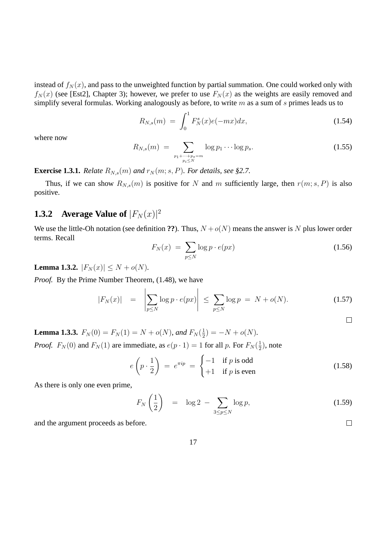instead of  $f_N(x)$ , and pass to the unweighted function by partial summation. One could worked only with  $f_N(x)$  (see [Est2], Chapter 3); however, we prefer to use  $F_N(x)$  as the weights are easily removed and simplify several formulas. Working analogously as before, to write  $m$  as a sum of  $s$  primes leads us to

$$
R_{N,s}(m) = \int_0^1 F_N^s(x)e(-mx)dx,
$$
\t(1.54)

where now

$$
R_{N,s}(m) = \sum_{\substack{p_1 + \dots + p_s = m \\ p_i \le N}} \log p_1 \dots \log p_s.
$$
 (1.55)

**Exercise 1.3.1.** *Relate*  $R_{N,s}(m)$  *and*  $r_N(m; s, P)$ *. For details, see §2.7.* 

Thus, if we can show  $R_{N,s}(m)$  is positive for N and m sufficiently large, then  $r(m; s, P)$  is also positive.

### **1.3.2** Average Value of  $|F_N(x)|^2$

We use the little-Oh notation (see definition **??**). Thus,  $N + o(N)$  means the answer is N plus lower order terms. Recall

$$
F_N(x) = \sum_{p \le N} \log p \cdot e(px) \tag{1.56}
$$

**Lemma 1.3.2.**  $|F_N(x)| \leq N + o(N)$ .

*Proof.* By the Prime Number Theorem, (1.48), we have

$$
|F_N(x)| = \left| \sum_{p \le N} \log p \cdot e(px) \right| \le \sum_{p \le N} \log p = N + o(N). \tag{1.57}
$$

**Lemma 1.3.3.**  $F_N(0) = F_N(1) = N + o(N)$ , and  $F_N(\frac{1}{2})$  $(\frac{1}{2}) = -N + o(N).$ 

*Proof.*  $F_N(0)$  and  $F_N(1)$  are immediate, as  $e(p \cdot 1) = 1$  for all p. For  $F_N(\frac{1}{2})$  $(\frac{1}{2})$ , note

$$
e\left(p \cdot \frac{1}{2}\right) = e^{\pi i p} = \begin{cases} -1 & \text{if } p \text{ is odd} \\ +1 & \text{if } p \text{ is even} \end{cases}
$$
 (1.58)

As there is only one even prime,

$$
F_N\left(\frac{1}{2}\right) = \log 2 - \sum_{3 \le p \le N} \log p,\tag{1.59}
$$

and the argument proceeds as before.

 $\Box$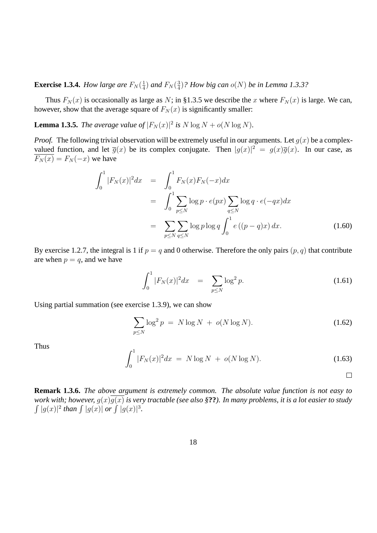**Exercise 1.3.4.** *How large are*  $F_N(\frac{1}{4})$  $\frac{1}{4}$ ) and  $F_N(\frac{3}{4})$ 4 )*? How big can* o(N) *be in Lemma 1.3.3?*

Thus  $F_N(x)$  is occasionally as large as N; in §1.3.5 we describe the x where  $F_N(x)$  is large. We can, however, show that the average square of  $F_N(x)$  is significantly smaller:

**Lemma 1.3.5.** *The average value of*  $|F_N(x)|^2$  *is*  $N \log N + o(N \log N)$ *.* 

*Proof.* The following trivial observation will be extremely useful in our arguments. Let  $g(x)$  be a complexvalued function, and let  $\overline{g}(x)$  be its complex conjugate. Then  $|g(x)|^2 = g(x)\overline{g}(x)$ . In our case, as  $F_N(x) = F_N(-x)$  we have

$$
\int_{0}^{1} |F_{N}(x)|^{2} dx = \int_{0}^{1} F_{N}(x) F_{N}(-x) dx
$$
  
= 
$$
\int_{0}^{1} \sum_{p \le N} \log p \cdot e(px) \sum_{q \le N} \log q \cdot e(-qx) dx
$$
  
= 
$$
\sum_{p \le N} \sum_{q \le N} \log p \log q \int_{0}^{1} e((p-q)x) dx.
$$
 (1.60)

By exercise 1.2.7, the integral is 1 if  $p = q$  and 0 otherwise. Therefore the only pairs  $(p, q)$  that contribute are when  $p = q$ , and we have

$$
\int_0^1 |F_N(x)|^2 dx = \sum_{p \le N} \log^2 p.
$$
 (1.61)

Using partial summation (see exercise 1.3.9), we can show

$$
\sum_{p\leq N} \log^2 p = N \log N + o(N \log N). \tag{1.62}
$$

Thus

$$
\int_0^1 |F_N(x)|^2 dx = N \log N + o(N \log N). \tag{1.63}
$$

 $\Box$ 

**Remark 1.3.6.** *The above argument is extremely common. The absolute value function is not easy to work with; however,*  $g(x)g(x)$  *is very tractable (see also §*??*). In many problems, it is a lot easier to study*  $\int |g(x)|^2$  than  $\int |g(x)|$  or  $\int |g(x)|^3$ .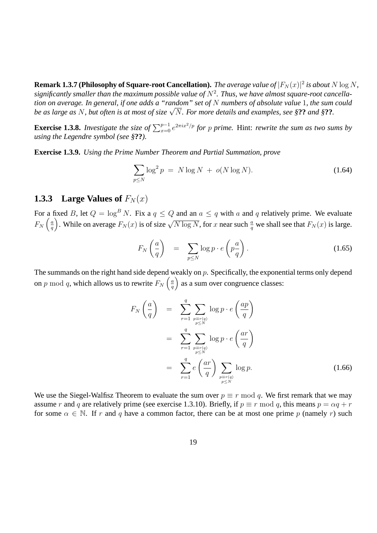${\bf Remark 1.3.7}$  (Philosophy of Square-root Cancellation). *The average value of*  $|F_N(x)|^2$  *is about*  $N\log N$ *,*  $s$ ignificantly smaller than the maximum possible value of  $N^2$ . Thus, we have almost square-root cancella*tion on average. In general, if one adds a "random" set of* N *numbers of absolute value* 1*, the sum could be as large as* <sup>N</sup>*, but often is at most of size* <sup>√</sup> N*. For more details and examples, see §***??** *and §***??***.*

**Exercise 1.3.8.** *Investigate the size of*  $\sum_{x=0}^{p-1} e^{2\pi i x^2/p}$  *for p prime.* Hint: *rewrite the sum as two sums by using the Legendre symbol (see §***??***).*

**Exercise 1.3.9.** *Using the Prime Number Theorem and Partial Summation, prove*

$$
\sum_{p \leq N} \log^2 p = N \log N + o(N \log N). \tag{1.64}
$$

### **1.3.3** Large Values of  $F_N(x)$

For a fixed B, let  $Q = \log^B N$ . Fix a  $q \leq Q$  and an  $a \leq q$  with a and q relatively prime. We evaluate  $F_N\left(\frac{a}{a}\right)$ while on average  $F_N(x)$  is of size  $\sqrt{N \log N}$ , for x near such  $\frac{a}{q}$  we shall see that  $F_N(x)$  is large.

$$
F_N\left(\frac{a}{q}\right) = \sum_{p \le N} \log p \cdot e\left(p\frac{a}{q}\right). \tag{1.65}
$$

The summands on the right hand side depend weakly on  $p$ . Specifically, the exponential terms only depend on p mod q, which allows us to rewrite  $F_N\left(\frac{a}{a}\right)$  $\left(\frac{a}{q}\right)$  as a sum over congruence classes:

$$
F_N\left(\frac{a}{q}\right) = \sum_{r=1}^q \sum_{\substack{p \equiv r(q) \\ p \le N}} \log p \cdot e\left(\frac{ap}{q}\right)
$$
  

$$
= \sum_{r=1}^q \sum_{\substack{p \equiv r(q) \\ p \le N}} \log p \cdot e\left(\frac{ar}{q}\right)
$$
  

$$
= \sum_{r=1}^q e\left(\frac{ar}{q}\right) \sum_{\substack{p \equiv r(q) \\ p \le N}} \log p. \tag{1.66}
$$

We use the Siegel-Walfisz Theorem to evaluate the sum over  $p \equiv r \mod q$ . We first remark that we may assume r and q are relatively prime (see exercise 1.3.10). Briefly, if  $p \equiv r \mod q$ , this means  $p = \alpha q + r$ for some  $\alpha \in \mathbb{N}$ . If r and q have a common factor, there can be at most one prime p (namely r) such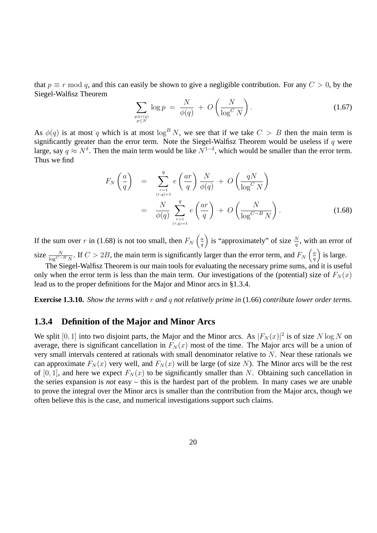that  $p \equiv r \mod q$ , and this can easily be shown to give a negligible contribution. For any  $C > 0$ , by the Siegel-Walfisz Theorem

$$
\sum_{\substack{p \equiv r(q) \\ p \le N}} \log p \ = \ \frac{N}{\phi(q)} \ + \ O\left(\frac{N}{\log^C N}\right). \tag{1.67}
$$

As  $\phi(q)$  is at most q which is at most  $\log^B N$ , we see that if we take  $C > B$  then the main term is significantly greater than the error term. Note the Siegel-Walfisz Theorem would be useless if  $q$  were large, say  $q \approx N^{\delta}$ . Then the main term would be like  $N^{1-\delta}$ , which would be smaller than the error term. Thus we find

$$
F_N\left(\frac{a}{q}\right) = \sum_{\substack{r=1 \ r,q=1}}^q e\left(\frac{ar}{q}\right) \frac{N}{\phi(q)} + O\left(\frac{qN}{\log^C N}\right)
$$
  

$$
= \frac{N}{\phi(q)} \sum_{\substack{r=1 \ r,q=1}}^q e\left(\frac{ar}{q}\right) + O\left(\frac{N}{\log^{C-B} N}\right).
$$
 (1.68)

If the sum over r in (1.68) is not too small, then  $F_N$   $\left(\frac{a}{a}\right)$  $\left(\frac{a}{q}\right)$  is "approximately" of size  $\frac{N}{q}$ , with an error of size  $\frac{N}{\log^{C-B} N}$ . If  $C > 2B$ , the main term is significantly larger than the error term, and  $F_N$   $\left(\frac{a}{q}\right)$  $\left(\frac{a}{q}\right)$  is large.

The Siegel-Walfisz Theorem is our main tools for evaluating the necessary prime sums, and it is useful only when the error term is less than the main term. Our investigations of the (potential) size of  $F<sub>N</sub>(x)$ lead us to the proper definitions for the Major and Minor arcs in §1.3.4.

**Exercise 1.3.10.** *Show the terms with* r *and* q *not relatively prime in* (1.66) *contribute lower order terms.*

### **1.3.4 Definition of the Major and Minor Arcs**

We split  $[0, 1]$  into two disjoint parts, the Major and the Minor arcs. As  $|F_N(x)|^2$  is of size N log N on average, there is significant cancellation in  $F_N(x)$  most of the time. The Major arcs will be a union of very small intervals centered at rationals with small denominator relative to N. Near these rationals we can approximate  $F_N(x)$  very well, and  $F_N(x)$  will be large (of size N). The Minor arcs will be the rest of [0, 1], and here we expect  $F_N(x)$  to be significantly smaller than N. Obtaining such cancellation in the series expansion is *not* easy – this is the hardest part of the problem. In many cases we are unable to prove the integral over the Minor arcs is smaller than the contribution from the Major arcs, though we often believe this is the case, and numerical investigations support such claims.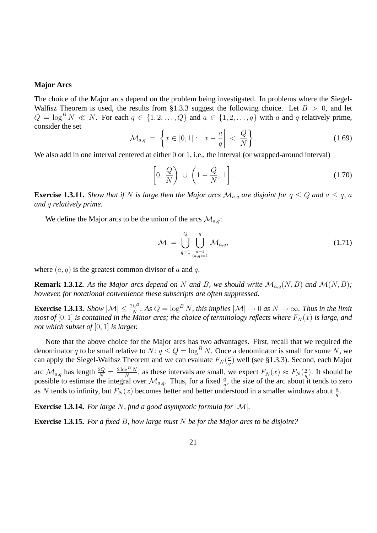#### **Major Arcs**

The choice of the Major arcs depend on the problem being investigated. In problems where the Siegel-Walfisz Theorem is used, the results from §1.3.3 suggest the following choice. Let  $B > 0$ , and let  $Q = \log^B N \ll N$ . For each  $q \in \{1, 2, \ldots, Q\}$  and  $a \in \{1, 2, \ldots, q\}$  with a and q relatively prime, consider the set

$$
\mathcal{M}_{a,q} = \left\{ x \in [0,1] : \left| x - \frac{a}{q} \right| < \frac{Q}{N} \right\}. \tag{1.69}
$$

We also add in one interval centered at either 0 or 1, i.e., the interval (or wrapped-around interval)

$$
\left[0, \frac{Q}{N}\right) \cup \left(1 - \frac{Q}{N}, 1\right]. \tag{1.70}
$$

**Exercise 1.3.11.** *Show that if* N *is large then the Major arcs*  $\mathcal{M}_{a,q}$  *are disjoint for*  $q \leq Q$  *and*  $a \leq q$ *, a and* q *relatively prime.*

We define the Major arcs to be the union of the arcs  $\mathcal{M}_{a,q}$ :

$$
\mathcal{M} = \bigcup_{q=1}^{Q} \bigcup_{\substack{a=1 \ a,q,=1}}^{q} \mathcal{M}_{a,q}, \qquad (1.71)
$$

where  $(a, q)$  is the greatest common divisor of a and q.

**Remark 1.3.12.** As the Major arcs depend on N and B, we should write  $\mathcal{M}_{a,q}(N, B)$  and  $\mathcal{M}(N, B)$ ; *however, for notational convenience these subscripts are often suppressed.*

**Exercise 1.3.13.** *Show*  $|M| \leq \frac{2Q^3}{N}$ . As  $Q = \log^B N$ , this implies  $|M| \to 0$  as  $N \to \infty$ . Thus in the limit  $m$ ost of  $[0,1]$  is contained in the Minor arcs; the choice of terminology reflects where  $F_N(x)$  is large, and *not which subset of* [0, 1] *is larger.*

Note that the above choice for the Major arcs has two advantages. First, recall that we required the denominator q to be small relative to  $N: q \le Q = \log^B N$ . Once a denominator is small for some N, we can apply the Siegel-Walfisz Theorem and we can evaluate  $F_N(\frac{a}{a})$  $\frac{a}{q}$ ) well (see §1.3.3). Second, each Major arc  $\mathcal{M}_{a,q}$  has length  $\frac{2Q}{N} = \frac{2\log^B N}{N}$  $\frac{g^B N}{N}$ ; as these intervals are small, we expect  $F_N(x) \approx F_N(\frac{a}{q})$  $\frac{a}{q}$ ). It should be possible to estimate the integral over  $\mathcal{M}_{a,q}$ . Thus, for a fixed  $\frac{a}{q}$ , the size of the arc about it tends to zero as N tends to infinity, but  $F_N(x)$  becomes better and better understood in a smaller windows about  $\frac{a}{q}$ .

**Exercise 1.3.14.** *For large* N*, find a good asymptotic formula for* |M|*.*

**Exercise 1.3.15.** *For a fixed* B*, how large must* N *be for the Major arcs to be disjoint?*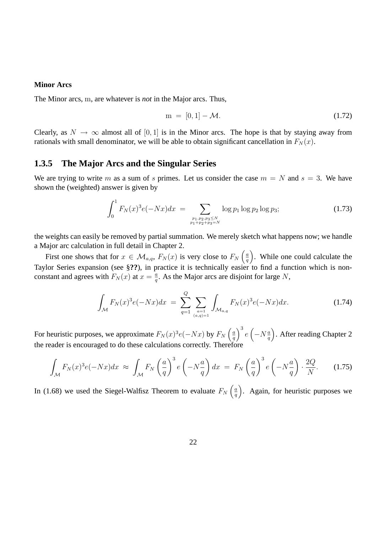#### **Minor Arcs**

The Minor arcs, m, are whatever is *not* in the Major arcs. Thus,

$$
\mathbf{m} = [0, 1] - \mathcal{M}.\tag{1.72}
$$

Clearly, as  $N \to \infty$  almost all of [0, 1] is in the Minor arcs. The hope is that by staying away from rationals with small denominator, we will be able to obtain significant cancellation in  $F_N(x)$ .

### **1.3.5 The Major Arcs and the Singular Series**

We are trying to write m as a sum of s primes. Let us consider the case  $m = N$  and  $s = 3$ . We have shown the (weighted) answer is given by

$$
\int_0^1 F_N(x)^3 e(-Nx) dx = \sum_{\substack{p_1, p_2, p_3 \le N \\ p_1 + p_2 + p_3 = N}} \log p_1 \log p_2 \log p_3; \tag{1.73}
$$

the weights can easily be removed by partial summation. We merely sketch what happens now; we handle a Major arc calculation in full detail in Chapter 2.

First one shows that for  $x \in \mathcal{M}_{a,q}$ ,  $F_N(x)$  is very close to  $F_N\left(\frac{a}{a}\right)$  $\left(\frac{a}{q}\right)$ . While one could calculate the Taylor Series expansion (see §**??**), in practice it is technically easier to find a function which is nonconstant and agrees with  $F_N(x)$  at  $x = \frac{a}{a}$  $\frac{a}{q}$ . As the Major arcs are disjoint for large N,

$$
\int_{\mathcal{M}} F_N(x)^3 e(-Nx) dx = \sum_{q=1}^Q \sum_{\substack{a=1 \ (a,q)=1}} \int_{\mathcal{M}_{a,q}} F_N(x)^3 e(-Nx) dx.
$$
 (1.74)

For heuristic purposes, we approximate  $F_N(x)^3 e(-Nx)$  by  $F_N\left(\frac{a}{a}\right)$  $\left(\frac{a}{q}\right)^3 e\left(-N\frac{a}{q}\right)$  $\left(\frac{a}{q}\right)$ . After reading Chapter 2 the reader is encouraged to do these calculations correctly. Therefore

$$
\int_{\mathcal{M}} F_N(x)^3 e(-Nx) dx \approx \int_{\mathcal{M}} F_N\left(\frac{a}{q}\right)^3 e\left(-N\frac{a}{q}\right) dx = F_N\left(\frac{a}{q}\right)^3 e\left(-N\frac{a}{q}\right) \cdot \frac{2Q}{N}.
$$
 (1.75)

In (1.68) we used the Siegel-Walfisz Theorem to evaluate  $F_N$   $\left(\frac{a}{a}\right)$  $\left(\frac{a}{q}\right)$ . Again, for heuristic purposes we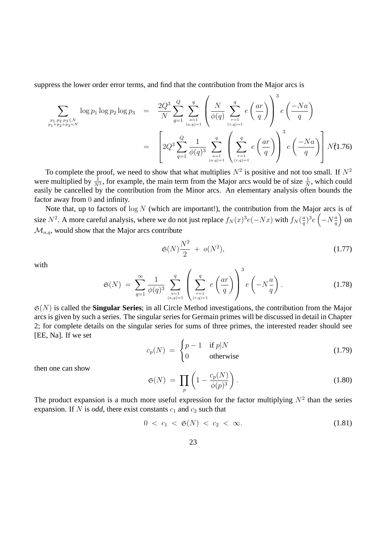suppress the lower order error terms, and find that the contribution from the Major arcs is

$$
\sum_{\substack{p_1, p_2, p_3 \le N \\ p_1 + p_2 + p_3 = N}} \log p_1 \log p_2 \log p_3 = \frac{2Q^3}{N} \sum_{q=1}^Q \sum_{\substack{a=1 \\ (a,q)=1}}^q \left( \frac{N}{\phi(q)} \sum_{\substack{r=1 \\ (r,q)=1}}^q e\left(\frac{ar}{q}\right) \right)^3 e\left(\frac{-Na}{q}\right)
$$

$$
= \left[ 2Q^3 \sum_{q=1}^Q \frac{1}{\phi(q)^3} \sum_{\substack{a=1 \\ (a,q)=1}}^q \left( \sum_{\substack{r=1 \\ (r,q)=1}}^q e\left(\frac{ar}{q}\right) \right)^3 e\left(\frac{-Na}{q}\right) \right] N^2(1.76)
$$

To complete the proof, we need to show that what multiplies  $N^2$  is positive and not too small. If  $N^2$ were multiplied by  $\frac{1}{N^3}$ , for example, the main term from the Major arcs would be of size  $\frac{1}{N}$ , which could easily be cancelled by the contribution from the Minor arcs. An elementary analysis often bounds the factor away from 0 and infinity.

Note that, up to factors of  $\log N$  (which are important!), the contribution from the Major arcs is of size N<sup>2</sup>. A more careful analysis, where we do not just replace  $f_N(x)^3 e(-Nx)$  with  $f_N(\frac{a}{a})$  $\frac{a}{q}$ <sup>3</sup>e  $\left(-N\frac{a}{q}\right)$  $\frac{a}{q}$  on  $\mathcal{M}_{a,q}$ , would show that the Major arcs contribute

$$
\mathfrak{S}(N)\frac{N^2}{2} + o(N^2),\tag{1.77}
$$

with

$$
\mathfrak{S}(N) \ = \ \sum_{q=1}^{\infty} \frac{1}{\phi(q)^3} \sum_{\substack{a=1 \ a,q \ p=1}}^{q} \left( \sum_{\substack{r=1 \ (r,q)=1}}^{q} e\left(\frac{ar}{q}\right) \right)^3 e\left(-N\frac{a}{q}\right). \tag{1.78}
$$

 $\mathfrak{S}(N)$  is called the **Singular Series**; in all Circle Method investigations, the contribution from the Major arcs is given by such a series. The singular series for Germain primes will be discussed in detail in Chapter 2; for complete details on the singular series for sums of three primes, the interested reader should see [EE, Na]. If we set

$$
c_p(N) = \begin{cases} p-1 & \text{if } p|N\\ 0 & \text{otherwise} \end{cases}
$$
 (1.79)

then one can show

$$
\mathfrak{S}(N) = \prod_{p} \left( 1 - \frac{c_p(N)}{\phi(p)^3} \right). \tag{1.80}
$$

The product expansion is a much more useful expression for the factor multiplying  $N^2$  than the series expansion. If N is *odd*, there exist constants  $c_1$  and  $c_2$  such that

$$
0 < c_1 < \mathfrak{S}(N) < c_2 < \infty. \tag{1.81}
$$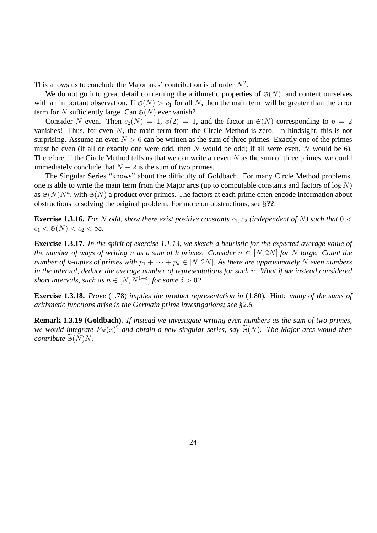This allows us to conclude the Major arcs' contribution is of order  $N^2$ .

We do not go into great detail concerning the arithmetic properties of  $\mathfrak{S}(N)$ , and content ourselves with an important observation. If  $\mathfrak{S}(N) > c_1$  for all N, then the main term will be greater than the error term for N sufficiently large. Can  $\mathfrak{S}(N)$  ever vanish?

Consider N even. Then  $c_2(N) = 1$ ,  $\phi(2) = 1$ , and the factor in  $\mathfrak{S}(N)$  corresponding to  $p = 2$ vanishes! Thus, for even N, the main term from the Circle Method is zero. In hindsight, this is not surprising. Assume an even  $N > 6$  can be written as the sum of three primes. Exactly one of the primes must be even (if all or exactly one were odd, then  $N$  would be odd; if all were even,  $N$  would be 6). Therefore, if the Circle Method tells us that we can write an even  $N$  as the sum of three primes, we could immediately conclude that  $N - 2$  is the sum of two primes.

The Singular Series "knows" about the difficulty of Goldbach. For many Circle Method problems, one is able to write the main term from the Major arcs (up to computable constants and factors of  $\log N$ ) as  $\mathfrak{S}(N)N^a$ , with  $\mathfrak{S}(N)$  a product over primes. The factors at each prime often encode information about obstructions to solving the original problem. For more on obstructions, see §**??**.

**Exercise 1.3.16.** For N odd, show there exist positive constants  $c_1, c_2$  (independent of N) such that  $0 <$  $c_1 < \mathfrak{S}(N) < c_2 < \infty$ .

**Exercise 1.3.17.** *In the spirit of exercise 1.1.13, we sketch a heuristic for the expected average value of the number of ways of writing* n *as a sum of* k *primes. Consider*  $n \in [N, 2N]$  *for* N *large. Count the number of k-tuples of primes with*  $p_1 + \cdots + p_k \in [N, 2N]$ *. As there are approximately* N *even numbers in the interval, deduce the average number of representations for such* n*. What if we instead considered short intervals, such as*  $n \in [N, N^{1-\delta}]$  *for some*  $\delta > 0$ ?

**Exercise 1.3.18.** *Prove* (1.78) *implies the product representation in* (1.80)*.* Hint: *many of the sums of arithmetic functions arise in the Germain prime investigations; see §2.6.*

**Remark 1.3.19 (Goldbach).** *If instead we investigate writing even numbers as the sum of two primes, we would integrate*  $F_N(x)^2$  *and obtain a new singular series, say*  $\widetilde{S}(N)$ *. The Major arcs would then*<br>contribute  $\widetilde{S}(N)N$ *contribute*  $\tilde{\mathfrak{S}}(N)N$ .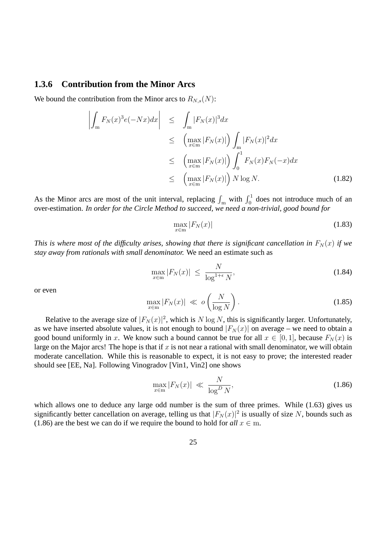#### **1.3.6 Contribution from the Minor Arcs**

We bound the contribution from the Minor arcs to  $R_{N,s}(N)$ :

$$
\left| \int_{\mathbf{m}} F_N(x)^3 e(-Nx) dx \right| \leq \int_{\mathbf{m}} |F_N(x)|^3 dx
$$
  
\n
$$
\leq \left( \max_{x \in \mathbf{m}} |F_N(x)| \right) \int_{\mathbf{m}} |F_N(x)|^2 dx
$$
  
\n
$$
\leq \left( \max_{x \in \mathbf{m}} |F_N(x)| \right) \int_0^1 F_N(x) F_N(-x) dx
$$
  
\n
$$
\leq \left( \max_{x \in \mathbf{m}} |F_N(x)| \right) N \log N.
$$
 (1.82)

As the Minor arcs are most of the unit interval, replacing  $\int_m$  with  $\int_0^1$  does not introduce much of an over-estimation. *In order for the Circle Method to succeed, we need a non-trivial, good bound for*

$$
\max_{x \in \mathfrak{m}} |F_N(x)| \tag{1.83}
$$

*This is where most of the difficulty arises, showing that there is significant cancellation in*  $F_N(x)$  *if we stay away from rationals with small denominator.* We need an estimate such as

$$
\max_{x \in \mathfrak{m}} |F_N(x)| \le \frac{N}{\log^{1+\epsilon} N},\tag{1.84}
$$

or even

$$
\max_{x \in \mathfrak{m}} |F_N(x)| \ll o\left(\frac{N}{\log N}\right). \tag{1.85}
$$

Relative to the average size of  $|F_N(x)|^2$ , which is  $N \log N$ , this is significantly larger. Unfortunately, as we have inserted absolute values, it is not enough to bound  $|F_N(x)|$  on average – we need to obtain a good bound uniformly in x. We know such a bound cannot be true for all  $x \in [0, 1]$ , because  $F<sub>N</sub>(x)$  is large on the Major arcs! The hope is that if  $x$  is not near a rational with small denominator, we will obtain moderate cancellation. While this is reasonable to expect, it is not easy to prove; the interested reader should see [EE, Na]. Following Vinogradov [Vin1, Vin2] one shows

$$
\max_{x \in \mathfrak{m}} |F_N(x)| \ll \frac{N}{\log^D N},\tag{1.86}
$$

which allows one to deduce any large odd number is the sum of three primes. While (1.63) gives us significantly better cancellation on average, telling us that  $|F_N(x)|^2$  is usually of size N, bounds such as (1.86) are the best we can do if we require the bound to hold for *all*  $x \in$  m.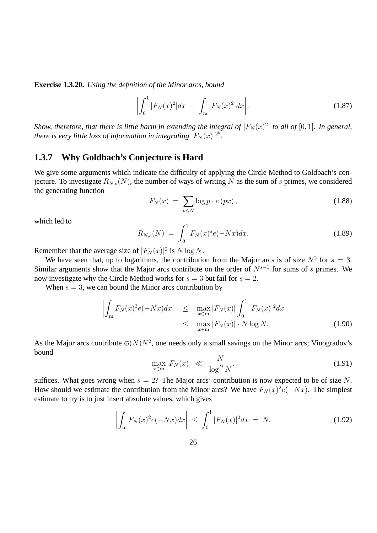**Exercise 1.3.20.** *Using the definition of the Minor arcs, bound*

$$
\left| \int_0^1 |F_N(x)|^2 \, dx \, - \, \int_\mathfrak{m} |F_N(x)|^2 \, dx \right| \,. \tag{1.87}
$$

*Show, therefore, that there is little harm in extending the integral of*  $|F_N(x)^2|$  *to all of*  $[0,1]$ *. In general, there is very little loss of information in integrating*  $|F_N(x)|^{2^k}$ .

### **1.3.7 Why Goldbach's Conjecture is Hard**

We give some arguments which indicate the difficulty of applying the Circle Method to Goldbach's conjecture. To investigate  $R_{N,s}(N)$ , the number of ways of writing N as the sum of s primes, we considered the generating function

$$
F_N(x) = \sum_{p \le N} \log p \cdot e(px), \qquad (1.88)
$$

which led to

$$
R_{N,s}(N) = \int_0^1 F_N(x)^s e(-Nx) dx.
$$
 (1.89)

Remember that the average size of  $|F_N(x)|^2$  is N log N.

We have seen that, up to logarithms, the contribution from the Major arcs is of size  $N^2$  for  $s = 3$ . Similar arguments show that the Major arcs contribute on the order of  $N^{s-1}$  for sums of s primes. We now investigate why the Circle Method works for  $s = 3$  but fail for  $s = 2$ .

When  $s = 3$ , we can bound the Minor arcs contribution by

$$
\left| \int_{\mathbf{m}} F_N(x)^3 e(-Nx) dx \right| \leq \max_{x \in \mathbf{m}} |F_N(x)| \int_0^1 |F_N(x)|^2 dx
$$
  

$$
\leq \max_{x \in \mathbf{m}} |F_N(x)| \cdot N \log N. \tag{1.90}
$$

As the Major arcs contribute  $\mathfrak{S}(N)N^2$ , one needs only a small savings on the Minor arcs; Vinogradov's bound

$$
\max_{x \in \mathbf{m}} |F_N(x)| \ll \frac{N}{\log^D N}.
$$
\n(1.91)

suffices. What goes wrong when  $s = 2$ ? The Major arcs' contribution is now expected to be of size N. How should we estimate the contribution from the Minor arcs? We have  $F_N(x)^2e(-Nx)$ . The simplest estimate to try is to just insert absolute values, which gives

$$
\left| \int_{\mathbf{m}} F_N(x)^2 e(-Nx) dx \right| \leq \int_0^1 |F_N(x)|^2 dx = N. \tag{1.92}
$$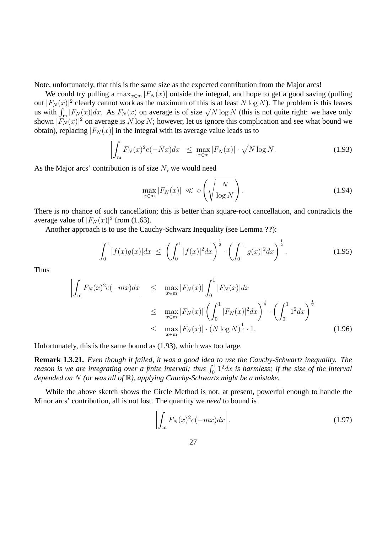Note, unfortunately, that this is the same size as the expected contribution from the Major arcs!

We could try pulling a  $\max_{x \in \mathbb{R}} |F_N(x)|$  outside the integral, and hope to get a good saving (pulling out  $|F_N(x)|^2$  clearly cannot work as the maximum of this is at least  $N \log N$ ). The problem is this leaves out  $|F_N(x)|$  clearly cannot work as the maximum of this is at least N log N). The problem is this leaves<br>us with  $\int_m |F_N(x)| dx$ . As  $F_N(x)$  on average is of size  $\sqrt{N \log N}$  (this is not quite right: we have only shown  $|F_N(x)|^2$  on average is N log N; however, let us ignore this complication and see what bound we obtain), replacing  $|F_N(x)|$  in the integral with its average value leads us to

$$
\left| \int_{\mathbf{m}} F_N(x)^2 e(-Nx) dx \right| \leq \max_{x \in \mathbf{m}} |F_N(x)| \cdot \sqrt{N \log N}.
$$
 (1.93)

As the Major arcs' contribution is of size  $N$ , we would need

$$
\max_{x \in \mathbf{m}} |F_N(x)| \ll o\left(\sqrt{\frac{N}{\log N}}\right). \tag{1.94}
$$

There is no chance of such cancellation; this is better than square-root cancellation, and contradicts the average value of  $|F_N(x)|^2$  from (1.63).

Another approach is to use the Cauchy-Schwarz Inequality (see Lemma **??**):

$$
\int_0^1 |f(x)g(x)|dx \le \left(\int_0^1 |f(x)|^2 dx\right)^{\frac{1}{2}} \cdot \left(\int_0^1 |g(x)|^2 dx\right)^{\frac{1}{2}}.
$$
 (1.95)

Thus

$$
\left| \int_{m} F_{N}(x)^{2} e(-mx) dx \right| \leq \max_{x \in m} |F_{N}(x)| \int_{0}^{1} |F_{N}(x)| dx
$$
  
\n
$$
\leq \max_{x \in m} |F_{N}(x)| \left( \int_{0}^{1} |F_{N}(x)|^{2} dx \right)^{\frac{1}{2}} \cdot \left( \int_{0}^{1} 1^{2} dx \right)^{\frac{1}{2}}
$$
  
\n
$$
\leq \max_{x \in m} |F_{N}(x)| \cdot (N \log N)^{\frac{1}{2}} \cdot 1. \tag{1.96}
$$

Unfortunately, this is the same bound as (1.93), which was too large.

**Remark 1.3.21.** *Even though it failed, it was a good idea to use the Cauchy-Schwartz inequality. The reason is we are integrating over a finite interval; thus*  $\int_0^1 1^2 dx$  *is harmless; if the size of the interval depended on* N *(or was all of* R*), applying Cauchy-Schwartz might be a mistake.*

While the above sketch shows the Circle Method is not, at present, powerful enough to handle the Minor arcs' contribution, all is not lost. The quantity we *need* to bound is

$$
\left| \int_{\mathbf{m}} F_N(x)^2 e(-mx) dx \right|.
$$
 (1.97)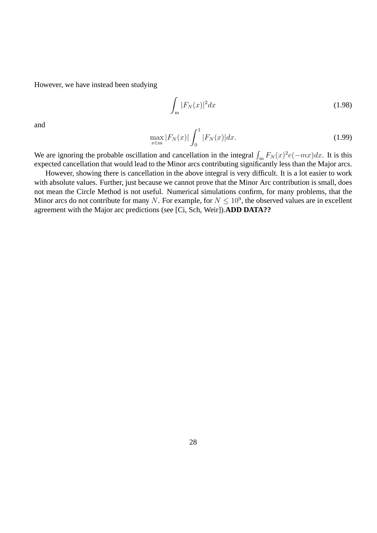However, we have instead been studying

$$
\int_{\mathbf{m}} |F_N(x)|^2 dx \tag{1.98}
$$

and

$$
\max_{x \in \mathbf{m}} |F_N(x)| \int_0^1 |F_N(x)| dx.
$$
 (1.99)

We are ignoring the probable oscillation and cancellation in the integral  $\int_{m} F_N(x)^2 e(-mx) dx$ . It is this expected cancellation that would lead to the Minor arcs contributing significantly less than the Major arcs.

However, showing there is cancellation in the above integral is very difficult. It is a lot easier to work with absolute values. Further, just because we cannot prove that the Minor Arc contribution is small, does not mean the Circle Method is not useful. Numerical simulations confirm, for many problems, that the Minor arcs do not contribute for many N. For example, for  $N \leq 10^9$ , the observed values are in excellent agreement with the Major arc predictions (see [Ci, Sch, Weir]).**ADD DATA??**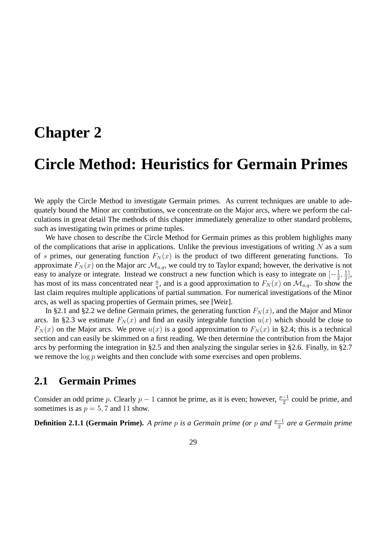## **Chapter 2**

## **Circle Method: Heuristics for Germain Primes**

We apply the Circle Method to investigate Germain primes. As current techniques are unable to adequately bound the Minor arc contributions, we concentrate on the Major arcs, where we perform the calculations in great detail The methods of this chapter immediately generalize to other standard problems, such as investigating twin primes or prime tuples.

We have chosen to describe the Circle Method for Germain primes as this problem highlights many of the complications that arise in applications. Unlike the previous investigations of writing  $N$  as a sum of s primes, our generating function  $F_N(x)$  is the product of two different generating functions. To approximate  $F_N(x)$  on the Major arc  $\mathcal{M}_{a,q}$ , we could try to Taylor expand; however, the derivative is not easy to analyze or integrate. Instead we construct a new function which is easy to integrate on  $[-\frac{1}{2}]$  $\frac{1}{2}, \frac{1}{2}$  $\frac{1}{2}$ , has most of its mass concentrated near  $\frac{a}{q}$ , and is a good approximation to  $F_N(x)$  on  $\mathcal{M}_{a,q}$ . To show the last claim requires multiple applications of partial summation. For numerical investigations of the Minor arcs, as well as spacing properties of Germain primes, see [Weir].

In §2.1 and §2.2 we define Germain primes, the generating function  $F_N(x)$ , and the Major and Minor arcs. In §2.3 we estimate  $F_N(x)$  and find an easily integrable function  $u(x)$  which should be close to  $F_N(x)$  on the Major arcs. We prove  $u(x)$  is a good approximation to  $F_N(x)$  in §2.4; this is a technical section and can easily be skimmed on a first reading. We then determine the contribution from the Major arcs by performing the integration in §2.5 and then analyzing the singular series in §2.6. Finally, in §2.7 we remove the  $\log p$  weights and then conclude with some exercises and open problems.

### **2.1 Germain Primes**

Consider an odd prime p. Clearly  $p-1$  cannot be prime, as it is even; however,  $\frac{p-1}{2}$  could be prime, and sometimes is as  $p = 5, 7$  and 11 show.

**Definition 2.1.1 (Germain Prime).** *A prime p is a Germain prime (or p and*  $\frac{p-1}{2}$  *are a Germain prime*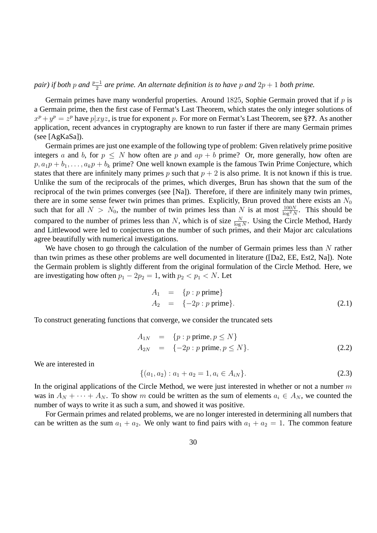*pair) if both p and*  $\frac{p-1}{2}$  *are prime. An alternate definition is to have p and*  $2p + 1$  *both prime.* 

Germain primes have many wonderful properties. Around 1825, Sophie Germain proved that if  $p$  is a Germain prime, then the first case of Fermat's Last Theorem, which states the only integer solutions of  $x^p + y^p = z^p$  have  $p|xyz$ , is true for exponent p. For more on Fermat's Last Theorem, see §??. As another application, recent advances in cryptography are known to run faster if there are many Germain primes (see [AgKaSa]).

Germain primes are just one example of the following type of problem: Given relatively prime positive integers a and b, for  $p \leq N$  how often are p and  $ap + b$  prime? Or, more generally, how often are  $p, a_1p + b_1, \ldots, a_kp + b_k$  prime? One well known example is the famous Twin Prime Conjecture, which states that there are infinitely many primes p such that  $p + 2$  is also prime. It is not known if this is true. Unlike the sum of the reciprocals of the primes, which diverges, Brun has shown that the sum of the reciprocal of the twin primes converges (see [Na]). Therefore, if there are infinitely many twin primes, there are in some sense fewer twin primes than primes. Explicitly, Brun proved that there exists an  $N_0$ such that for all  $N > N_0$ , the number of twin primes less than N is at most  $\frac{100N}{\log^2 N}$ . This should be compared to the number of primes less than N, which is of size  $\frac{N}{\log N}$ . Using the Circle Method, Hardy and Littlewood were led to conjectures on the number of such primes, and their Major arc calculations agree beautifully with numerical investigations.

We have chosen to go through the calculation of the number of Germain primes less than  $N$  rather than twin primes as these other problems are well documented in literature ([Da2, EE, Est2, Na]). Note the Germain problem is slightly different from the original formulation of the Circle Method. Here, we are investigating how often  $p_1 - 2p_2 = 1$ , with  $p_2 < p_1 < N$ . Let

$$
A_1 = \{p : p \text{ prime}\}
$$
  
\n
$$
A_2 = \{-2p : p \text{ prime}\}.
$$
\n(2.1)

To construct generating functions that converge, we consider the truncated sets

$$
A_{1N} = \{p : p \text{ prime}, p \le N\}
$$
  
\n
$$
A_{2N} = \{-2p : p \text{ prime}, p \le N\}.
$$
\n(2.2)

We are interested in

$$
\{(a_1, a_2) : a_1 + a_2 = 1, a_i \in A_{iN}\}.
$$
\n(2.3)

In the original applications of the Circle Method, we were just interested in whether or not a number  $m$ was in  $A_N + \cdots + A_N$ . To show m could be written as the sum of elements  $a_i \in A_N$ , we counted the number of ways to write it as such a sum, and showed it was positive.

For Germain primes and related problems, we are no longer interested in determining all numbers that can be written as the sum  $a_1 + a_2$ . We only want to find pairs with  $a_1 + a_2 = 1$ . The common feature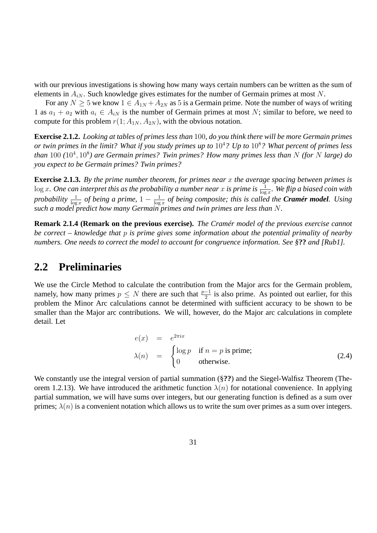with our previous investigations is showing how many ways certain numbers can be written as the sum of elements in  $A_{iN}$ . Such knowledge gives estimates for the number of Germain primes at most N.

For any  $N \ge 5$  we know  $1 \in A_{1N} + A_{2N}$  as 5 is a Germain prime. Note the number of ways of writing 1 as  $a_1 + a_2$  with  $a_i \in A_{iN}$  is the number of Germain primes at most N; similar to before, we need to compute for this problem  $r(1; A_{1N}, A_{2N})$ , with the obvious notation.

**Exercise 2.1.2.** *Looking at tables of primes less than* 100*, do you think there will be more Germain primes or twin primes in the limit? What if you study primes up to* 10<sup>4</sup>*? Up to* 10<sup>8</sup>*? What percent of primes less than* 100 *(*10<sup>4</sup> , 10<sup>8</sup> *) are Germain primes? Twin primes? How many primes less than* N *(for* N *large) do you expect to be Germain primes? Twin primes?*

**Exercise 2.1.3.** *By the prime number theorem, for primes near* x *the average spacing between primes is*  $\log x.$  One can interpret this as the probability a number near  $x$  is prime is  $\frac{1}{\log x}.$  We flip a biased coin with probability  $\frac{1}{\log x}$  of being a prime,  $1 - \frac{1}{\log x}$ log x *of being composite; this is called the Cramér model. Using such a model predict how many Germain primes and twin primes are less than* N*.*

**Remark 2.1.4 (Remark on the previous exercise).** *The Cramér model of the previous exercise cannot be correct – knowledge that* p *is prime gives some information about the potential primality of nearby numbers. One needs to correct the model to account for congruence information. See §***??** *and [Rub1].*

### **2.2 Preliminaries**

We use the Circle Method to calculate the contribution from the Major arcs for the Germain problem, namely, how many primes  $p \leq N$  there are such that  $\frac{p-1}{2}$  is also prime. As pointed out earlier, for this problem the Minor Arc calculations cannot be determined with sufficient accuracy to be shown to be smaller than the Major arc contributions. We will, however, do the Major arc calculations in complete detail. Let

$$
e(x) = e^{2\pi ix}
$$
  
\n
$$
\lambda(n) = \begin{cases} \log p & \text{if } n = p \text{ is prime;} \\ 0 & \text{otherwise.} \end{cases}
$$
 (2.4)

We constantly use the integral version of partial summation (§**??**) and the Siegel-Walfisz Theorem (Theorem 1.2.13). We have introduced the arithmetic function  $\lambda(n)$  for notational convenience. In applying partial summation, we will have sums over integers, but our generating function is defined as a sum over primes;  $\lambda(n)$  is a convenient notation which allows us to write the sum over primes as a sum over integers.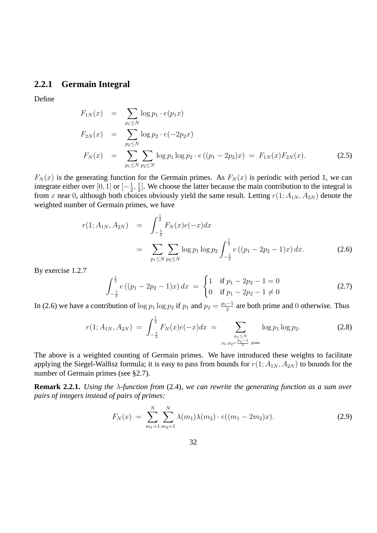### **2.2.1 Germain Integral**

Define

$$
F_{1N}(x) = \sum_{p_1 \le N} \log p_1 \cdot e(p_1 x)
$$
  
\n
$$
F_{2N}(x) = \sum_{p_2 \le N} \log p_2 \cdot e(-2p_2 x)
$$
  
\n
$$
F_N(x) = \sum_{p_1 \le N} \sum_{p_2 \le N} \log p_1 \log p_2 \cdot e((p_1 - 2p_2)x) = F_{1N}(x)F_{2N}(x).
$$
\n(2.5)

 $F_N(x)$  is the generating function for the Germain primes. As  $F_N(x)$  is periodic with period 1, we can integrate either over [0, 1] or  $\left[-\frac{1}{2}\right]$  $\frac{1}{2}, \frac{1}{2}$  $\frac{1}{2}$ . We choose the latter because the main contribution to the integral is from x near 0, although both choices obviously yield the same result. Letting  $r(1; A_{1N}, A_{2N})$  denote the weighted number of Germain primes, we have

$$
r(1; A_{1N}, A_{2N}) = \int_{-\frac{1}{2}}^{\frac{1}{2}} F_N(x) e(-x) dx
$$
  
= 
$$
\sum_{p_1 \le N} \sum_{p_2 \le N} \log p_1 \log p_2 \int_{-\frac{1}{2}}^{\frac{1}{2}} e((p_1 - 2p_2 - 1)x) dx.
$$
 (2.6)

By exercise 1.2.7

$$
\int_{-\frac{1}{2}}^{\frac{1}{2}} e((p_1 - 2p_2 - 1)x) dx = \begin{cases} 1 & \text{if } p_1 - 2p_2 - 1 = 0 \\ 0 & \text{if } p_1 - 2p_2 - 1 \neq 0 \end{cases}
$$
 (2.7)

In (2.6) we have a contribution of  $\log p_1 \log p_2$  if  $p_1$  and  $p_2 = \frac{p_1-1}{2}$  $\frac{-1}{2}$  are both prime and 0 otherwise. Thus

$$
r(1; A_{1N}, A_{2N}) = \int_{-\frac{1}{2}}^{\frac{1}{2}} F_N(x) e(-x) dx = \sum_{\substack{p_1 \le N \\ p_1, p_2 = \frac{p_1 - 1}{2} \text{ prime}}} \log p_1 \log p_2.
$$
 (2.8)

The above is a weighted counting of Germain primes. We have introduced these weights to facilitate applying the Siegel-Walfisz formula; it is easy to pass from bounds for  $r(1; A_{1N}, A_{2N})$  to bounds for the number of Germain primes (see §2.7).

**Remark 2.2.1.** *Using the* λ*-function from* (2.4)*, we can rewrite the generating function as a sum over pairs of integers instead of pairs of primes:*

$$
F_N(x) = \sum_{m_1=1}^N \sum_{m_2=1}^N \lambda(m_1) \lambda(m_2) \cdot e((m_1 - 2m_2)x). \tag{2.9}
$$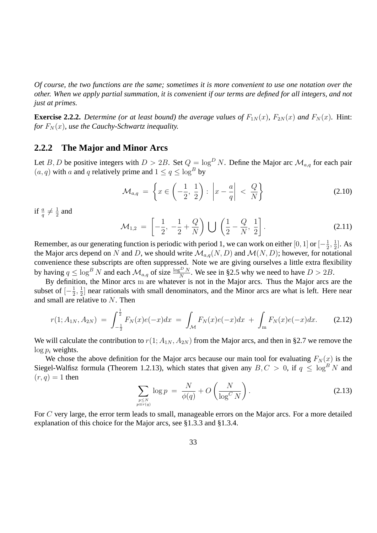*Of course, the two functions are the same; sometimes it is more convenient to use one notation over the other. When we apply partial summation, it is convenient if our terms are defined for all integers, and not just at primes.*

**Exercise 2.2.2.** Determine (or at least bound) the average values of  $F_{1N}(x)$ ,  $F_{2N}(x)$  and  $F_N(x)$ . Hint: *for*  $F_N(x)$ *, use the Cauchy-Schwartz inequality.* 

### **2.2.2 The Major and Minor Arcs**

Let B, D be positive integers with  $D > 2B$ . Set  $Q = \log^D N$ . Define the Major arc  $\mathcal{M}_{a,q}$  for each pair  $(a, q)$  with a and q relatively prime and  $1 \leq q \leq \log^B$  by

$$
\mathcal{M}_{a,q} = \left\{ x \in \left( -\frac{1}{2}, \frac{1}{2} \right) : \left| x - \frac{a}{q} \right| < \frac{Q}{N} \right\} \tag{2.10}
$$

if  $\frac{a}{q}\neq \frac{1}{2}$  $\frac{1}{2}$  and

$$
\mathcal{M}_{1,2} = \left[ -\frac{1}{2}, -\frac{1}{2} + \frac{Q}{N} \right) \bigcup \left( \frac{1}{2} - \frac{Q}{N}, \frac{1}{2} \right]. \tag{2.11}
$$

Remember, as our generating function is periodic with period 1, we can work on either [0, 1] or  $\left[-\frac{1}{2}\right]$  $\frac{1}{2}, \frac{1}{2}$  $\frac{1}{2}$ . As the Major arcs depend on N and D, we should write  $\mathcal{M}_{a,q}(N, D)$  and  $\mathcal{M}(N, D)$ ; however, for notational convenience these subscripts are often suppressed. Note we are giving ourselves a little extra flexibility by having  $q \le \log^B N$  and each  $\mathcal{M}_{a,q}$  of size  $\frac{\log^D N}{N}$ . We see in §2.5 why we need to have  $D > 2B$ .

By definition, the Minor arcs m are whatever is not in the Major arcs. Thus the Major arcs are the subset of  $\left[-\frac{1}{2}\right]$  $\frac{1}{2}, \frac{1}{2}$  $\frac{1}{2}$  near rationals with small denominators, and the Minor arcs are what is left. Here near and small are relative to N. Then

$$
r(1; A_{1N}, A_{2N}) = \int_{-\frac{1}{2}}^{\frac{1}{2}} F_N(x)e(-x)dx = \int_{\mathcal{M}} F_N(x)e(-x)dx + \int_{\mathfrak{m}} F_N(x)e(-x)dx.
$$
 (2.12)

We will calculate the contribution to  $r(1; A_{1N}, A_{2N})$  from the Major arcs, and then in §2.7 we remove the  $\log p_i$  weights.

We chose the above definition for the Major arcs because our main tool for evaluating  $F_N(x)$  is the Siegel-Walfisz formula (Theorem 1.2.13), which states that given any  $B, C > 0$ , if  $q \leq \log^B N$  and  $(r, q) = 1$  then

$$
\sum_{\substack{p \le N \\ p \equiv r(q)}} \log p = \frac{N}{\phi(q)} + O\left(\frac{N}{\log^C N}\right). \tag{2.13}
$$

For C very large, the error term leads to small, manageable errors on the Major arcs. For a more detailed explanation of this choice for the Major arcs, see §1.3.3 and §1.3.4.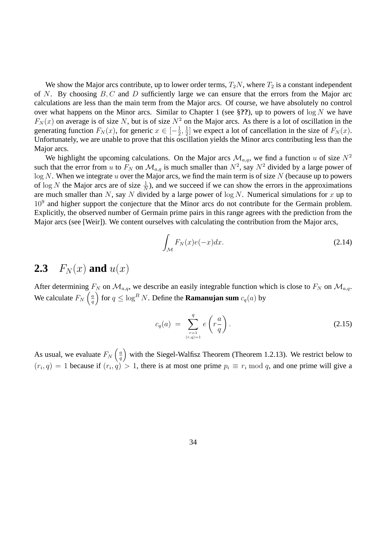We show the Major arcs contribute, up to lower order terms,  $T_2N$ , where  $T_2$  is a constant independent of N. By choosing  $B, C$  and D sufficiently large we can ensure that the errors from the Major arc calculations are less than the main term from the Major arcs. Of course, we have absolutely no control over what happens on the Minor arcs. Similar to Chapter 1 (see §**??**), up to powers of log N we have  $F_N(x)$  on average is of size N, but is of size  $N^2$  on the Major arcs. As there is a lot of oscillation in the generating function  $F_N(x)$ , for generic  $x \in \left[-\frac{1}{2}\right]$  $\frac{1}{2}, \frac{1}{2}$  $\frac{1}{2}$  we expect a lot of cancellation in the size of  $F_N(x)$ . Unfortunately, we are unable to prove that this oscillation yields the Minor arcs contributing less than the Major arcs.

We highlight the upcoming calculations. On the Major arcs  $\mathcal{M}_{a,q}$ , we find a function u of size  $N^2$ such that the error from u to  $F_N$  on  $\mathcal{M}_{a,q}$  is much smaller than  $N^2$ , say  $N^2$  divided by a large power of  $\log N$ . When we integrate u over the Major arcs, we find the main term is of size N (because up to powers of  $\log N$  the Major arcs are of size  $\frac{1}{N}$ ), and we succeed if we can show the errors in the approximations are much smaller than N, say N divided by a large power of  $\log N$ . Numerical simulations for x up to 10<sup>9</sup> and higher support the conjecture that the Minor arcs do not contribute for the Germain problem. Explicitly, the observed number of Germain prime pairs in this range agrees with the prediction from the Major arcs (see [Weir]). We content ourselves with calculating the contribution from the Major arcs,

$$
\int_{\mathcal{M}} F_N(x)e(-x)dx.
$$
\n(2.14)

### **2.3**  $F_N(x)$  and  $u(x)$

After determining  $F_N$  on  $\mathcal{M}_{a,q}$ , we describe an easily integrable function which is close to  $F_N$  on  $\mathcal{M}_{a,q}$ . We calculate  $F_N\left(\frac{a}{a}\right)$  $\left(\frac{a}{q}\right)$  for  $q \leq \log^B N$ . Define the **Ramanujan sum**  $c_q(a)$  by

$$
c_q(a) = \sum_{\substack{r=1 \ (r,q)=1}}^q e\left(r\frac{a}{q}\right).
$$
 (2.15)

As usual, we evaluate  $F_N\left(\frac{a}{a}\right)$  $\frac{a}{q}$ ) with the Siegel-Walfisz Theorem (Theorem 1.2.13). We restrict below to  $(r_i, q) = 1$  because if  $(r_i, q) > 1$ , there is at most one prime  $p_i \equiv r_i \mod q$ , and one prime will give a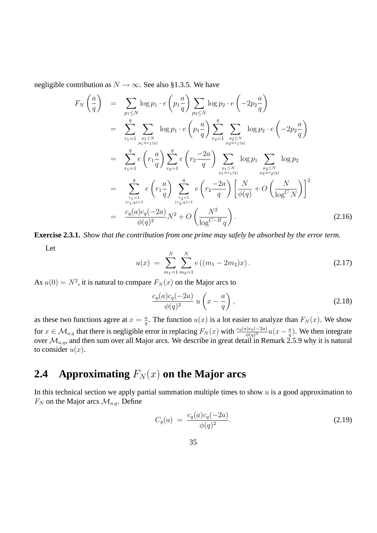negligible contribution as  $N \to \infty$ . See also §1.3.5. We have

$$
F_N\left(\frac{a}{q}\right) = \sum_{p_1 \leq N} \log p_1 \cdot e\left(p_1 \frac{a}{q}\right) \sum_{p_2 \leq N} \log p_2 \cdot e\left(-2p_2 \frac{a}{q}\right)
$$
  
\n
$$
= \sum_{r_1=1}^q \sum_{p_1 \leq N \atop p_1 \equiv r_1(q)} \log p_1 \cdot e\left(p_1 \frac{a}{q}\right) \sum_{r_2=1}^q \sum_{p_2 \leq N \atop p_2 \equiv r_1(q)} \log p_2 \cdot e\left(-2p_2 \frac{a}{q}\right)
$$
  
\n
$$
= \sum_{r_1=1}^q e\left(r_1 \frac{a}{q}\right) \sum_{r_2=1}^q e\left(r_2 \frac{-2a}{q}\right) \sum_{p_1 \leq N \atop p_1 \equiv r_1(q)} \log p_1 \sum_{p_2 \leq N \atop p_2 \equiv r_2(q)} \log p_2
$$
  
\n
$$
= \sum_{r_1=1 \atop (r_1,q)=1}^q e\left(r_1 \frac{a}{q}\right) \sum_{r_2=1 \atop (r_2,q)=1}^q e\left(r_2 \frac{-2a}{q}\right) \left[\frac{N}{\phi(q)} + O\left(\frac{N}{\log^C N}\right)\right]^2
$$
  
\n
$$
= \frac{c_q(a)c_q(-2a)}{\phi(q)^2} N^2 + O\left(\frac{N^2}{\log^{C-B} q}\right).
$$
 (2.16)

**Exercise 2.3.1.** *Show that the contribution from one prime may safely be absorbed by the error term.* Let

$$
u(x) = \sum_{m_1=1}^{N} \sum_{m_2=1}^{N} e((m_1 - 2m_2)x).
$$
 (2.17)

As  $u(0) = N^2$ , it is natural to compare  $F_N(x)$  on the Major arcs to

$$
\frac{c_q(a)c_q(-2a)}{\phi(q)^2} u\left(x - \frac{a}{q}\right),\tag{2.18}
$$

as these two functions agree at  $x = \frac{a}{a}$  $\frac{a}{q}$ . The function  $u(x)$  is a lot easier to analyze than  $F_N(x)$ . We show for  $x \in \mathcal{M}_{a,q}$  that there is negligible error in replacing  $F_N(x)$  with  $\frac{c_q(a)c_q(-2a)}{\phi(q)^2}u(x-\frac{a}{q})$  $\frac{a}{q}$ ). We then integrate over  $\mathcal{M}_{a,q}$ , and then sum over all Major arcs. We describe in great detail in Remark 2.5.9 why it is natural to consider  $u(x)$ .

### **2.4** Approximating  $F_N(x)$  on the Major arcs

In this technical section we apply partial summation multiple times to show  $u$  is a good approximation to  $F_N$  on the Major arcs  $\mathcal{M}_{a,q}$ . Define

$$
C_q(a) = \frac{c_q(a)c_q(-2a)}{\phi(q)^2}.
$$
\n(2.19)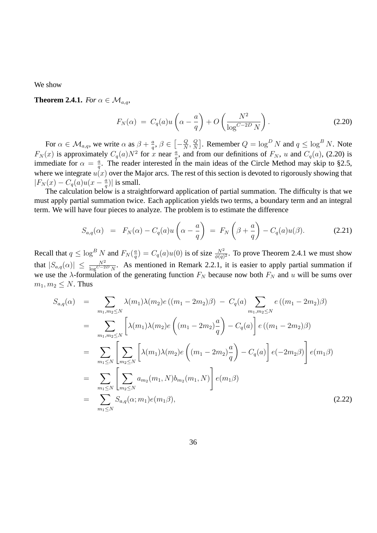We show

**Theorem 2.4.1.** *For*  $\alpha \in \mathcal{M}_{q,q}$ ,

$$
F_N(\alpha) = C_q(a)u\left(\alpha - \frac{a}{q}\right) + O\left(\frac{N^2}{\log^{C-2D} N}\right). \tag{2.20}
$$

For  $\alpha \in \mathcal{M}_{a,q}$ , we write  $\alpha$  as  $\beta + \frac{a}{a}$  $\frac{a}{q}, \beta \in \left[-\frac{Q}{N}\right]$  $\frac{Q}{N}, \frac{Q}{N}$  $\frac{Q}{N}$ . Remember  $Q = \log^D N$  and  $q \leq \log^B N$ . Note  $F_N(x)$  is approximately  $C_q(a)N^2$  for x near  $\frac{a}{q}$ , and from our definitions of  $F_N$ , u and  $C_q(a)$ , (2.20) is immediate for  $\alpha = \frac{a}{a}$  $\frac{a}{q}$ . The reader interested in the main ideas of the Circle Method may skip to §2.5, where we integrate  $u(x)$  over the Major arcs. The rest of this section is devoted to rigorously showing that  $|F_N(x) - C_q(a)u(x - \frac{a}{a})|$  $\frac{a}{q})|$  is small.

The calculation below is a straightforward application of partial summation. The difficulty is that we must apply partial summation twice. Each application yields two terms, a boundary term and an integral term. We will have four pieces to analyze. The problem is to estimate the difference

$$
S_{a,q}(\alpha) = F_N(\alpha) - C_q(a)u\left(\alpha - \frac{a}{q}\right) = F_N\left(\beta + \frac{a}{q}\right) - C_q(a)u(\beta).
$$
 (2.21)

Recall that  $q \leq \log^B N$  and  $F_N(\frac{a}{q})$  $\frac{a}{q}$ ) =  $C_q(a)u(0)$  is of size  $\frac{N^2}{\phi(q)^2}$ . To prove Theorem 2.4.1 we must show that  $|S_{a,q}(\alpha)| \leq \frac{N^2}{\log^{C-2D} N}$ . As mentioned in Remark 2.2.1, it is easier to apply partial summation if we use the  $\lambda$ -formulation of the generating function  $F_N$  because now both  $F_N$  and u will be sums over  $m_1, m_2 \leq N$ . Thus

$$
S_{a,q}(\alpha) = \sum_{m_1, m_2 \le N} \lambda(m_1) \lambda(m_2) e((m_1 - 2m_2)\beta) - C_q(a) \sum_{m_1, m_2 \le N} e((m_1 - 2m_2)\beta)
$$
  
\n
$$
= \sum_{m_1, m_2 \le N} \left[ \lambda(m_1) \lambda(m_2) e((m_1 - 2m_2)\frac{a}{q}) - C_q(a) \right] e((m_1 - 2m_2)\beta)
$$
  
\n
$$
= \sum_{m_1 \le N} \left[ \sum_{m_2 \le N} \left[ \lambda(m_1) \lambda(m_2) e((m_1 - 2m_2)\frac{a}{q}) - C_q(a) \right] e(-2m_2\beta) \right] e(m_1\beta)
$$
  
\n
$$
= \sum_{m_1 \le N} \left[ \sum_{m_2 \le N} a_{m_2}(m_1, N) b_{m_2}(m_1, N) \right] e(m_1\beta)
$$
  
\n
$$
= \sum_{m_1 \le N} S_{a,q}(\alpha; m_1) e(m_1\beta), \qquad (2.22)
$$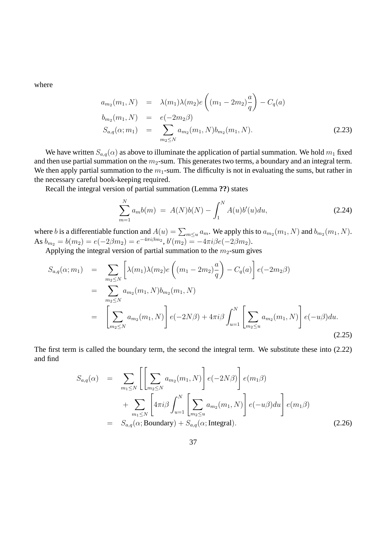where

$$
a_{m_2}(m_1, N) = \lambda(m_1)\lambda(m_2)e\left((m_1 - 2m_2)\frac{a}{q}\right) - C_q(a)
$$
  
\n
$$
b_{m_2}(m_1, N) = e(-2m_2\beta)
$$
  
\n
$$
S_{a,q}(\alpha; m_1) = \sum_{m_2 \le N} a_{m_2}(m_1, N)b_{m_2}(m_1, N).
$$
\n(2.23)

We have written  $S_{a,q}(\alpha)$  as above to illuminate the application of partial summation. We hold  $m_1$  fixed and then use partial summation on the  $m_2$ -sum. This generates two terms, a boundary and an integral term. We then apply partial summation to the  $m_1$ -sum. The difficulty is not in evaluating the sums, but rather in the necessary careful book-keeping required.

Recall the integral version of partial summation (Lemma **??**) states

$$
\sum_{m=1}^{N} a_m b(m) = A(N)b(N) - \int_1^N A(u)b'(u)du,
$$
\n(2.24)

where b is a differentiable function and  $A(u) = \sum_{m \le u} a_m$ . We apply this to  $a_{m_2}(m_1, N)$  and  $b_{m_2}(m_1, N)$ . As  $b_{m_2} = b(m_2) = e(-2\beta m_2) = e^{-4\pi i \beta m_2}$ ,  $b'(m_2) = -4\pi i \beta e(-2\beta m_2)$ .

Applying the integral version of partial summation to the  $m_2$ -sum gives

$$
S_{a,q}(\alpha; m_1) = \sum_{m_2 \le N} \left[ \lambda(m_1) \lambda(m_2) e \left( (m_1 - 2m_2) \frac{a}{q} \right) - C_q(a) \right] e(-2m_2 \beta)
$$
  
\n
$$
= \sum_{m_2 \le N} a_{m_2}(m_1, N) b_{m_2}(m_1, N)
$$
  
\n
$$
= \left[ \sum_{m_2 \le N} a_{m_2}(m_1, N) \right] e(-2N\beta) + 4\pi i \beta \int_{u=1}^N \left[ \sum_{m_2 \le u} a_{m_2}(m_1, N) \right] e(-u\beta) du.
$$
\n(2.25)

The first term is called the boundary term, the second the integral term. We substitute these into (2.22) and find

$$
S_{a,q}(\alpha) = \sum_{m_1 \leq N} \left[ \left[ \sum_{m_2 \leq N} a_{m_2}(m_1, N) \right] e(-2N\beta) \right] e(m_1\beta)
$$
  
+ 
$$
\sum_{m_1 \leq N} \left[ 4\pi i \beta \int_{u=1}^N \left[ \sum_{m_2 \leq u} a_{m_2}(m_1, N) \right] e(-u\beta) du \right] e(m_1\beta)
$$
  
= 
$$
S_{a,q}(\alpha; \text{Boundary}) + S_{a,q}(\alpha; \text{Integral}).
$$
 (2.26)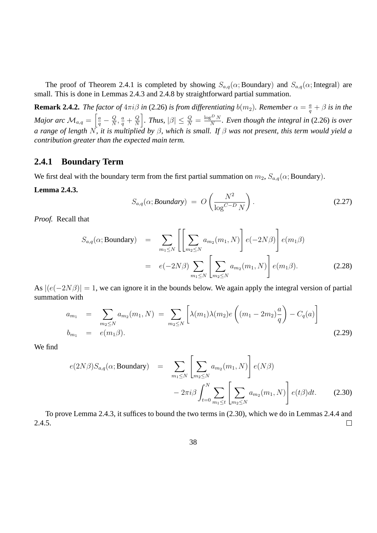The proof of Theorem 2.4.1 is completed by showing  $S_{a,q}(\alpha)$ ; Boundary) and  $S_{a,q}(\alpha)$ ; Integral) are small. This is done in Lemmas 2.4.3 and 2.4.8 by straightforward partial summation.

**Remark 2.4.2.** *The factor of*  $4\pi i\beta$  *in* (2.26) *is from differentiating*  $b(m_2)$ *. Remember*  $\alpha = \frac{a}{q} + \beta$  *is in the* Major arc  $\mathcal{M}_{a,q}=\Bigl[\frac{a}{q}-\frac{Q}{N}\Bigr]$  $\frac{Q}{N}, \frac{a}{q} + \frac{Q}{N}$  $\frac{Q}{N}$ . Thus,  $|\beta| \leq \frac{Q}{N} = \frac{\log^D N}{N}$ N *. Even though the integral in* (2.26) *is over a range of length* N*, it is multiplied by* β*, which is small. If* β *was not present, this term would yield a contribution greater than the expected main term.*

#### **2.4.1 Boundary Term**

We first deal with the boundary term from the first partial summation on  $m_2$ ,  $S_{a,q}(\alpha)$ ; Boundary).

#### **Lemma 2.4.3.**

$$
S_{a,q}(\alpha; \text{Boundary}) = O\left(\frac{N^2}{\log^{C-D} N}\right). \tag{2.27}
$$

*Proof.* Recall that

$$
S_{a,q}(\alpha; \text{Boundary}) = \sum_{m_1 \leq N} \left[ \left[ \sum_{m_2 \leq N} a_{m_2}(m_1, N) \right] e(-2N\beta) \right] e(m_1\beta)
$$
  
=  $e(-2N\beta) \sum_{m_1 \leq N} \left[ \sum_{m_2 \leq N} a_{m_2}(m_1, N) \right] e(m_1\beta).$  (2.28)

As  $|(e(-2N\beta))| = 1$ , we can ignore it in the bounds below. We again apply the integral version of partial summation with

$$
a_{m_1} = \sum_{m_2 \le N} a_{m_2}(m_1, N) = \sum_{m_2 \le N} \left[ \lambda(m_1) \lambda(m_2) e\left( (m_1 - 2m_2) \frac{a}{q} \right) - C_q(a) \right]
$$
  
\n
$$
b_{m_1} = e(m_1 \beta).
$$
\n(2.29)

We find

$$
e(2N\beta)S_{a,q}(\alpha; \text{Boundary}) = \sum_{m_1 \leq N} \left[ \sum_{m_2 \leq N} a_{m_2}(m_1, N) \right] e(N\beta)
$$

$$
-2\pi i \beta \int_{t=0}^{N} \sum_{m_1 \leq t} \left[ \sum_{m_2 \leq N} a_{m_2}(m_1, N) \right] e(t\beta) dt. \tag{2.30}
$$

To prove Lemma 2.4.3, it suffices to bound the two terms in (2.30), which we do in Lemmas 2.4.4 and 2.4.5.  $\Box$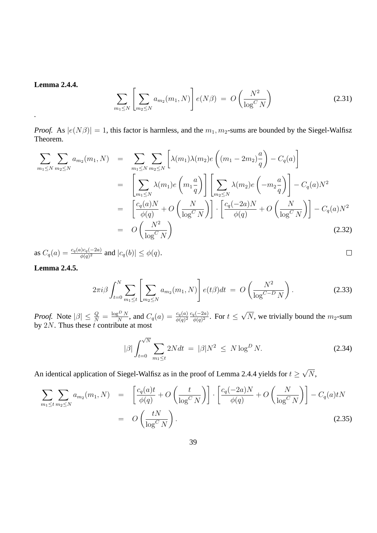**Lemma 2.4.4.**

*.*

$$
\sum_{m_1 \le N} \left[ \sum_{m_2 \le N} a_{m_2}(m_1, N) \right] e(N\beta) = O\left(\frac{N^2}{\log^C N}\right)
$$
 (2.31)

*Proof.* As  $|e(N\beta)| = 1$ , this factor is harmless, and the  $m_1, m_2$ -sums are bounded by the Siegel-Walfisz Theorem.

$$
\sum_{m_1 \leq N} \sum_{m_2 \leq N} a_{m_2}(m_1, N) = \sum_{m_1 \leq N} \sum_{m_2 \leq N} \left[ \lambda(m_1) \lambda(m_2) e\left((m_1 - 2m_2)\frac{a}{q}\right) - C_q(a) \right]
$$
  
\n
$$
= \left[ \sum_{m_1 \leq N} \lambda(m_1) e\left(m_1 \frac{a}{q}\right) \right] \left[ \sum_{m_2 \leq N} \lambda(m_2) e\left(-m_2 \frac{a}{q}\right) \right] - C_q(a)N^2
$$
  
\n
$$
= \left[ \frac{c_q(a)N}{\phi(q)} + O\left(\frac{N}{\log^C N}\right) \right] \cdot \left[ \frac{c_q(-2a)N}{\phi(q)} + O\left(\frac{N}{\log^C N}\right) \right] - C_q(a)N^2
$$
  
\n
$$
= O\left(\frac{N^2}{\log^C N}\right)
$$
\n(2.32)

as  $C_q(a) = \frac{c_q(a)c_q(-2a)}{\phi(q)^2}$  and  $|c_q(b)| \leq \phi(q)$ .  $\Box$ 

**Lemma 2.4.5.**

$$
2\pi i \beta \int_{t=0}^{N} \sum_{m_1 \le t} \left[ \sum_{m_2 \le N} a_{m_2}(m_1, N) \right] e(t\beta) dt = O\left(\frac{N^2}{\log^{C-D} N}\right).
$$
 (2.33)

*Proof.* Note  $|\beta| \leq \frac{Q}{N} = \frac{\log^D N}{N}$  $\frac{C_q(x)}{N},$  and  $C_q(a)=\frac{c_q(a)}{\phi(q)^2}\frac{c_q(-2a)}{\phi(q)^2}$  $\frac{q(-2a)}{\phi(q)^2}$ . For  $t \leq$ √ N, we trivially bound the  $m_2$ -sum by  $2N$ . Thus these t contribute at most

$$
|\beta| \int_{t=0}^{\sqrt{N}} \sum_{m_1 \le t} 2N dt = |\beta| N^2 \le N \log^D N. \tag{2.34}
$$

An identical application of Siegel-Walfisz as in the proof of Lemma 2.4.4 yields for  $t \geq$ √ N,

$$
\sum_{m_1 \leq t} \sum_{m_2 \leq N} a_{m_2}(m_1, N) = \left[ \frac{c_q(a)t}{\phi(q)} + O\left(\frac{t}{\log^C N}\right) \right] \cdot \left[ \frac{c_q(-2a)N}{\phi(q)} + O\left(\frac{N}{\log^C N}\right) \right] - C_q(a)tN
$$
\n
$$
= O\left(\frac{tN}{\log^C N}\right). \tag{2.35}
$$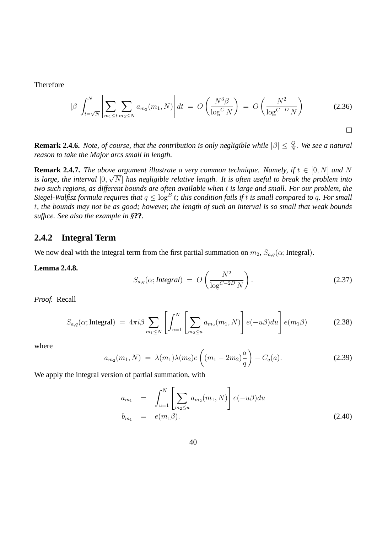Therefore

$$
|\beta| \int_{t=\sqrt{N}}^{N} \left| \sum_{m_1 \le t} \sum_{m_2 \le N} a_{m_2}(m_1, N) \right| dt = O\left(\frac{N^3 \beta}{\log^C N}\right) = O\left(\frac{N^2}{\log^{C-D} N}\right)
$$
 (2.36)

 $\Box$ 

**Remark 2.4.6.** *Note, of course, that the contribution is only negligible while*  $|\beta| \leq \frac{Q}{N}$ *. We see a natural reason to take the Major arcs small in length.*

**Remark 2.4.7.** *The above argument illustrate a very common technique. Namely, if*  $t \in [0, N]$  *and* N is large, the interval  $[0,\sqrt{N}]$  has negligible relative length. It is often useful to break the problem into *two such regions, as different bounds are often available when* t *is large and small. For our problem, the* Siegel-Walfisz formula requires that  $q \leq \log^B t$ ; this condition fails if  $t$  is small compared to  $q.$  For small t*, the bounds may not be as good; however, the length of such an interval is so small that weak bounds suffice. See also the example in §***??***.*

### **2.4.2 Integral Term**

We now deal with the integral term from the first partial summation on  $m_2$ ,  $S_{a,q}(\alpha)$ ; Integral).

**Lemma 2.4.8.**

$$
S_{a,q}(\alpha; Integral) = O\left(\frac{N^2}{\log^{C-2D} N}\right).
$$
\n(2.37)

*Proof.* Recall

$$
S_{a,q}(\alpha; \text{Integral}) = 4\pi i \beta \sum_{m_1 \le N} \left[ \int_{u=1}^N \left[ \sum_{m_2 \le u} a_{m_2}(m_1, N) \right] e(-u\beta) du \right] e(m_1\beta) \tag{2.38}
$$

where

$$
a_{m_2}(m_1, N) = \lambda(m_1)\lambda(m_2)e\left((m_1 - 2m_2)\frac{a}{q}\right) - C_q(a). \tag{2.39}
$$

We apply the integral version of partial summation, with

$$
a_{m_1} = \int_{u=1}^{N} \left[ \sum_{m_2 \le u} a_{m_2}(m_1, N) \right] e(-u\beta) du
$$
  
\n
$$
b_{m_1} = e(m_1\beta).
$$
\n(2.40)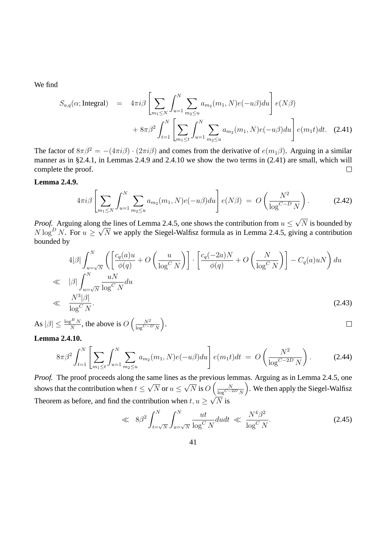We find

$$
S_{a,q}(\alpha; \text{Integral}) = 4\pi i \beta \left[ \sum_{m_1 \le N} \int_{u=1}^N \sum_{m_2 \le u} a_{m_2}(m_1, N) e(-u\beta) du \right] e(N\beta)
$$
  
+  $8\pi \beta^2 \int_{t=1}^N \left[ \sum_{m_1 \le t} \int_{u=1}^N \sum_{m_2 \le u} a_{m_2}(m_1, N) e(-u\beta) du \right] e(m_1 t) dt.$  (2.41)

The factor of  $8\pi\beta^2 = -(4\pi i\beta) \cdot (2\pi i\beta)$  and comes from the derivative of  $e(m_1\beta)$ . Arguing in a similar manner as in §2.4.1, in Lemmas 2.4.9 and 2.4.10 we show the two terms in (2.41) are small, which will complete the proof.  $\Box$ 

#### **Lemma 2.4.9.**

$$
4\pi i\beta \left[\sum_{m_1 \le N} \int_{u=1}^N \sum_{m_2 \le u} a_{m_2}(m_1, N) e(-u\beta) du\right] e(N\beta) = O\left(\frac{N^2}{\log^{C-D} N}\right).
$$
 (2.42)

*Proof.* Arguing along the lines of Lemma 2.4.5, one shows the contribution from  $u \leq$  $'N$  is bounded by  $N \log^D N$ . For  $u \geq$ √ N we apply the Siegel-Walfisz formula as in Lemma 2.4.5, giving a contribution bounded by

$$
4|\beta| \int_{u=\sqrt{N}}^{N} \left( \left[ \frac{c_q(a)u}{\phi(q)} + O\left( \frac{u}{\log^C N} \right) \right] \cdot \left[ \frac{c_q(-2a)N}{\phi(q)} + O\left( \frac{N}{\log^C N} \right) \right] - C_q(a)uN \right) du
$$
  
\n
$$
\ll |\beta| \int_{u=\sqrt{N}}^{N} \frac{uN}{\log^C N} du
$$
  
\n
$$
\ll \frac{N^3|\beta|}{\log^C N}.
$$
\n(2.43)

As  $|\beta| \leq \frac{\log^B N}{N}$ , the above is  $O\left(\frac{N^2}{\log^{C-1}}\right)$  $\log^{C-D} N$  . **Lemma 2.4.10.**

$$
8\pi\beta^2 \int_{t=1}^N \left[ \sum_{m_1 \le t} \int_{u=1}^N \sum_{m_2 \le u} a_{m_2}(m_1, N) e(-u\beta) du \right] e(m_1 t) dt = O\left(\frac{N^2}{\log^{C-2D} N}\right).
$$
 (2.44)

*Proof.* The proof proceeds along the same lines as the previous lemmas. Arguing as in Lemma 2.4.5, one shows that the contribution when  $t \leq$ √ N or  $u \leq$ √  $\overline{N}$  is  $O\left(\frac{N}{\log C - 1}\right)$  $\log^{C-2D} N$  . We then apply the Siegel-Walfisz Theorem as before, and find the contribution when  $t, u \ge \sqrt{N}$  is √

$$
\ll 8\beta^2 \int_{t=\sqrt{N}}^N \int_{u=\sqrt{N}}^N \frac{ut}{\log^C N} du dt \ll \frac{N^4 \beta^2}{\log^C N}.
$$
\n(2.45)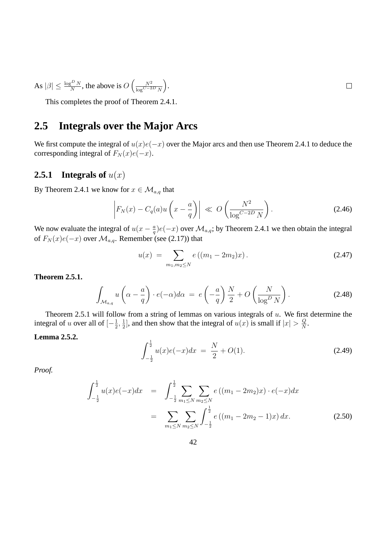As  $|\beta| \leq \frac{\log^D N}{N}$ , the above is  $O\left(\frac{N^2}{\log^{C-2}}\right)$  $\log^{C-2D} N$ .

This completes the proof of Theorem 2.4.1.

# **2.5 Integrals over the Major Arcs**

We first compute the integral of  $u(x)e(-x)$  over the Major arcs and then use Theorem 2.4.1 to deduce the corresponding integral of  $F_N(x)e(-x)$ .

### **2.5.1 Integrals of**  $u(x)$

By Theorem 2.4.1 we know for  $x \in \mathcal{M}_{a,q}$  that

$$
\left| F_N(x) - C_q(a) u\left(x - \frac{a}{q}\right) \right| \ll O\left(\frac{N^2}{\log^{C-2D} N}\right). \tag{2.46}
$$

We now evaluate the integral of  $u(x - \frac{a}{a})$  $\frac{a}{q}$ ) $e(-x)$  over  $\mathcal{M}_{a,q}$ ; by Theorem 2.4.1 we then obtain the integral of  $F_N(x)e(-x)$  over  $\mathcal{M}_{a,q}$ . Remember (see (2.17)) that

$$
u(x) = \sum_{m_1, m_2 \le N} e\left((m_1 - 2m_2)x\right).
$$
 (2.47)

**Theorem 2.5.1.**

$$
\int_{\mathcal{M}_{a,q}} u\left(\alpha - \frac{a}{q}\right) \cdot e(-\alpha) d\alpha = e\left(-\frac{a}{q}\right) \frac{N}{2} + O\left(\frac{N}{\log^D N}\right). \tag{2.48}
$$

Theorem 2.5.1 will follow from a string of lemmas on various integrals of  $u$ . We first determine the integral of u over all of  $\left[-\frac{1}{2}\right]$  $\frac{1}{2}, \frac{1}{2}$  $\frac{1}{2}$ , and then show that the integral of  $u(x)$  is small if  $|x| > \frac{Q}{N}$  $\frac{Q}{N}$ .

#### **Lemma 2.5.2.**

$$
\int_{-\frac{1}{2}}^{\frac{1}{2}} u(x)e(-x)dx = \frac{N}{2} + O(1).
$$
 (2.49)

*Proof.*

$$
\int_{-\frac{1}{2}}^{\frac{1}{2}} u(x)e(-x)dx = \int_{-\frac{1}{2}}^{\frac{1}{2}} \sum_{m_1 \le N} \sum_{m_2 \le N} e((m_1 - 2m_2)x) \cdot e(-x)dx
$$

$$
= \sum_{m_1 \le N} \sum_{m_2 \le N} \int_{-\frac{1}{2}}^{\frac{1}{2}} e((m_1 - 2m_2 - 1)x) dx.
$$
 (2.50)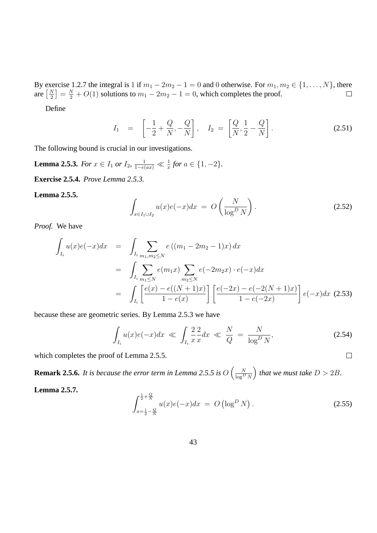By exercise 1.2.7 the integral is 1 if  $m_1 - 2m_2 - 1 = 0$  and 0 otherwise. For  $m_1, m_2 \in \{1, \ldots, N\}$ , there are  $\left[\frac{N}{2}\right]$  $\left\lfloor \frac{N}{2} \right\rfloor = \frac{N}{2} + O(1)$  solutions to  $m_1 - 2m_2 - 1 = 0$ , which completes the proof.  $\Box$ 

Define

$$
I_1 = \left[ -\frac{1}{2} + \frac{Q}{N}, -\frac{Q}{N} \right], \quad I_2 = \left[ \frac{Q}{N}, \frac{1}{2} - \frac{Q}{N} \right]. \tag{2.51}
$$

The following bound is crucial in our investigations.

**Lemma 2.5.3.** *For*  $x \in I_1$  *or*  $I_2$ ,  $\frac{1}{1-e(ax)} \ll \frac{1}{x}$  *for*  $a \in \{1, -2\}$ *.* **Exercise 2.5.4.** *Prove Lemma 2.5.3.*

**Lemma 2.5.5.**

$$
\int_{x \in I_1 \cup I_2} u(x)e(-x)dx = O\left(\frac{N}{\log^D N}\right).
$$
\n(2.52)

*Proof.* We have

$$
\int_{I_i} u(x)e(-x)dx = \int_{I_i} \sum_{m_1,m_2 \le N} e((m_1 - 2m_2 - 1)x) dx
$$
  
\n
$$
= \int_{I_i} \sum_{m_1 \le N} e(m_1x) \sum_{m_2 \le N} e(-2m_2x) \cdot e(-x) dx
$$
  
\n
$$
= \int_{I_i} \left[ \frac{e(x) - e((N+1)x)}{1 - e(x)} \right] \left[ \frac{e(-2x) - e(-2(N+1)x)}{1 - e(-2x)} \right] e(-x) dx
$$
(2.53)

because these are geometric series. By Lemma 2.5.3 we have

$$
\int_{I_i} u(x)e(-x)dx \ll \int_{I_i} \frac{2}{x} \frac{2}{x} dx \ll \frac{N}{Q} = \frac{N}{\log^D N},
$$
\n(2.54)

which completes the proof of Lemma 2.5.5.

**Remark 2.5.6.** It is because the error term in Lemma 2.5.5 is  $O\left(\frac{N}{\log L}\right)$  $\log^D N$ *that we must take*  $D > 2B$ .

**Lemma 2.5.7.**

$$
\int_{x=\frac{1}{2}-\frac{Q}{N}}^{\frac{1}{2}+\frac{Q}{N}} u(x)e(-x)dx = O\left(\log^D N\right). \tag{2.55}
$$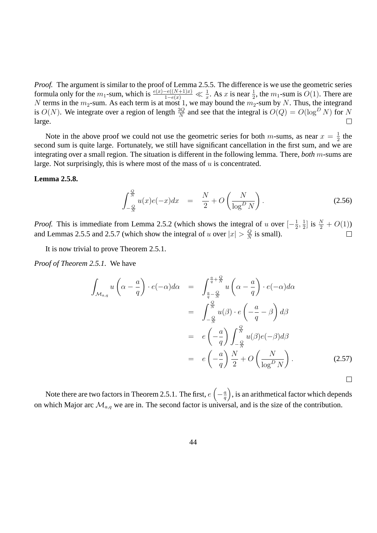*Proof.* The argument is similar to the proof of Lemma 2.5.5. The difference is we use the geometric series formula only for the  $m_1$ -sum, which is  $\frac{e(x)-e((N+1)x)}{1-e(x)} \ll \frac{1}{x}$ . As x is near  $\frac{1}{2}$ , the  $m_1$ -sum is  $O(1)$ . There are N terms in the  $m_2$ -sum. As each term is at most 1, we may bound the  $m_2$ -sum by N. Thus, the integrand is  $O(N)$ . We integrate over a region of length  $\frac{2Q}{N}$  and see that the integral is  $O(Q) = O(\log^D N)$  for N large.  $\Box$ 

Note in the above proof we could not use the geometric series for both *m*-sums, as near  $x = \frac{1}{2}$  $rac{1}{2}$  the second sum is quite large. Fortunately, we still have significant cancellation in the first sum, and we are integrating over a small region. The situation is different in the following lemma. There, *both* m-sums are large. Not surprisingly, this is where most of the mass of  $u$  is concentrated.

#### **Lemma 2.5.8.**

$$
\int_{-\frac{Q}{N}}^{\frac{Q}{N}} u(x)e(-x)dx = \frac{N}{2} + O\left(\frac{N}{\log^D N}\right).
$$
\n(2.56)

*Proof.* This is immediate from Lemma 2.5.2 (which shows the integral of u over  $\left[-\frac{1}{2}\right]$  $\frac{1}{2}, \frac{1}{2}$  $\frac{1}{2}$ ] is  $\frac{N}{2} + O(1)$ and Lemmas 2.5.5 and 2.5.7 (which show the integral of u over  $|x| > \frac{Q}{N}$  $\frac{Q}{N}$  is small).  $\Box$ 

It is now trivial to prove Theorem 2.5.1.

*Proof of Theorem 2.5.1.* We have

$$
\int_{\mathcal{M}_{a,q}} u\left(\alpha - \frac{a}{q}\right) \cdot e(-\alpha) d\alpha = \int_{\frac{a}{q} - \frac{Q}{N}}^{\frac{a}{q} + \frac{Q}{N}} u\left(\alpha - \frac{a}{q}\right) \cdot e(-\alpha) d\alpha
$$
\n
$$
= \int_{-\frac{Q}{N}}^{\frac{Q}{N}} u(\beta) \cdot e\left(-\frac{a}{q} - \beta\right) d\beta
$$
\n
$$
= e\left(-\frac{a}{q}\right) \int_{-\frac{Q}{N}}^{\frac{Q}{N}} u(\beta) e(-\beta) d\beta
$$
\n
$$
= e\left(-\frac{a}{q}\right) \frac{N}{2} + O\left(\frac{N}{\log^D N}\right). \tag{2.57}
$$

 $\Box$ 

Note there are two factors in Theorem 2.5.1. The first,  $e\left(-\frac{a}{a}\right)$  $\left(\frac{a}{q}\right)$ , is an arithmetical factor which depends on which Major arc  $\mathcal{M}_{a,q}$  we are in. The second factor is universal, and is the size of the contribution.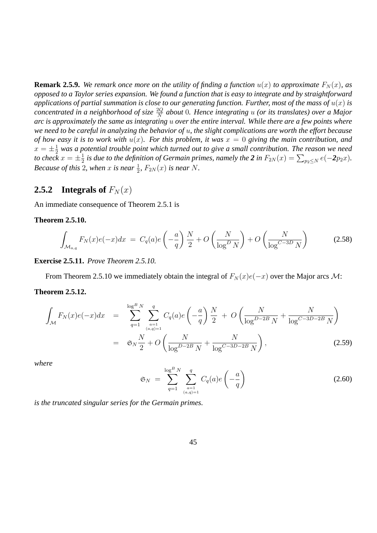**Remark 2.5.9.** We remark once more on the utility of finding a function  $u(x)$  to approximate  $F_N(x)$ , as *opposed to a Taylor series expansion. We found a function that is easy to integrate and by straightforward applications of partial summation is close to our generating function. Further, most of the mass of*  $u(x)$  *is concentrated in a neighborhood of size* <sup>2</sup><sup>Q</sup> N *about* 0*. Hence integrating* u *(or its translates) over a Major arc is approximately the same as integrating* u *over the entire interval. While there are a few points where we need to be careful in analyzing the behavior of* u*, the slight complications are worth the effort because of how easy it is to work with*  $u(x)$ *. For this problem, it was*  $x = 0$  *giving the main contribution, and*  $x=\pm\frac{1}{2}$  $\frac{1}{2}$  was a potential trouble point which turned out to give a small contribution. The reason we need *to check*  $x = \pm \frac{1}{2}$  $\frac{1}{2}$  is due to the definition of Germain primes, namely the  $\bm{2}$  in  $F_{2N}(x) = \sum_{p_2 \leq N} e(-\bm{2}p_2x).$ *Because of this* 2, when x is near  $\frac{1}{2}$ ,  $F_{2N}(x)$  is near N.

### **2.5.2** Integrals of  $F_N(x)$

An immediate consequence of Theorem 2.5.1 is

#### **Theorem 2.5.10.**

$$
\int_{\mathcal{M}_{a,q}} F_N(x)e(-x)dx = C_q(a)e\left(-\frac{a}{q}\right)\frac{N}{2} + O\left(\frac{N}{\log^D N}\right) + O\left(\frac{N}{\log^{C-3D} N}\right) \tag{2.58}
$$

**Exercise 2.5.11.** *Prove Theorem 2.5.10.*

From Theorem 2.5.10 we immediately obtain the integral of  $F_N(x)e(-x)$  over the Major arcs M:

#### **Theorem 2.5.12.**

$$
\int_{\mathcal{M}} F_N(x)e(-x)dx = \sum_{q=1}^{\log^B N} \sum_{\substack{a=1 \ (a,q)=1}}^q C_q(a)e\left(-\frac{a}{q}\right)\frac{N}{2} + O\left(\frac{N}{\log^{D-2B} N} + \frac{N}{\log^{C-3D-2B} N}\right)
$$
\n
$$
= \mathfrak{S}_N \frac{N}{2} + O\left(\frac{N}{\log^{D-2B} N} + \frac{N}{\log^{C-3D-2B} N}\right),
$$
\n(2.59)

*where*

$$
\mathfrak{S}_N \ = \ \sum_{q=1}^{\log^B N} \sum_{\substack{a=1 \\ (a,q)=1}}^q C_q(a)e\left(-\frac{a}{q}\right) \tag{2.60}
$$

*is the truncated singular series for the Germain primes.*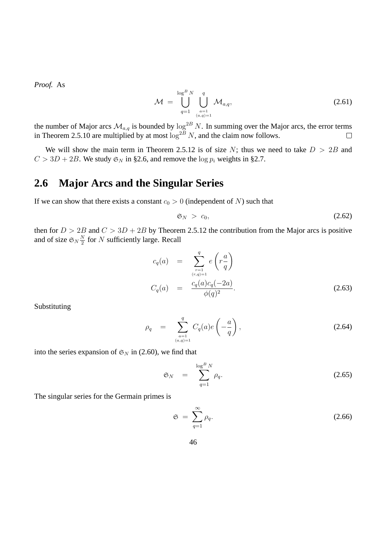*Proof.* As

$$
\mathcal{M} = \bigcup_{q=1}^{\log^B N} \bigcup_{\substack{a=1 \ a,q)=1}}^q \mathcal{M}_{a,q},\tag{2.61}
$$

the number of Major arcs  $\mathcal{M}_{a,q}$  is bounded by  $\log^{2B} N$ . In summing over the Major arcs, the error terms in Theorem 2.5.10 are multiplied by at most  $\log^{2B} N$ , and the claim now follows.

We will show the main term in Theorem 2.5.12 is of size N; thus we need to take  $D > 2B$  and  $C > 3D + 2B$ . We study  $\mathfrak{S}_N$  in §2.6, and remove the  $\log p_i$  weights in §2.7.

## **2.6 Major Arcs and the Singular Series**

If we can show that there exists a constant  $c_0 > 0$  (independent of N) such that

$$
\mathfrak{S}_N > c_0, \tag{2.62}
$$

then for  $D > 2B$  and  $C > 3D + 2B$  by Theorem 2.5.12 the contribution from the Major arcs is positive and of size  $\mathfrak{S}_N \frac{N}{2}$  $\frac{N}{2}$  for N sufficiently large. Recall

$$
c_q(a) = \sum_{\substack{r=1 \ (r,q)=1}}^q e\left(r\frac{a}{q}\right)
$$
  

$$
C_q(a) = \frac{c_q(a)c_q(-2a)}{\phi(q)^2}.
$$
 (2.63)

Substituting

$$
\rho_q = \sum_{\substack{a=1 \ (a,q)=1}}^q C_q(a)e\left(-\frac{a}{q}\right),\tag{2.64}
$$

into the series expansion of  $\mathfrak{S}_N$  in (2.60), we find that

$$
\mathfrak{S}_N = \sum_{q=1}^{\log^B N} \rho_q. \tag{2.65}
$$

The singular series for the Germain primes is

$$
\mathfrak{S} = \sum_{q=1}^{\infty} \rho_q. \tag{2.66}
$$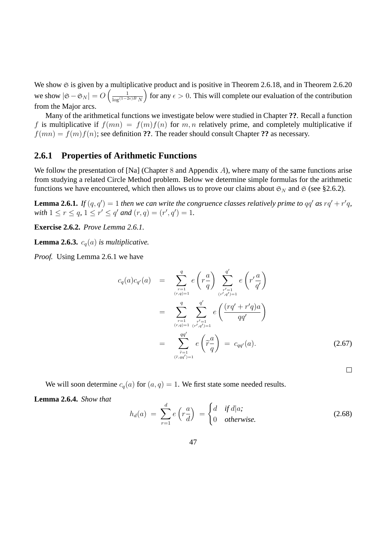We show  $\Im$  is given by a multiplicative product and is positive in Theorem 2.6.18, and in Theorem 2.6.20 we show  $|\mathfrak{S} - \mathfrak{S}_N| = O\left(\frac{1}{\log(1-2)}\right)$  $\log^{(1-2\epsilon)B} N$ for any  $\epsilon > 0$ . This will complete our evaluation of the contribution from the Major arcs.

Many of the arithmetical functions we investigate below were studied in Chapter **??**. Recall a function f is multiplicative if  $f(mn) = f(m)f(n)$  for m, n relatively prime, and completely multiplicative if  $f(mn) = f(m)f(n)$ ; see definition ??. The reader should consult Chapter ?? as necessary.

### **2.6.1 Properties of Arithmetic Functions**

We follow the presentation of [Na] (Chapter 8 and Appendix A), where many of the same functions arise from studying a related Circle Method problem. Below we determine simple formulas for the arithmetic functions we have encountered, which then allows us to prove our claims about  $\mathfrak{S}_N$  and  $\mathfrak{S}$  (see §2.6.2).

**Lemma 2.6.1.** If  $(q, q') = 1$  then we can write the congruence classes relatively prime to  $qq'$  as  $rq' + r'q$ , *with*  $1 \le r \le q$ ,  $1 \le r' \le q'$  *and*  $(r, q) = (r', q') = 1$ .

**Exercise 2.6.2.** *Prove Lemma 2.6.1.*

**Lemma 2.6.3.**  $c_q(a)$  *is multiplicative.* 

*Proof.* Using Lemma 2.6.1 we have

**Lemma 2.6.4.** *Show that*

$$
c_q(a)c_{q'}(a) = \sum_{\substack{r=1 \ r, q \geq 1}}^q e\left(r\frac{a}{q}\right) \sum_{\substack{r'=1 \ (r', q')=1}}^{q'} e\left(r'\frac{a}{q'}\right)
$$
  

$$
= \sum_{\substack{r=1 \ r, q \geq 1}}^q \sum_{\substack{r'=1 \ r', q' \geq 1}}^{q'} e\left(\frac{(rq' + r'q)a}{qq'}\right)
$$
  

$$
= \sum_{\substack{r=1 \ r \geq 1 \ (\tilde{r}, q, q')=1}}^{qq'} e\left(\tilde{r}\frac{a}{q}\right) = c_{qq'}(a).
$$
 (2.67)

 $\Box$ 

We will soon determine  $c_q(a)$  for  $(a, q) = 1$ . We first state some needed results.

$$
h_d(a) = \sum_{r=1}^d e\left(r\frac{a}{d}\right) = \begin{cases} d & \text{if } d|a; \\ 0 & \text{otherwise.} \end{cases}
$$
 (2.68)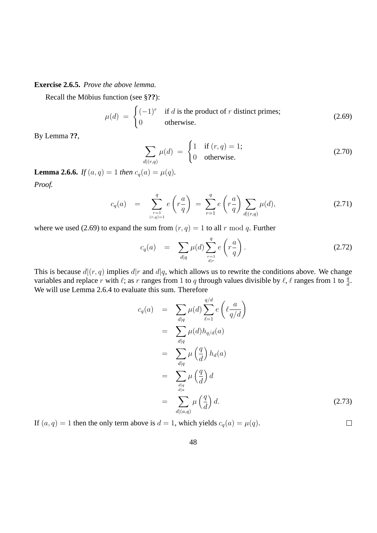**Exercise 2.6.5.** *Prove the above lemma.*

Recall the Möbius function (see §**??**):

$$
\mu(d) = \begin{cases}\n(-1)^r & \text{if } d \text{ is the product of } r \text{ distinct primes;} \\
0 & \text{otherwise.} \n\end{cases}
$$
\n(2.69)

By Lemma **??**,

$$
\sum_{d|(r,q)} \mu(d) = \begin{cases} 1 & \text{if } (r,q) = 1; \\ 0 & \text{otherwise.} \end{cases}
$$
 (2.70)

**Lemma 2.6.6.** *If*  $(a, q) = 1$  *then*  $c_q(a) = \mu(q)$ *.* 

*Proof.*

$$
c_q(a) = \sum_{\substack{r=1 \ (r,q)=1}}^q e\left(r\frac{a}{q}\right) = \sum_{r=1}^q e\left(r\frac{a}{q}\right) \sum_{d|(r,q)} \mu(d), \tag{2.71}
$$

where we used (2.69) to expand the sum from  $(r, q) = 1$  to all r mod q. Further

$$
c_q(a) = \sum_{d|q} \mu(d) \sum_{\substack{r=1 \ d|r}}^q e\left(r\frac{a}{q}\right).
$$
 (2.72)

This is because  $d|(r, q)$  implies  $d|r$  and  $d|q$ , which allows us to rewrite the conditions above. We change variables and replace r with  $\ell$ ; as r ranges from 1 to q through values divisible by  $\ell$ ,  $\ell$  ranges from 1 to  $\frac{q}{d}$ . We will use Lemma 2.6.4 to evaluate this sum. Therefore

$$
c_q(a) = \sum_{d|q} \mu(d) \sum_{\ell=1}^{q/d} e\left(\ell \frac{a}{q/d}\right)
$$
  
\n
$$
= \sum_{d|q} \mu(d) h_{q/d}(a)
$$
  
\n
$$
= \sum_{d|q} \mu\left(\frac{q}{d}\right) h_d(a)
$$
  
\n
$$
= \sum_{d|q} \mu\left(\frac{q}{d}\right) d
$$
  
\n
$$
= \sum_{d|a} \mu\left(\frac{q}{d}\right) d.
$$
 (2.73)

If  $(a, q) = 1$  then the only term above is  $d = 1$ , which yields  $c_q(a) = \mu(q)$ .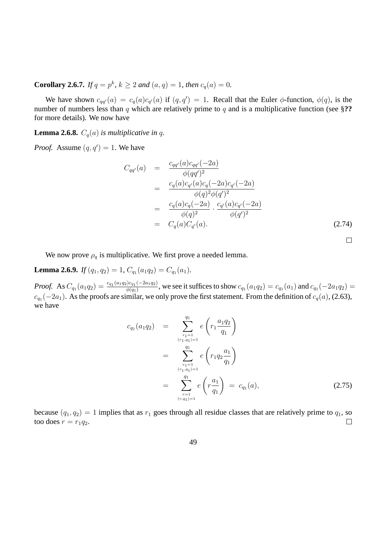**Corollary 2.6.7.** *If*  $q = p^k$ ,  $k \ge 2$  *and*  $(a, q) = 1$ *, then*  $c_q(a) = 0$ *.* 

We have shown  $c_{qq'}(a) = c_q(a)c_{q'}(a)$  if  $(q, q') = 1$ . Recall that the Euler  $\phi$ -function,  $\phi(q)$ , is the number of numbers less than q which are relatively prime to q and is a multiplicative function (see §?? for more details). We now have

**Lemma 2.6.8.**  $C_q(a)$  *is multiplicative in q.* 

*Proof.* Assume  $(q, q') = 1$ . We have

$$
C_{qq'}(a) = \frac{c_{qq'}(a)c_{qq'}(-2a)}{\phi(qq')^2}
$$
  
= 
$$
\frac{c_q(a)c_{q'}(a)c_q(-2a)c_{q'}(-2a)}{\phi(q)^2\phi(q')^2}
$$
  
= 
$$
\frac{c_q(a)c_q(-2a)}{\phi(q)^2} \cdot \frac{c_{q'}(a)c_{q'}(-2a)}{\phi(q')^2}
$$
  
= 
$$
C_q(a)C_{q'}(a).
$$
 (2.74)

 $\Box$ 

We now prove  $\rho_q$  is multiplicative. We first prove a needed lemma.

**Lemma 2.6.9.** *If*  $(q_1, q_2) = 1$ ,  $C_{q_1}(a_1q_2) = C_{q_1}(a_1)$ .

*Proof.* As  $C_{q_1}(a_1q_2) = \frac{c_{q_1}(a_1q_2)c_{q_1}(-2a_1q_2)}{\phi(q_1)}$  $\frac{c_{q_1}c_{q_1}(-2a_1q_2)}{\phi(q_1)}$ , we see it suffices to show  $c_{q_1}(a_1q_2) = c_{q_1}(a_1)$  and  $c_{q_1}(-2a_1q_2) =$  $c_{q_1}(-2a_1)$ . As the proofs are similar, we only prove the first statement. From the definition of  $c_q(a)$ , (2.63), we have

$$
c_{q_1}(a_1q_2) = \sum_{\substack{r_1=1 \ (r_1,q_1)=1}}^{q_1} e\left(r_1 \frac{a_1q_2}{q_1}\right)
$$
  

$$
= \sum_{\substack{r_1=1 \ (r_1,q_1)=1}}^{q_1} e\left(r_1q_2 \frac{a_1}{q_1}\right)
$$
  

$$
= \sum_{\substack{r=1 \ (r,q_1)=1}}^{q_1} e\left(r \frac{a_1}{q_1}\right) = c_{q_1}(a), \qquad (2.75)
$$

because  $(q_1, q_2) = 1$  implies that as  $r_1$  goes through all residue classes that are relatively prime to  $q_1$ , so  $\Box$ too does  $r = r_1q_2$ .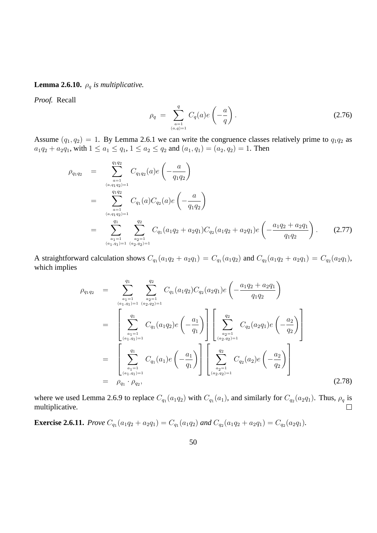**Lemma 2.6.10.**  $\rho_q$  *is multiplicative.* 

*Proof.* Recall

$$
\rho_q = \sum_{\substack{a=1 \ (a,q)=1}}^q C_q(a)e\left(-\frac{a}{q}\right).
$$
\n(2.76)

Assume  $(q_1, q_2) = 1$ . By Lemma 2.6.1 we can write the congruence classes relatively prime to  $q_1q_2$  as  $a_1q_2 + a_2q_1$ , with  $1 \le a_1 \le q_1$ ,  $1 \le a_2 \le q_2$  and  $(a_1, q_1) = (a_2, q_2) = 1$ . Then

$$
\rho_{q_1q_2} = \sum_{\substack{a=1 \ (a,q_1q_2)=1}}^{q_1q_2} C_{q_1q_2}(a)e\left(-\frac{a}{q_1q_2}\right)
$$
\n
$$
= \sum_{\substack{a=1 \ (a,q_1q_2)=1}}^{q_1q_2} C_{q_1}(a)C_{q_2}(a)e\left(-\frac{a}{q_1q_2}\right)
$$
\n
$$
= \sum_{\substack{a=1 \ (a,q_1q_2)=1}}^{q_1} \sum_{\substack{a_2=1 \ (a_1,q_1)=(a_2,q_2)=1}}^{q_2} C_{q_1}(a_1q_2+a_2q_1)C_{q_2}(a_1q_2+a_2q_1)e\left(-\frac{a_1q_2+a_2q_1}{q_1q_2}\right).
$$
\n(2.77)

A straightforward calculation shows  $C_{q_1}(a_1q_2 + a_2q_1) = C_{q_1}(a_1q_2)$  and  $C_{q_2}(a_1q_2 + a_2q_1) = C_{q_2}(a_2q_1)$ , which implies

$$
\rho_{q_1q_2} = \sum_{\substack{a_1=1 \ (a_1, q_1)=1}}^{q_1} \sum_{\substack{a_2=1 \ (a_2, q_2)=1}}^{q_2} C_{q_1}(a_1q_2)C_{q_2}(a_2q_1)e\left(-\frac{a_1q_2+a_2q_1}{q_1q_2}\right)
$$
\n
$$
= \left[\sum_{\substack{a_1=1 \ (a_1, q_1)=1}}^{q_1} C_{q_1}(a_1q_2)e\left(-\frac{a_1}{q_1}\right)\right] \left[\sum_{\substack{a_2=1 \ (a_2, q_2)=1}}^{q_2} C_{q_2}(a_2q_1)e\left(-\frac{a_2}{q_2}\right)\right]
$$
\n
$$
= \left[\sum_{\substack{a_1=1 \ (a_1, q_1)=1}}^{q_1} C_{q_1}(a_1)e\left(-\frac{a_1}{q_1}\right)\right] \left[\sum_{\substack{a_2=1 \ (a_2, q_2)=1}}^{q_2} C_{q_2}(a_2)e\left(-\frac{a_2}{q_2}\right)\right]
$$
\n
$$
= \rho_{q_1} \cdot \rho_{q_2}, \qquad (2.78)
$$

where we used Lemma 2.6.9 to replace  $C_{q_1}(a_1q_2)$  with  $C_{q_1}(a_1)$ , and similarly for  $C_{q_2}(a_2q_1)$ . Thus,  $\rho_q$  is multiplicative.  $\Box$ 

**Exercise 2.6.11.** Prove  $C_{q_1}(a_1q_2 + a_2q_1) = C_{q_1}(a_1q_2)$  and  $C_{q_2}(a_1q_2 + a_2q_1) = C_{q_2}(a_2q_1)$ .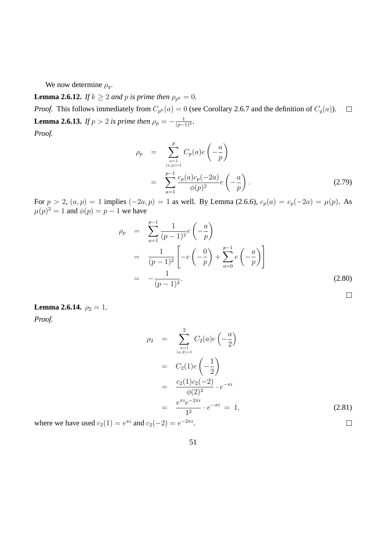We now determine  $\rho_q$ .

**Lemma 2.6.12.** *If*  $k \geq 2$  *and p is prime then*  $\rho_{p^k} = 0$ *.* 

 $\Box$ *Proof.* This follows immediately from  $C_{p^k}(a) = 0$  (see Corollary 2.6.7 and the definition of  $C_q(a)$ ). **Lemma 2.6.13.** *If*  $p > 2$  *is prime then*  $\rho_p = -\frac{1}{p-1}$  $\frac{1}{(p-1)^2}$ . *Proof.*

$$
\rho_p = \sum_{\substack{a=1 \ (a,p)=1}}^p C_p(a)e\left(-\frac{a}{p}\right)
$$
\n
$$
= \sum_{a=1}^{p-1} \frac{c_p(a)c_p(-2a)}{\phi(p)^2} e\left(-\frac{a}{p}\right).
$$
\n(2.79)

For  $p > 2$ ,  $(a, p) = 1$  implies  $(-2a, p) = 1$  as well. By Lemma (2.6.6),  $c_p(a) = c_p(-2a) = \mu(p)$ . As  $\mu(p)^2 = 1$  and  $\phi(p) = p - 1$  we have

$$
\rho_p = \sum_{a=1}^{p-1} \frac{1}{(p-1)^2} e\left(-\frac{a}{p}\right)
$$
  
= 
$$
\frac{1}{(p-1)^2} \left[ -e\left(-\frac{0}{p}\right) + \sum_{a=0}^{p-1} e\left(-\frac{a}{p}\right) \right]
$$
  
= 
$$
-\frac{1}{(p-1)^2}.
$$
 (2.80)

**Lemma 2.6.14.**  $\rho_2 = 1$ .

*Proof.*

$$
\rho_2 = \sum_{\substack{a=1 \ (a,2)=1}}^2 C_2(a)e\left(-\frac{a}{2}\right)
$$
  
=  $C_2(1)e\left(-\frac{1}{2}\right)$   
=  $\frac{c_2(1)c_2(-2)}{\phi(2)^2} \cdot e^{-\pi i}$   
=  $\frac{e^{\pi i}e^{-2\pi i}}{1^2} \cdot e^{-\pi i} = 1,$  (2.81)

where we have used  $c_2(1) = e^{\pi i}$  and  $c_2(-2) = e^{-2\pi i}$ .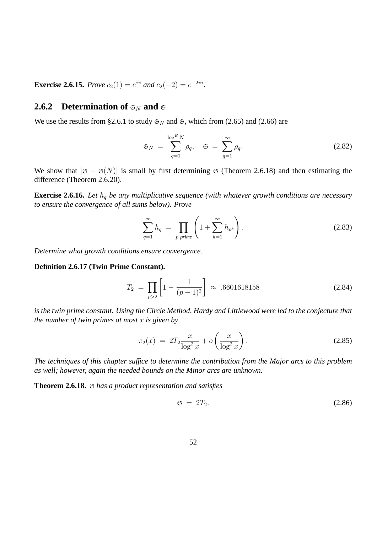**Exercise 2.6.15.** *Prove*  $c_2(1) = e^{\pi i}$  *and*  $c_2(-2) = e^{-2\pi i}$ *.* 

### **2.6.2 Determination of**  $\mathfrak{s}_N$  **and**  $\mathfrak{s}$

We use the results from §2.6.1 to study  $\mathfrak{S}_N$  and  $\mathfrak{S}$ , which from (2.65) and (2.66) are

$$
\mathfrak{S}_N \ = \ \sum_{q=1}^{\log^B N} \rho_q, \quad \mathfrak{S} \ = \ \sum_{q=1}^{\infty} \rho_q. \tag{2.82}
$$

We show that  $|S - S(N)|$  is small by first determining  $S$  (Theorem 2.6.18) and then estimating the difference (Theorem 2.6.20).

**Exercise 2.6.16.** Let  $h_q$  be any multiplicative sequence (with whatever growth conditions are necessary *to ensure the convergence of all sums below). Prove*

$$
\sum_{q=1}^{\infty} h_q = \prod_{p \text{ prime}} \left( 1 + \sum_{k=1}^{\infty} h_{p^k} \right). \tag{2.83}
$$

*Determine what growth conditions ensure convergence.*

#### **Definition 2.6.17 (Twin Prime Constant).**

$$
T_2 = \prod_{p>2} \left[ 1 - \frac{1}{(p-1)^2} \right] \approx .6601618158 \tag{2.84}
$$

*is the twin prime constant. Using the Circle Method, Hardy and Littlewood were led to the conjecture that the number of twin primes at most* x *is given by*

$$
\pi_2(x) = 2T_2 \frac{x}{\log^2 x} + o\left(\frac{x}{\log^2 x}\right).
$$
\n(2.85)

*The techniques of this chapter suffice to determine the contribution from the Major arcs to this problem as well; however, again the needed bounds on the Minor arcs are unknown.*

**Theorem 2.6.18.** S *has a product representation and satisfies*

$$
\mathfrak{S} = 2T_2. \tag{2.86}
$$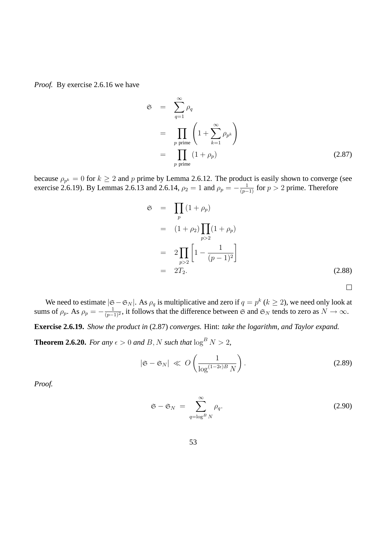*Proof.* By exercise 2.6.16 we have

$$
\mathfrak{S} = \sum_{q=1}^{\infty} \rho_q
$$
  
= 
$$
\prod_{p \text{ prime}} \left( 1 + \sum_{k=1}^{\infty} \rho_{p^k} \right)
$$
  
= 
$$
\prod_{p \text{ prime}} (1 + \rho_p) \qquad (2.87)
$$

because  $\rho_{p^k} = 0$  for  $k \geq 2$  and p prime by Lemma 2.6.12. The product is easily shown to converge (see exercise 2.6.19). By Lemmas 2.6.13 and 2.6.14,  $\rho_2 = 1$  and  $\rho_p = -\frac{1}{(p-1)}$  for  $p > 2$  prime. Therefore

$$
\mathfrak{S} = \prod_{p} (1 + \rho_p) \n= (1 + \rho_2) \prod_{p>2} (1 + \rho_p) \n= 2 \prod_{p>2} \left[ 1 - \frac{1}{(p-1)^2} \right] \n= 2T_2.
$$
\n(2.88)

 $\Box$ 

We need to estimate  $|\mathfrak{S}-\mathfrak{S}_N|$ . As  $\rho_q$  is multiplicative and zero if  $q=p^k$  ( $k\geq 2$ ), we need only look at sums of  $\rho_p$ . As  $\rho_p = -\frac{1}{(p-1)^2}$  $\frac{1}{(p-1)^2}$ , it follows that the difference between  $\mathfrak{S}$  and  $\mathfrak{S}_N$  tends to zero as  $N \to \infty$ .

**Exercise 2.6.19.** *Show the product in* (2.87) *converges.* Hint: *take the logarithm, and Taylor expand.*

**Theorem 2.6.20.** *For any*  $\epsilon > 0$  *and*  $B, N$  *such that*  $\log^B N > 2$ *,* 

$$
|\mathfrak{S} - \mathfrak{S}_N| \ll O\left(\frac{1}{\log^{(1-2\epsilon)B} N}\right).
$$
 (2.89)

*Proof.*

$$
\mathfrak{S} - \mathfrak{S}_N = \sum_{q=\log^B N}^{\infty} \rho_q.
$$
 (2.90)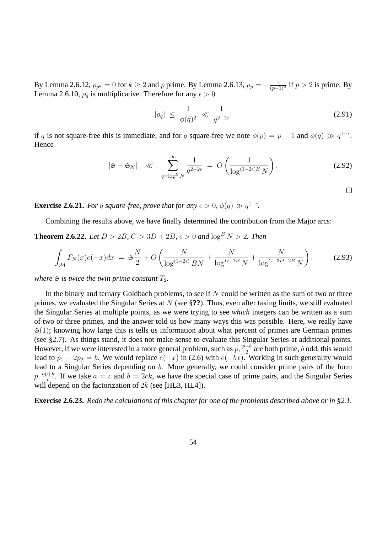By Lemma 2.6.12,  $\rho_{p^k} = 0$  for  $k \geq 2$  and p prime. By Lemma 2.6.13,  $\rho_p = -\frac{1}{(p-1)^k}$  $\frac{1}{(p-1)^2}$  if  $p > 2$  is prime. By Lemma 2.6.10,  $\rho_q$  is multiplicative. Therefore for any  $\epsilon > 0$ 

$$
|\rho_q| \le \frac{1}{\phi(q)^2} \ll \frac{1}{q^{2-2\epsilon}};
$$
\n(2.91)

 $\Box$ 

if q is not square-free this is immediate, and for q square-free we note  $\phi(p) = p - 1$  and  $\phi(q) \gg q^{1-\epsilon}$ . Hence

$$
|\mathfrak{S} - \mathfrak{S}_N| \ll \sum_{q=\log^B N}^{\infty} \frac{1}{q^{2-2\epsilon}} = O\left(\frac{1}{\log^{(1-2\epsilon)B} N}\right).
$$
 (2.92)

**Exercise 2.6.21.** For q square-free, prove that for any  $\epsilon > 0$ ,  $\phi(q) \gg q^{1-\epsilon}$ .

Combining the results above, we have finally determined the contribution from the Major arcs:

**Theorem 2.6.22.** *Let*  $D > 2B$ ,  $C > 3D + 2B$ ,  $\epsilon > 0$  and  $\log^B N > 2$ . *Then* 

$$
\int_{\mathcal{M}} F_N(x)e(-x)dx = \mathfrak{S}\frac{N}{2} + O\left(\frac{N}{\log^{(1-2\epsilon)}BN} + \frac{N}{\log^{D-2B}N} + \frac{N}{\log^{C-3D-2B}N}\right),\tag{2.93}
$$

*where*  $\mathfrak{S}$  *is twice the twin prime constant*  $T_2$ *.* 

In the binary and ternary Goldbach problems, to see if  $N$  could be written as the sum of two or three primes, we evaluated the Singular Series at N (see §**??**). Thus, even after taking limits, we still evaluated the Singular Series at multiple points, as we were trying to see *which* integers can be written as a sum of two or three primes, and the answer told us how many ways this was possible. Here, we really have  $\mathfrak{S}(1)$ ; knowing how large this is tells us information about what percent of primes are Germain primes (see §2.7). As things stand, it does not make sense to evaluate this Singular Series at additional points. However, if we were interested in a more general problem, such as  $p, \frac{p-b}{2}$  are both prime, b odd, this would lead to  $p_1 - 2p_2 = b$ . We would replace  $e(-x)$  in (2.6) with  $e(-bx)$ . Working in such generality would lead to a Singular Series depending on b. More generally, we could consider prime pairs of the form  $p, \frac{ap+b}{c}$ . If we take  $a = c$  and  $b = 2ck$ , we have the special case of prime pairs, and the Singular Series will depend on the factorization of  $2k$  (see [HL3, HL4]).

**Exercise 2.6.23.** *Redo the calculations of this chapter for one of the problems described above or in §2.1.*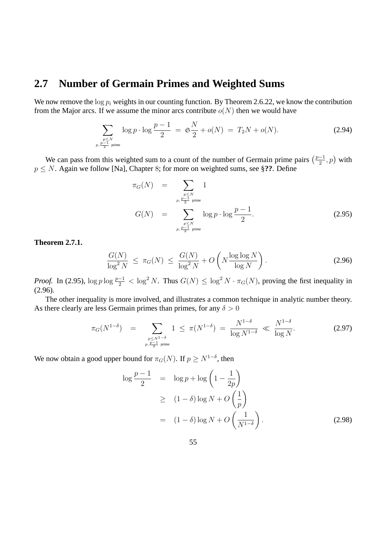# **2.7 Number of Germain Primes and Weighted Sums**

We now remove the  $\log p_i$  weights in our counting function. By Theorem 2.6.22, we know the contribution from the Major arcs. If we assume the minor arcs contribute  $o(N)$  then we would have

$$
\sum_{\substack{p \le N \\ p, \frac{p-1}{2} \text{ prime}}} \log p \cdot \log \frac{p-1}{2} = \mathfrak{S} \frac{N}{2} + o(N) = T_2 N + o(N). \tag{2.94}
$$

We can pass from this weighted sum to a count of the number of Germain prime pairs  $\left(\frac{p-1}{2}\right)$  $(\frac{-1}{2}, p)$  with  $p \leq N$ . Again we follow [Na], Chapter 8; for more on weighted sums, see §??. Define

$$
\pi_G(N) = \sum_{\substack{p \le N \\ p, \frac{p-1}{2} \text{ prime} \\ p, \frac{p \le N}{2} \text{ prime}}} 1
$$
\n
$$
G(N) = \sum_{\substack{p \le N \\ p, \frac{p-1}{2} \text{ prime}}} \log p \cdot \log \frac{p-1}{2}.
$$
\n(2.95)

**Theorem 2.7.1.**

$$
\frac{G(N)}{\log^2 N} \le \pi_G(N) \le \frac{G(N)}{\log^2 N} + O\left(N \frac{\log \log N}{\log N}\right). \tag{2.96}
$$

*Proof.* In (2.95),  $\log p \log \frac{p-1}{2} < \log^2 N$ . Thus  $G(N) \le \log^2 N \cdot \pi_G(N)$ , proving the first inequality in (2.96).

The other inequality is more involved, and illustrates a common technique in analytic number theory. As there clearly are less Germain primes than primes, for any  $\delta > 0$ 

$$
\pi_G(N^{1-\delta}) = \sum_{\substack{p \le N^{1-\delta} \\ p, \frac{p-1}{2} \text{ prime}}} 1 \le \pi(N^{1-\delta}) = \frac{N^{1-\delta}}{\log N^{1-\delta}} \ll \frac{N^{1-\delta}}{\log N}.
$$
 (2.97)

We now obtain a good upper bound for  $\pi_G(N)$ . If  $p \ge N^{1-\delta}$ , then

$$
\log \frac{p-1}{2} = \log p + \log \left( 1 - \frac{1}{2p} \right)
$$
  
\n
$$
\geq (1 - \delta) \log N + O\left(\frac{1}{p}\right)
$$
  
\n
$$
= (1 - \delta) \log N + O\left(\frac{1}{N^{1-\delta}}\right).
$$
 (2.98)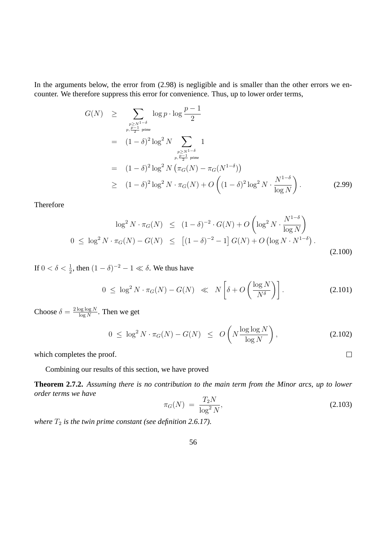In the arguments below, the error from  $(2.98)$  is negligible and is smaller than the other errors we encounter. We therefore suppress this error for convenience. Thus, up to lower order terms,

$$
G(N) \geq \sum_{\substack{p \geq N^{1-\delta} \\ p, \frac{p-1}{2} \text{ prime} \\ p, \frac{p-1}{2} \text{ prime}}} \log p \cdot \log \frac{p-1}{2}
$$
  
\n
$$
= (1-\delta)^2 \log^2 N \sum_{\substack{p \geq N^{1-\delta} \\ p, \frac{p-1}{2} \text{ prime} \\ p, \frac{p-1}{2} \text{ prime}}} 1
$$
  
\n
$$
\geq (1-\delta)^2 \log^2 N \cdot \pi_G(N) + O\left((1-\delta)^2 \log^2 N \cdot \frac{N^{1-\delta}}{\log N}\right).
$$
 (2.99)

Therefore

$$
\log^2 N \cdot \pi_G(N) \le (1 - \delta)^{-2} \cdot G(N) + O\left(\log^2 N \cdot \frac{N^{1-\delta}}{\log N}\right)
$$
  

$$
0 \le \log^2 N \cdot \pi_G(N) - G(N) \le [(1 - \delta)^{-2} - 1] G(N) + O\left(\log N \cdot N^{1-\delta}\right).
$$
 (2.100)

If  $0 < \delta < \frac{1}{2}$ , then  $(1 - \delta)^{-2} - 1 \ll \delta$ . We thus have

$$
0 \leq \log^2 N \cdot \pi_G(N) - G(N) \ll N \left[ \delta + O\left(\frac{\log N}{N^{\delta}}\right) \right]. \tag{2.101}
$$

Choose  $\delta = \frac{2 \log \log N}{\log N}$  $\frac{\log \log N}{\log N}$ . Then we get

$$
0 \leq \log^2 N \cdot \pi_G(N) - G(N) \leq O\left(N \frac{\log \log N}{\log N}\right),\tag{2.102}
$$

which completes the proof.

Combining our results of this section, we have proved

**Theorem 2.7.2.** *Assuming there is no contribution to the main term from the Minor arcs, up to lower order terms we have*

$$
\pi_G(N) \ = \ \frac{T_2 N}{\log^2 N},\tag{2.103}
$$

*where*  $T_2$  *is the twin prime constant (see definition 2.6.17).*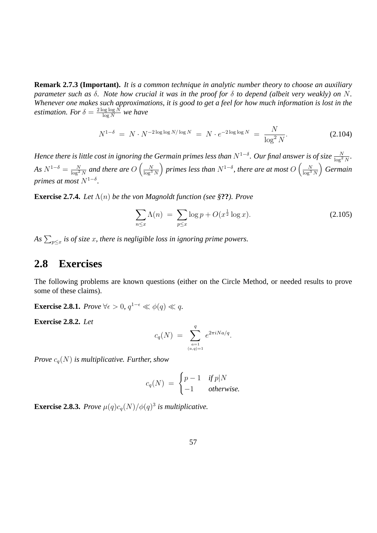**Remark 2.7.3 (Important).** *It is a common technique in analytic number theory to choose an auxiliary parameter such as* δ*. Note how crucial it was in the proof for* δ *to depend (albeit very weakly) on* N*. Whenever one makes such approximations, it is good to get a feel for how much information is lost in the estimation.* For  $\delta = \frac{2 \log \log N}{\log N}$ log N *we have*

$$
N^{1-\delta} \ = \ N \cdot N^{-2\log\log N/\log N} \ = \ N \cdot e^{-2\log\log N} \ = \ \frac{N}{\log^2 N}.\tag{2.104}
$$

Hence there is little cost in ignoring the Germain primes less than  $N^{1-\delta}.$  Our final answer is of size  $\frac{N}{\log^2 N}.$  $As N^{1-\delta} = \frac{N}{\log^2 N}$  and there are  $O\left(\frac{N}{\log^3 N}\right)$  $\int$  primes less than  $N^{1-\delta}$ , there are at most  $O\left(\frac{N}{\log^3 N}\right)$  *Germain primes at most* N<sup>1</sup>−<sup>δ</sup> *.*

**Exercise 2.7.4.** *Let*  $\Lambda(n)$  *be the von Magnoldt function (see §??). Prove* 

$$
\sum_{n \le x} \Lambda(n) = \sum_{p \le x} \log p + O(x^{\frac{1}{2}} \log x). \tag{2.105}
$$

As  $\sum_{p \leq x}$  is of size x, there is negligible loss in ignoring prime powers.

# **2.8 Exercises**

The following problems are known questions (either on the Circle Method, or needed results to prove some of these claims).

**Exercise 2.8.1.** *Prove*  $\forall \epsilon > 0$ ,  $q^{1-\epsilon} \ll \phi(q) \ll q$ .

**Exercise 2.8.2.** *Let*

$$
c_q(N) = \sum_{\substack{a=1 \\ (a,q)=1}}^q e^{2\pi i Na/q}.
$$

*Prove*  $c_q(N)$  *is multiplicative. Further, show* 

$$
c_q(N) = \begin{cases} p-1 & \text{if } p|N\\ -1 & \text{otherwise.} \end{cases}
$$

**Exercise 2.8.3.** *Prove*  $\mu(q)c_q(N)/\phi(q)^3$  is multiplicative.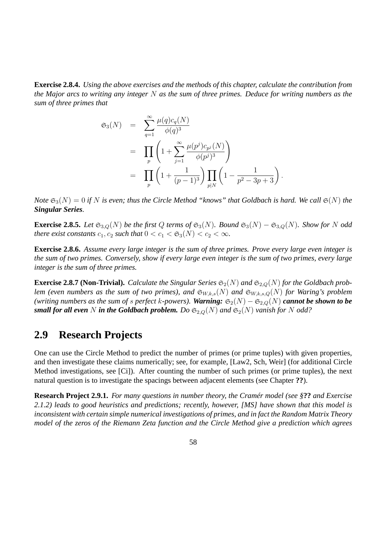**Exercise 2.8.4.** *Using the above exercises and the methods of this chapter, calculate the contribution from the Major arcs to writing any integer* N *as the sum of three primes. Deduce for writing numbers as the sum of three primes that*

$$
\mathfrak{S}_3(N) = \sum_{q=1}^{\infty} \frac{\mu(q)c_q(N)}{\phi(q)^3}
$$
  
= 
$$
\prod_p \left(1 + \sum_{j=1}^{\infty} \frac{\mu(p^j)c_{p^j}(N)}{\phi(p^j)^3}\right)
$$
  
= 
$$
\prod_p \left(1 + \frac{1}{(p-1)^3}\right) \prod_{p|N} \left(1 - \frac{1}{p^2 - 3p + 3}\right).
$$

*Note*  $\mathfrak{S}_3(N) = 0$  *if* N *is even; thus the Circle Method "knows" that Goldbach is hard. We call*  $\mathfrak{S}(N)$  *the Singular Series.*

**Exercise 2.8.5.** *Let*  $\mathfrak{S}_{3,Q}(N)$  *be the first* Q *terms of*  $\mathfrak{S}_{3}(N)$ *. Bound*  $\mathfrak{S}_{3}(N) - \mathfrak{S}_{3,Q}(N)$ *. Show for* N *odd there exist constants*  $c_1$ ,  $c_2$  *such that*  $0 < c_1 < S_3(N) < c_2 < \infty$ .

**Exercise 2.8.6.** *Assume every large integer is the sum of three primes. Prove every large even integer is the sum of two primes. Conversely, show if every large even integer is the sum of two primes, every large integer is the sum of three primes.*

**Exercise 2.8.7 (Non-Trivial).** *Calculate the Singular Series*  $\mathfrak{S}_2(N)$  *and*  $\mathfrak{S}_{2,Q}(N)$  *for the Goldbach problem (even numbers as the sum of two primes), and*  $\mathfrak{S}_{W,k,s}(N)$  *and*  $\mathfrak{S}_{W,k,s,Q}(N)$  *for Waring's problem (writing numbers as the sum of s perfect k-powers). Warning:*  $\mathfrak{S}_2(N) - \mathfrak{S}_{2,O}(N)$  *cannot be shown to be small for all even* N *in the Goldbach problem.* Do  $\mathfrak{S}_{2,Q}(N)$  *and*  $\mathfrak{S}_{2}(N)$  *vanish for* N *odd*?

# **2.9 Research Projects**

One can use the Circle Method to predict the number of primes (or prime tuples) with given properties, and then investigate these claims numerically; see, for example, [Law2, Sch, Weir] (for additional Circle Method investigations, see [Ci]). After counting the number of such primes (or prime tuples), the next natural question is to investigate the spacings between adjacent elements (see Chapter **??**).

**Research Project 2.9.1.** *For many questions in number theory, the Cramér model (see §***??** *and Exercise 2.1.2) leads to good heuristics and predictions; recently, however, [MS] have shown that this model is inconsistent with certain simple numerical investigations of primes, and in fact the Random Matrix Theory model of the zeros of the Riemann Zeta function and the Circle Method give a prediction which agrees*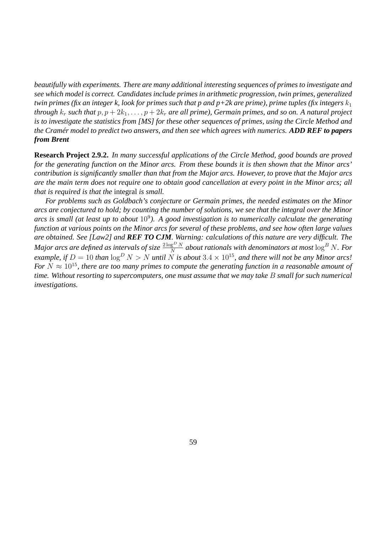*beautifully with experiments. There are many additional interesting sequences of primes to investigate and see which model is correct. Candidates include primes in arithmetic progression, twin primes, generalized twin primes (fix an integer k, look for primes such that p and*  $p+2k$  *are prime), prime tuples (fix integers*  $k_1$ ) *through*  $k_r$  *such that*  $p, p + 2k_1, \ldots, p + 2k_r$  *are all prime), Germain primes, and so on. A natural project is to investigate the statistics from [MS] for these other sequences of primes, using the Circle Method and the Cramér model to predict two answers, and then see which agrees with numerics. ADD REF to papers from Brent*

**Research Project 2.9.2.** *In many successful applications of the Circle Method, good bounds are proved for the generating function on the Minor arcs. From these bounds it is then shown that the Minor arcs' contribution is significantly smaller than that from the Major arcs. However, to* prove *that the Major arcs are the main term does not require one to obtain good cancellation at every point in the Minor arcs; all that is required is that the* integral *is small.*

*For problems such as Goldbach's conjecture or Germain primes, the needed estimates on the Minor arcs are conjectured to hold; by counting the number of solutions, we see that the integral over the Minor* arcs is small (at least up to about  $10^9$ ). A good investigation is to numerically calculate the generating *function at various points on the Minor arcs for several of these problems, and see how often large values are obtained. See [Law2] and REF TO CJM. Warning: calculations of this nature are very difficult. The* Major arcs are defined as intervals of size  $\frac{2\log^D N}{N}$  about rationals with denominators at most  $\log^B N.$  For *example, if*  $D = 10$  *than*  $\log^D N > N$  *until* N *is about*  $3.4 \times 10^{15}$ *, and there will not be any Minor arcs! For*  $N \approx 10^{15}$ , there are too many primes to compute the generating function in a reasonable amount of *time. Without resorting to supercomputers, one must assume that we may take* B *small for such numerical investigations.*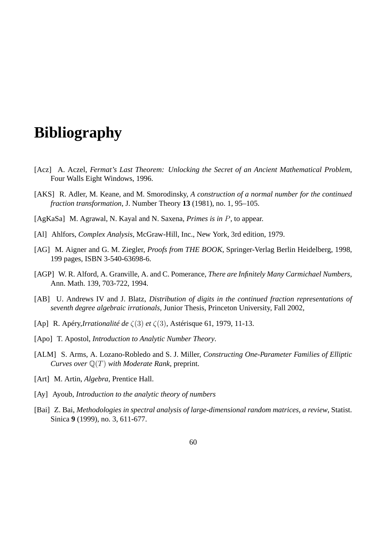# **Bibliography**

- [Acz] A. Aczel, *Fermat's Last Theorem: Unlocking the Secret of an Ancient Mathematical Problem*, Four Walls Eight Windows, 1996.
- [AKS] R. Adler, M. Keane, and M. Smorodinsky, *A construction of a normal number for the continued fraction transformation*, J. Number Theory **13** (1981), no. 1, 95–105.
- [AgKaSa] M. Agrawal, N. Kayal and N. Saxena, *Primes is in* P, to appear.
- [Al] Ahlfors, *Complex Analysis*, McGraw-Hill, Inc., New York, 3rd edition, 1979.
- [AG] M. Aigner and G. M. Ziegler, *Proofs from THE BOOK*, Springer-Verlag Berlin Heidelberg, 1998, 199 pages, ISBN 3-540-63698-6.
- [AGP] W. R. Alford, A. Granville, A. and C. Pomerance, *There are Infinitely Many Carmichael Numbers*, Ann. Math. 139, 703-722, 1994.
- [AB] U. Andrews IV and J. Blatz, *Distribution of digits in the continued fraction representations of seventh degree algebraic irrationals*, Junior Thesis, Princeton University, Fall 2002,
- [Ap] R. Apéry,*Irrationalité de* ζ(3) *et* ζ(3), Astérisque 61, 1979, 11-13.
- [Apo] T. Apostol, *Introduction to Analytic Number Theory*.
- [ALM] S. Arms, A. Lozano-Robledo and S. J. Miller, *Constructing One-Parameter Families of Elliptic Curves over* Q(T) *with Moderate Rank*, preprint.
- [Art] M. Artin, *Algebra*, Prentice Hall.
- [Ay] Ayoub, *Introduction to the analytic theory of numbers*
- [Bai] Z. Bai, *Methodologies in spectral analysis of large-dimensional random matrices, a review*, Statist. Sinica **9** (1999), no. 3, 611-677.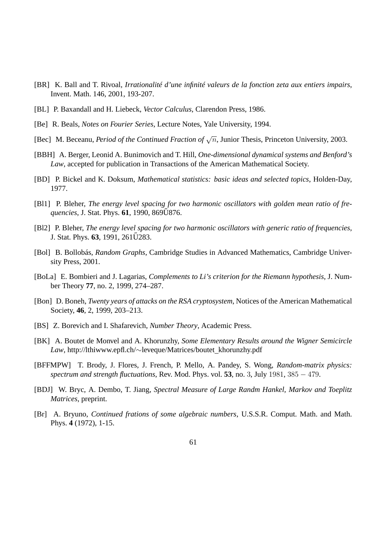- [BR] K. Ball and T. Rivoal, *Irrationalité d'une infinité valeurs de la fonction zeta aux entiers impairs*, Invent. Math. 146, 2001, 193-207.
- [BL] P. Baxandall and H. Liebeck, *Vector Calculus*, Clarendon Press, 1986.
- [Be] R. Beals, *Notes on Fourier Series*, Lecture Notes, Yale University, 1994.
- [Bec] M. Beceanu, *Period of the Continued Fraction of*  $\sqrt{n}$ , Junior Thesis, Princeton University, 2003.
- [BBH] A. Berger, Leonid A. Bunimovich and T. Hill, *One-dimensional dynamical systems and Benford's Law*, accepted for publication in Transactions of the American Mathematical Society.
- [BD] P. Bickel and K. Doksum, *Mathematical statistics: basic ideas and selected topics*, Holden-Day, 1977.
- [Bl1] P. Bleher, *The energy level spacing for two harmonic oscillators with golden mean ratio of frequencies*, J. Stat. Phys. **61**, 1990, 869U<sup>876</sup>.
- [Bl2] P. Bleher, *The energy level spacing for two harmonic oscillators with generic ratio of frequencies*, J. Stat. Phys. **63**, 1991, 261U283. ˝
- [Bol] B. Bollobás, *Random Graphs*, Cambridge Studies in Advanced Mathematics, Cambridge University Press, 2001.
- [BoLa] E. Bombieri and J. Lagarias, *Complements to Li's criterion for the Riemann hypothesis*, J. Number Theory **77**, no. 2, 1999, 274–287.
- [Bon] D. Boneh, *Twenty years of attacks on the RSA cryptosystem*, Notices of the American Mathematical Society, **46**, 2, 1999, 203–213.
- [BS] Z. Borevich and I. Shafarevich, *Number Theory*, Academic Press.
- [BK] A. Boutet de Monvel and A. Khorunzhy, *Some Elementary Results around the Wigner Semicircle Law*, http://lthiwww.epfl.ch/∼leveque/Matrices/boutet khorunzhy.pdf
- [BFFMPW] T. Brody, J. Flores, J. French, P. Mello, A. Pandey, S. Wong, *Random-matrix physics: spectrum and strength fluctuations*, Rev. Mod. Phys. vol. **53**, no. 3, July 1981, 385 − 479.
- [BDJ] W. Bryc, A. Dembo, T. Jiang, *Spectral Measure of Large Randm Hankel, Markov and Toeplitz Matrices*, preprint.
- [Br] A. Bryuno, *Continued frations of some algebraic numbers*, U.S.S.R. Comput. Math. and Math. Phys. **4** (1972), 1-15.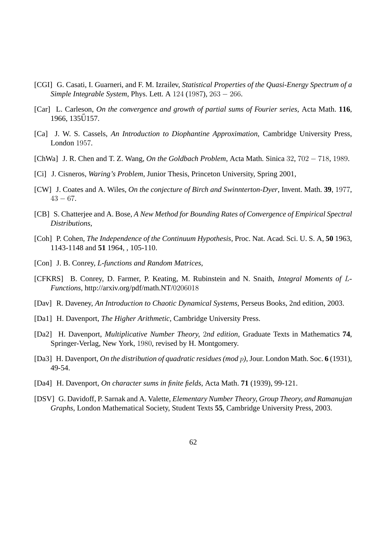- [CGI] G. Casati, I. Guarneri, and F. M. Izrailev, *Statistical Properties of the Quasi-Energy Spectrum of a Simple Integrable System, Phys. Lett. A 124 (1987), 263 − 266.*
- [Car] L. Carleson, *On the convergence and growth of partial sums of Fourier series*, Acta Math. **116**,  $1966, 135 \tilde{U} 157.$
- [Ca] J. W. S. Cassels, *An Introduction to Diophantine Approximation*, Cambridge University Press, London 1957.
- [ChWa] J. R. Chen and T. Z. Wang, *On the Goldbach Problem*, Acta Math. Sinica 32, 702 − 718, 1989.
- [Ci] J. Cisneros, *Waring's Problem*, Junior Thesis, Princeton University, Spring 2001,
- [CW] J. Coates and A. Wiles, *On the conjecture of Birch and Swinnterton-Dyer*, Invent. Math. **39**, 1977,  $43 - 67.$
- [CB] S. Chatterjee and A. Bose, *A New Method for Bounding Rates of Convergence of Empirical Spectral Distributions*,
- [Coh] P. Cohen, *The Independence of the Continuum Hypothesis*, Proc. Nat. Acad. Sci. U. S. A, 50 1963, 1143-1148 and **51** 1964, , 105-110.
- [Con] J. B. Conrey, *L-functions and Random Matrices*,
- [CFKRS] B. Conrey, D. Farmer, P. Keating, M. Rubinstein and N. Snaith, *Integral Moments of* L*-Functions*, http://arxiv.org/pdf/math.NT/0206018
- [Dav] R. Daveney, *An Introduction to Chaotic Dynamical Systems*, Perseus Books, 2nd edition, 2003.
- [Da1] H. Davenport, *The Higher Arithmetic*, Cambridge University Press.
- [Da2] H. Davenport, *Multiplicative Number Theory,* 2*nd edition*, Graduate Texts in Mathematics **74**, Springer-Verlag, New York, 1980, revised by H. Montgomery.
- [Da3] H. Davenport, *On the distribution of quadratic residues (mod* p*)*, Jour. London Math. Soc. **6** (1931), 49-54.
- [Da4] H. Davenport, *On character sums in finite fields*, Acta Math. **71** (1939), 99-121.
- [DSV] G. Davidoff, P. Sarnak and A. Valette, *Elementary Number Theory, Group Theory, and Ramanujan Graphs*, London Mathematical Society, Student Texts **55**, Cambridge University Press, 2003.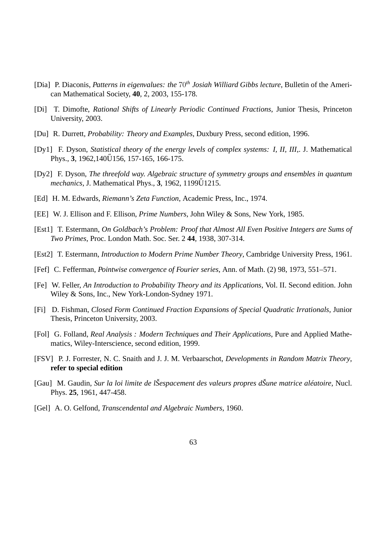- [Dia] P. Diaconis, *Patterns in eigenvalues: the* 70*th Josiah Williard Gibbs lecture*, Bulletin of the American Mathematical Society, **40**, 2, 2003, 155-178.
- [Di] T. Dimofte, *Rational Shifts of Linearly Periodic Continued Fractions*, Junior Thesis, Princeton University, 2003.
- [Du] R. Durrett, *Probability: Theory and Examples*, Duxbury Press, second edition, 1996.
- [Dy1] F. Dyson, *Statistical theory of the energy levels of complex systems: I, II, III*,. J. Mathematical Phys., 3, 1962, 140U 156, 157-165, 166-175.
- [Dy2] F. Dyson, *The threefold way. Algebraic structure of symmetry groups and ensembles in quantum mechanics*, J. Mathematical Phys., 3, 1962, 1199 Ú1215.
- [Ed] H. M. Edwards, *Riemann's Zeta Function*, Academic Press, Inc., 1974.
- [EE] W. J. Ellison and F. Ellison, *Prime Numbers*, John Wiley & Sons, New York, 1985.
- [Est1] T. Estermann, *On Goldbach's Problem: Proof that Almost All Even Positive Integers are Sums of Two Primes*, Proc. London Math. Soc. Ser. 2 **44**, 1938, 307-314.
- [Est2] T. Estermann, *Introduction to Modern Prime Number Theory*, Cambridge University Press, 1961.
- [Fef] C. Fefferman, *Pointwise convergence of Fourier series*, Ann. of Math. (2) 98, 1973, 551–571.
- [Fe] W. Feller, *An Introduction to Probability Theory and its Applications*, Vol. II. Second edition. John Wiley & Sons, Inc., New York-London-Sydney 1971.
- [Fi] D. Fishman, *Closed Form Continued Fraction Expansions of Special Quadratic Irrationals*, Junior Thesis, Princeton University, 2003.
- [Fol] G. Folland, *Real Analysis : Modern Techniques and Their Applications*, Pure and Applied Mathematics, Wiley-Interscience, second edition, 1999.
- [FSV] P. J. Forrester, N. C. Snaith and J. J. M. Verbaarschot, *Developments in Random Matrix Theory*, **refer to special edition**
- [Gau] M. Gaudin, *Sur la loi limite de lŠespacement des valeurs propres dŠune matrice aléatoire*, Nucl. Phys. **25**, 1961, 447-458.
- [Gel] A. O. Gelfond, *Transcendental and Algebraic Numbers*, 1960.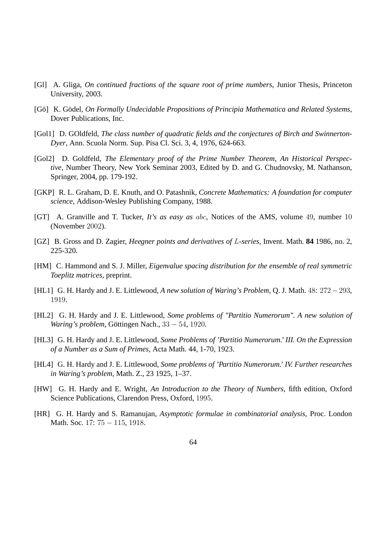- [Gl] A. Gliga, *On continued fractions of the square root of prime numbers*, Junior Thesis, Princeton University, 2003.
- [Gö] K. Gödel, *On Formally Undecidable Propositions of Principia Mathematica and Related Systems*, Dover Publications, Inc.
- [Gol1] D. GOldfeld, *The class number of quadratic fields and the conjectures of Birch and Swinnerton-Dyer*, Ann. Scuola Norm. Sup. Pisa Cl. Sci. 3, 4, 1976, 624-663.
- [Gol2] D. Goldfeld, *The Elementary proof of the Prime Number Theorem, An Historical Perspective*, Number Theory, New York Seminar 2003, Edited by D. and G. Chudnovsky, M. Nathanson, Springer, 2004, pp. 179-192.
- [GKP] R. L. Graham, D. E. Knuth, and O. Patashnik, *Concrete Mathematics: A foundation for computer science*, Addison-Wesley Publishing Company, 1988.
- [GT] A. Granville and T. Tucker, *It's as easy as* abc, Notices of the AMS, volume 49, number 10 (November 2002).
- [GZ] B. Gross and D. Zagier, *Heegner points and derivatives of* L*-series*, Invent. Math. **84** 1986, no. 2, 225-320.
- [HM] C. Hammond and S. J. Miller, *Eigenvalue spacing distribution for the ensemble of real symmetric Toeplitz matrices*, preprint.
- [HL1] G. H. Hardy and J. E. Littlewood, *A new solution of Waring's Problem*, Q. J. Math. 48: 272−293, 1919.
- [HL2] G. H. Hardy and J. E. Littlewood, *Some problems of "Partitio Numerorum". A new solution of Waring's problem*, Göttingen Nach., 33 − 54, 1920.
- [HL3] G. H. Hardy and J. E. Littlewood, *Some Problems of 'Partitio Numerorum.' III. On the Expression of a Number as a Sum of Primes,* Acta Math. 44, 1-70, 1923.
- [HL4] G. H. Hardy and J. E. Littlewood, *Some problems of 'Partitio Numerorum.' IV. Further researches in Waring's problem*, Math. Z., 23 1925, 1–37.
- [HW] G. H. Hardy and E. Wright, *An Introduction to the Theory of Numbers*, fifth edition, Oxford Science Publications, Clarendon Press, Oxford, 1995.
- [HR] G. H. Hardy and S. Ramanujan, *Asymptotic formulae in combinatorial analysis*, Proc. London Math. Soc. 17: 75 − 115, 1918.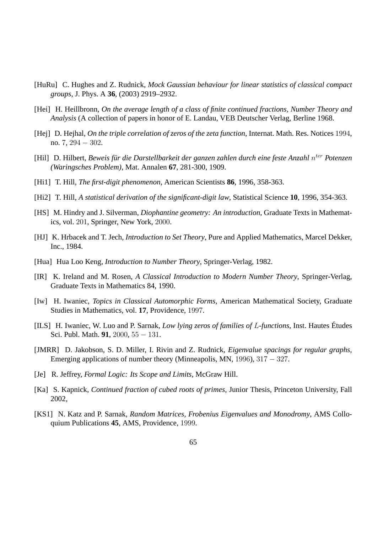- [HuRu] C. Hughes and Z. Rudnick, *Mock Gaussian behaviour for linear statistics of classical compact groups*, J. Phys. A **36**, (2003) 2919–2932.
- [Hei] H. Heillbronn, *On the average length of a class of finite continued fractions, Number Theory and Analysis* (A collection of papers in honor of E. Landau, VEB Deutscher Verlag, Berline 1968.
- [Hej] D. Hejhal, *On the triple correlation of zeros of the zeta function*, Internat. Math. Res. Notices 1994, no. 7, 294 − 302.
- [Hil] D. Hilbert, *Beweis für die Darstellbarkeit der ganzen zahlen durch eine feste Anzahl* n ter *Potenzen (Waringsches Problem)*, Mat. Annalen **67**, 281-300, 1909.
- [Hi1] T. Hill, *The first-digit phenomenon*, American Scientists **86**, 1996, 358-363.
- [Hi2] T. Hill, *A statistical derivation of the significant-digit law*, Statistical Science **10**, 1996, 354-363.
- [HS] M. Hindry and J. Silverman, *Diophantine geometry: An introduction*, Graduate Texts in Mathematics, vol. 201, Springer, New York, 2000.
- [HJ] K. Hrbacek and T. Jech, *Introduction to Set Theory*, Pure and Applied Mathematics, Marcel Dekker, Inc., 1984.
- [Hua] Hua Loo Keng, *Introduction to Number Theory*, Springer-Verlag, 1982.
- [IR] K. Ireland and M. Rosen, *A Classical Introduction to Modern Number Theory*, Springer-Verlag, Graduate Texts in Mathematics 84, 1990.
- [Iw] H. Iwaniec, *Topics in Classical Automorphic Forms*, American Mathematical Society, Graduate Studies in Mathematics, vol. **17**, Providence, 1997.
- [ILS] H. Iwaniec, W. Luo and P. Sarnak, *Low lying zeros of families of* L*-functions*, Inst. Hautes Études Sci. Publ. Math. **91**, 2000, 55 − 131.
- [JMRR] D. Jakobson, S. D. Miller, I. Rivin and Z. Rudnick, *Eigenvalue spacings for regular graphs*, Emerging applications of number theory (Minneapolis, MN, 1996), 317 − 327.
- [Je] R. Jeffrey, *Formal Logic: Its Scope and Limits*, McGraw Hill.
- [Ka] S. Kapnick, *Continued fraction of cubed roots of primes*, Junior Thesis, Princeton University, Fall 2002,
- [KS1] N. Katz and P. Sarnak, *Random Matrices, Frobenius Eigenvalues and Monodromy*, AMS Colloquium Publications **45**, AMS, Providence, 1999.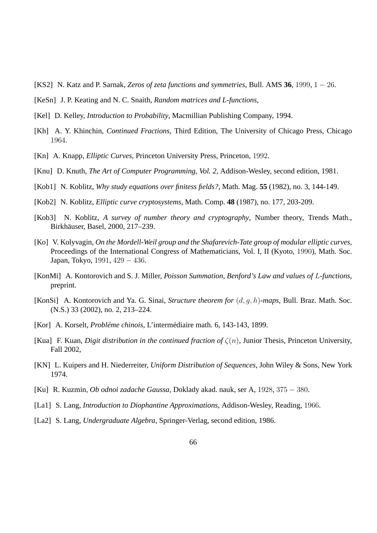- [KS2] N. Katz and P. Sarnak, *Zeros of zeta functions and symmetries*, Bull. AMS **36**, 1999, 1 − 26.
- [KeSn] J. P. Keating and N. C. Snaith, *Random matrices and L-functions*,
- [Kel] D. Kelley, *Introduction to Probability*, Macmillian Publishing Company, 1994.
- [Kh] A. Y. Khinchin, *Continued Fractions*, Third Edition, The University of Chicago Press, Chicago 1964.
- [Kn] A. Knapp, *Elliptic Curves*, Princeton University Press, Princeton, 1992.
- [Knu] D. Knuth, *The Art of Computer Programming, Vol. 2*, Addison-Wesley, second edition, 1981.
- [Kob1] N. Koblitz, *Why study equations over finitess fields?*, Math. Mag. **55** (1982), no. 3, 144-149.
- [Kob2] N. Koblitz, *Elliptic curve cryptosystems*, Math. Comp. **48** (1987), no. 177, 203-209.
- [Kob3] N. Koblitz, *A survey of number theory and cryptography*, Number theory, Trends Math., Birkhäuser, Basel, 2000, 217–239.
- [Ko] V. Kolyvagin, *On the Mordell-Weil group and the Shafarevich-Tate group of modular elliptic curves*, Proceedings of the International Congress of Mathematicians, Vol. I, II (Kyoto, 1990), Math. Soc. Japan, Tokyo, 1991, 429 − 436.
- [KonMi] A. Kontorovich and S. J. Miller, *Poisson Summation, Benford's Law and values of* L*-functions*, preprint.
- [KonSi] A. Kontorovich and Ya. G. Sinai, *Structure theorem for* (d, g, h)*-maps*, Bull. Braz. Math. Soc. (N.S.) 33 (2002), no. 2, 213–224.
- [Kor] A. Korselt, *Probléme chinois*, L'intermédiaire math. 6, 143-143, 1899.
- [Kua] F. Kuan, *Digit distribution in the continued fraction of*  $\zeta(n)$ , Junior Thesis, Princeton University, Fall 2002,
- [KN] L. Kuipers and H. Niederreiter, *Uniform Distribution of Sequences*, John Wiley & Sons, New York 1974.
- [Ku] R. Kuzmin, *Ob odnoi zadache Gaussa*, Doklady akad. nauk, ser A, 1928, 375 − 380.
- [La1] S. Lang, *Introduction to Diophantine Approximations*, Addison-Wesley, Reading, 1966.
- [La2] S. Lang, *Undergraduate Algebra*, Springer-Verlag, second edition, 1986.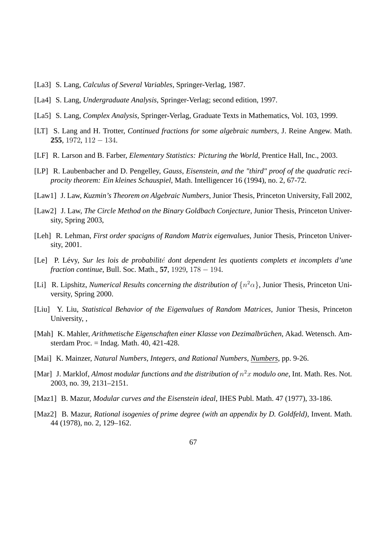- [La3] S. Lang, *Calculus of Several Variables*, Springer-Verlag, 1987.
- [La4] S. Lang, *Undergraduate Analysis*, Springer-Verlag; second edition, 1997.
- [La5] S. Lang, *Complex Analysis*, Springer-Verlag, Graduate Texts in Mathematics, Vol. 103, 1999.
- [LT] S. Lang and H. Trotter, *Continued fractions for some algebraic numbers*, J. Reine Angew. Math. **255**, 1972, 112 − 134.
- [LF] R. Larson and B. Farber, *Elementary Statistics: Picturing the World*, Prentice Hall, Inc., 2003.
- [LP] R. Laubenbacher and D. Pengelley, *Gauss, Eisenstein, and the "third" proof of the quadratic reciprocity theorem: Ein kleines Schauspiel*, Math. Intelligencer 16 (1994), no. 2, 67-72.
- [Law1] J. Law, *Kuzmin's Theorem on Algebraic Numbers*, Junior Thesis, Princeton University, Fall 2002,
- [Law2] J. Law, *The Circle Method on the Binary Goldbach Conjecture*, Junior Thesis, Princeton University, Spring 2003,
- [Leh] R. Lehman, *First order spacigns of Random Matrix eigenvalues*, Junior Thesis, Princeton University, 2001.
- [Le] P. Lévy, *Sur les lois de probabilit*e´ *dont dependent les quotients complets et incomplets d'une fraction continue*, Bull. Soc. Math., **57**, 1929, 178 − 194.
- [Li] R. Lipshitz, *Numerical Results concerning the distribution of*  $\{n^2\alpha\}$ , Junior Thesis, Princeton University, Spring 2000.
- [Liu] Y. Liu, *Statistical Behavior of the Eigenvalues of Random Matrices*, Junior Thesis, Princeton University, ,
- [Mah] K. Mahler, *Arithmetische Eigenschaften einer Klasse von Dezimalbrüchen*, Akad. Wetensch. Amsterdam Proc.  $=$  Indag. Math. 40, 421-428.
- [Mai] K. Mainzer, *Natural Numbers, Integers, and Rational Numbers*, *Numbers*, pp. 9-26.
- [Mar] J. Marklof, *Almost modular functions and the distribution of*  $n^2x$  *modulo one*, Int. Math. Res. Not. 2003, no. 39, 2131–2151.
- [Maz1] B. Mazur, *Modular curves and the Eisenstein ideal*, IHES Publ. Math. 47 (1977), 33-186.
- [Maz2] B. Mazur, *Rational isogenies of prime degree (with an appendix by D. Goldfeld)*, Invent. Math. 44 (1978), no. 2, 129–162.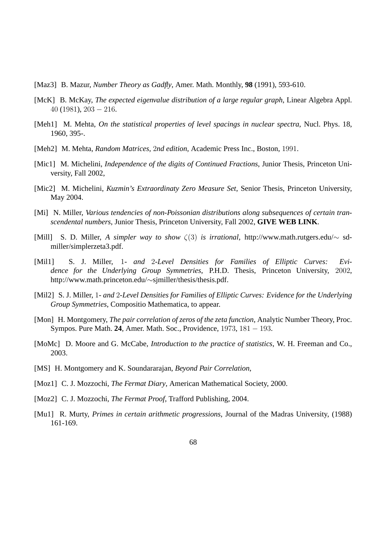- [Maz3] B. Mazur, *Number Theory as Gadfly*, Amer. Math. Monthly, **98** (1991), 593-610.
- [McK] B. McKay, *The expected eigenvalue distribution of a large regular graph*, Linear Algebra Appl. 40 (1981), 203 − 216.
- [Meh1] M. Mehta, *On the statistical properties of level spacings in nuclear spectra*, Nucl. Phys. 18, 1960, 395-.
- [Meh2] M. Mehta, *Random Matrices,* 2*nd edition*, Academic Press Inc., Boston, 1991.
- [Mic1] M. Michelini, *Independence of the digits of Continued Fractions*, Junior Thesis, Princeton University, Fall 2002,
- [Mic2] M. Michelini, *Kuzmin's Extraordinaty Zero Measure Set*, Senior Thesis, Princeton University, May 2004.
- [Mi] N. Miller, *Various tendencies of non-Poissonian distributions along subsequences of certain transcendental numbers*, Junior Thesis, Princeton University, Fall 2002, **GIVE WEB LINK**.
- [Mill] S. D. Miller, *A simpler way to show* ζ(3) *is irrational*, http://www.math.rutgers.edu/∼ sdmiller/simplerzeta3.pdf.
- [Mil1] S. J. Miller, 1- and 2-Level Densities for Families of Elliptic Curves: Evi*dence for the Underlying Group Symmetries*, P.H.D. Thesis, Princeton University, 2002, http://www.math.princeton.edu/∼sjmiller/thesis/thesis.pdf.
- [Mil2] S. J. Miller, 1 *and* 2*-Level Densities for Families of Elliptic Curves: Evidence for the Underlying Group Symmetries*, Compositio Mathematica, to appear.
- [Mon] H. Montgomery, *The pair correlation of zeros of the zeta function*, Analytic Number Theory, Proc. Sympos. Pure Math. **24**, Amer. Math. Soc., Providence, 1973, 181 − 193.
- [MoMc] D. Moore and G. McCabe, *Introduction to the practice of statistics*, W. H. Freeman and Co., 2003.
- [MS] H. Montgomery and K. Soundararajan, *Beyond Pair Correlation*,
- [Moz1] C. J. Mozzochi, *The Fermat Diary*, American Mathematical Society, 2000.
- [Moz2] C. J. Mozzochi, *The Fermat Proof*, Trafford Publishing, 2004.
- [Mu1] R. Murty, *Primes in certain arithmetic progressions*, Journal of the Madras University, (1988) 161-169.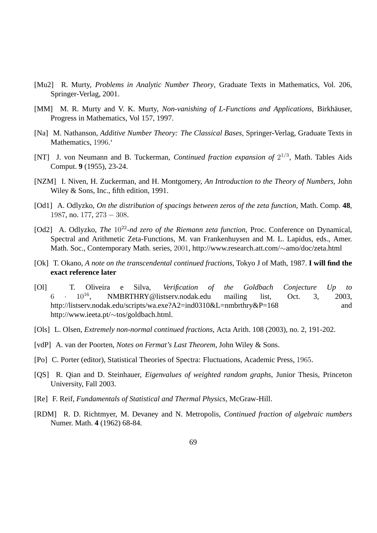- [Mu2] R. Murty, *Problems in Analytic Number Theory*, Graduate Texts in Mathematics, Vol. 206, Springer-Verlag, 2001.
- [MM] M. R. Murty and V. K. Murty, *Non-vanishing of L-Functions and Applications*, Birkhäuser, Progress in Mathematics, Vol 157, 1997.
- [Na] M. Nathanson, *Additive Number Theory: The Classical Bases*, Springer-Verlag, Graduate Texts in Mathematics, 1996.
- [NT] J. von Neumann and B. Tuckerman, *Continued fraction expansion of*  $2^{1/3}$ , Math. Tables Aids Comput. **9** (1955), 23-24.
- [NZM] I. Niven, H. Zuckerman, and H. Montgomery, *An Introduction to the Theory of Numbers*, John Wiley & Sons, Inc., fifth edition, 1991.
- [Od1] A. Odlyzko, *On the distribution of spacings between zeros of the zeta function*, Math. Comp. **48**, 1987, no. 177, 273 − 308.
- [Od2] A. Odlyzko, *The* 10<sup>22</sup>-nd zero of the Riemann zeta function, Proc. Conference on Dynamical, Spectral and Arithmetic Zeta-Functions, M. van Frankenhuysen and M. L. Lapidus, eds., Amer. Math. Soc., Contemporary Math. series, 2001, http://www.research.att.com/∼amo/doc/zeta.html
- [Ok] T. Okano, *A note on the transcendental continued fractions*, Tokyo J of Math, 1987. **I will find the exact reference later**
- [Ol] T. Oliveira e Silva, *Verification of the Goldbach Conjecture Up to* 6 · 10<sup>16</sup>, NMBRTHRY@listserv.nodak.edu mailing list, Oct. 3, 2003, http://listserv.nodak.edu/scripts/wa.exe?A2=ind0310&L=nmbrthry&P=168 and http://www.ieeta.pt/∼tos/goldbach.html.
- [Ols] L. Olsen, *Extremely non-normal continued fractions*, Acta Arith. 108 (2003), no. 2, 191-202.
- [vdP] A. van der Poorten, *Notes on Fermat's Last Theorem*, John Wiley & Sons.
- [Po] C. Porter (editor), Statistical Theories of Spectra: Fluctuations, Academic Press, 1965.
- [QS] R. Qian and D. Steinhauer, *Eigenvalues of weighted random graphs*, Junior Thesis, Princeton University, Fall 2003.
- [Re] F. Reif, *Fundamentals of Statistical and Thermal Physics*, McGraw-Hill.
- [RDM] R. D. Richtmyer, M. Devaney and N. Metropolis, *Continued fraction of algebraic numbers* Numer. Math. **4** (1962) 68-84.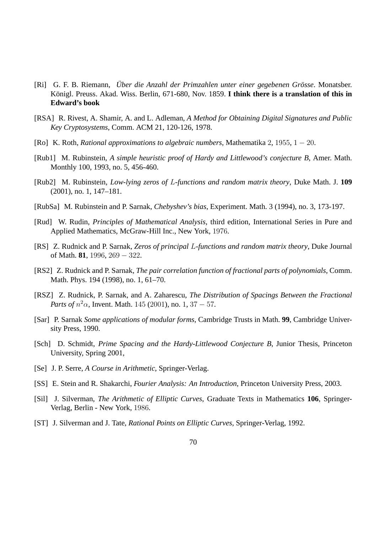- [Ri] G. F. B. Riemann, *Über die Anzahl der Primzahlen unter einer gegebenen Grösse*. Monatsber. Königl. Preuss. Akad. Wiss. Berlin, 671-680, Nov. 1859. **I think there is a translation of this in Edward's book**
- [RSA] R. Rivest, A. Shamir, A. and L. Adleman, *A Method for Obtaining Digital Signatures and Public Key Cryptosystems*, Comm. ACM 21, 120-126, 1978.
- [Ro] K. Roth, *Rational approximations to algebraic numbers*, Mathematika 2, 1955, 1 − 20.
- [Rub1] M. Rubinstein, *A simple heuristic proof of Hardy and Littlewood's conjecture B*, Amer. Math. Monthly 100, 1993, no. 5, 456-460.
- [Rub2] M. Rubinstein, *Low-lying zeros of* L*-functions and random matrix theory*, Duke Math. J. **109** (2001), no. 1, 147–181.
- [RubSa] M. Rubinstein and P. Sarnak, *Chebyshev's bias*, Experiment. Math. 3 (1994), no. 3, 173-197.
- [Rud] W. Rudin, *Principles of Mathematical Analysis*, third edition, International Series in Pure and Applied Mathematics, McGraw-Hill Inc., New York, 1976.
- [RS] Z. Rudnick and P. Sarnak, *Zeros of principal* L*-functions and random matrix theory*, Duke Journal of Math. **81**, 1996, 269 − 322.
- [RS2] Z. Rudnick and P. Sarnak, *The pair correlation function of fractional parts of polynomials*, Comm. Math. Phys. 194 (1998), no. 1, 61–70.
- [RSZ] Z. Rudnick, P. Sarnak, and A. Zaharescu, *The Distribution of Spacings Between the Fractional Parts of*  $n^2\alpha$ , Invent. Math. 145 (2001), no. 1, 37 – 57.
- [Sar] P. Sarnak *Some applications of modular forms*, Cambridge Trusts in Math. **99**, Cambridge University Press, 1990.
- [Sch] D. Schmidt, *Prime Spacing and the Hardy-Littlewood Conjecture B*, Junior Thesis, Princeton University, Spring 2001,
- [Se] J. P. Serre, *A Course in Arithmetic*, Springer-Verlag.
- [SS] E. Stein and R. Shakarchi, *Fourier Analysis: An Introduction*, Princeton University Press, 2003.
- [Sil] J. Silverman, *The Arithmetic of Elliptic Curves*, Graduate Texts in Mathematics **106**, Springer-Verlag, Berlin - New York, 1986.
- [ST] J. Silverman and J. Tate, *Rational Points on Elliptic Curves*, Springer-Verlag, 1992.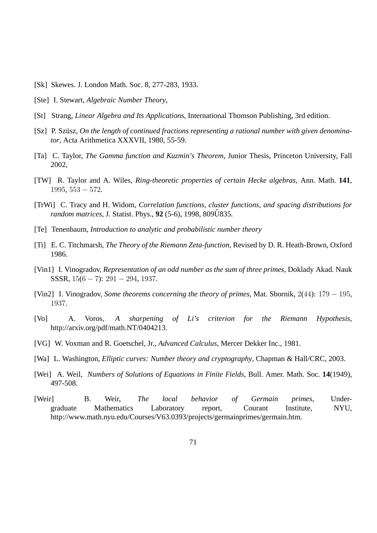- [Sk] Skewes. J. London Math. Soc. 8, 277-283, 1933.
- [Ste] I. Stewart, *Algebraic Number Theory*,
- [St] Strang, *Linear Algebra and Its Applications*, International Thomson Publishing, 3rd edition.
- [Sz] P. Szüsz, *On the length of continued fractions representing a rational number with given denominator*, Acta Arithmetica XXXVII, 1980, 55-59.
- [Ta] C. Taylor, *The Gamma function and Kuzmin's Theorem*, Junior Thesis, Princeton University, Fall 2002,
- [TW] R. Taylor and A. Wiles, *Ring-theoretic properties of certain Hecke algebras*, Ann. Math. **141**, 1995, 553 − 572.
- [TrWi] C. Tracy and H. Widom, *Correlation functions, cluster functions, and spacing distributions for random matrices*, J. Statist. Phys., **92** (5-6), 1998, 809U<sup>835</sup>.
- [Te] Tenenbaum, *Introduction to analytic and probabilistic number theory*
- [Ti] E. C. Titchmarsh, *The Theory of the Riemann Zeta-function*, Revised by D. R. Heath-Brown, Oxford 1986.
- [Vin1] I. Vinogradov, *Representation of an odd number as the sum of three primes*, Doklady Akad. Nauk SSSR,  $15(6 - 7)$ : 291 – 294, 1937.
- [Vin2] I. Vinogradov, *Some theorems concerning the theory of primes*, Mat. Sbornik, 2(44): 179 195, 1937.
- [Vo] A. Voros, *A sharpening of Li's criterion for the Riemann Hypothesis*, http://arxiv.org/pdf/math.NT/0404213.
- [VG] W. Voxman and R. Goetschel, Jr., *Advanced Calculus*, Mercer Dekker Inc., 1981.
- [Wa] L. Washington, *Elliptic curves: Number theory and cryptography*, Chapman & Hall/CRC, 2003.
- [Wei] A. Weil, *Numbers of Solutions of Equations in Finite Fields*, Bull. Amer. Math. Soc. **14**(1949), 497-508.
- [Weir] B. Weir, *The local behavior of Germain primes*, Undergraduate Mathematics Laboratory report, Courant Institute, NYU, http://www.math.nyu.edu/Courses/V63.0393/projects/germainprimes/germain.htm.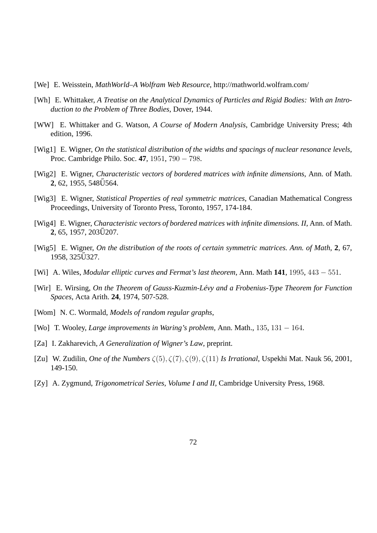- [We] E. Weisstein, *MathWorld–A Wolfram Web Resource*, http://mathworld.wolfram.com/
- [Wh] E. Whittaker, *A Treatise on the Analytical Dynamics of Particles and Rigid Bodies: With an Introduction to the Problem of Three Bodies*, Dover, 1944.
- [WW] E. Whittaker and G. Watson, *A Course of Modern Analysis*, Cambridge University Press; 4th edition, 1996.
- [Wig1] E. Wigner, *On the statistical distribution of the widths and spacings of nuclear resonance levels*, Proc. Cambridge Philo. Soc. **47**, 1951, 790 − 798.
- [Wig2] E. Wigner, *Characteristic vectors of bordered matrices with infinite dimensions*, Ann. of Math. **2**, 62, 1955, 548Ű564.
- [Wig3] E. Wigner, *Statistical Properties of real symmetric matrices*, Canadian Mathematical Congress Proceedings, University of Toronto Press, Toronto, 1957, 174-184.
- [Wig4] E. Wigner, *Characteristic vectors of bordered matrices with infinite dimensions. II*, Ann. of Math. 2, 65, 1957, 203Ű207.
- [Wig5] E. Wigner, *On the distribution of the roots of certain symmetric matrices. Ann. of Math*, **2**, 67, 1958, 325Ü327.
- [Wi] A. Wiles, *Modular elliptic curves and Fermat's last theorem*, Ann. Math **141**, 1995, 443 − 551.
- [Wir] E. Wirsing, *On the Theorem of Gauss-Kuzmin-Lévy and a Frobenius-Type Theorem for Function Spaces*, Acta Arith. **24**, 1974, 507-528.
- [Wom] N. C. Wormald, *Models of random regular graphs*,
- [Wo] T. Wooley, *Large improvements in Waring's problem*, Ann. Math., 135, 131 − 164.
- [Za] I. Zakharevich, *A Generalization of Wigner's Law*, preprint.
- [Zu] W. Zudilin, *One of the Numbers*  $\zeta(5), \zeta(7), \zeta(9), \zeta(11)$  *Is Irrational*, Uspekhi Mat. Nauk 56, 2001, 149-150.
- [Zy] A. Zygmund, *Trigonometrical Series, Volume I and II*, Cambridge University Press, 1968.